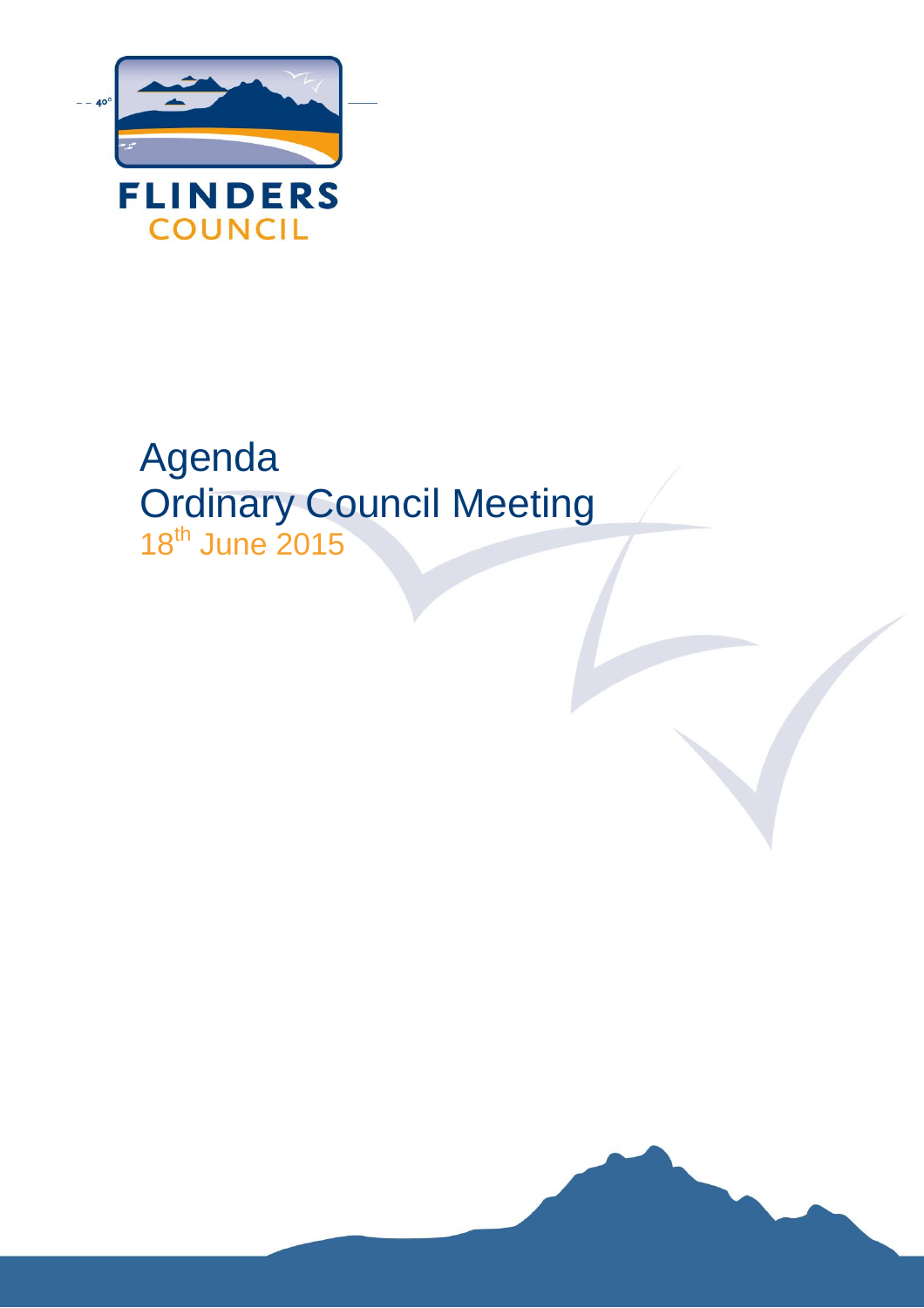

# Agenda Ordinary Council Meeting 18th June 2015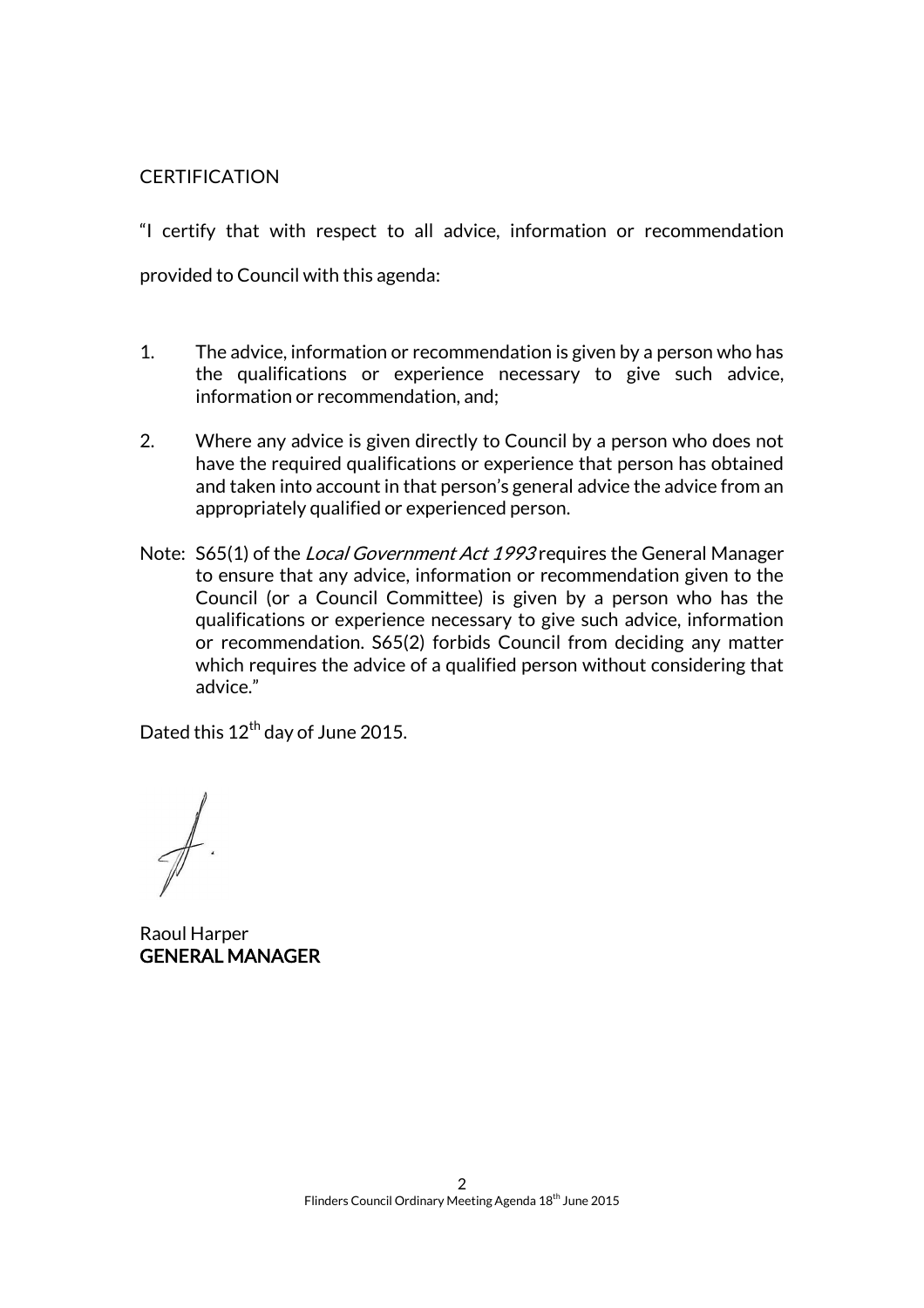#### **CERTIFICATION**

"I certify that with respect to all advice, information or recommendation provided to Council with this agenda:

- 1. The advice, information or recommendation is given by a person who has the qualifications or experience necessary to give such advice, information or recommendation, and;
- 2. Where any advice is given directly to Council by a person who does not have the required qualifications or experience that person has obtained and taken into account in that person's general advice the advice from an appropriately qualified or experienced person.
- Note: S65(1) of the *Local Government Act 1993* requires the General Manager to ensure that any advice, information or recommendation given to the Council (or a Council Committee) is given by a person who has the qualifications or experience necessary to give such advice, information or recommendation. S65(2) forbids Council from deciding any matter which requires the advice of a qualified person without considering that advice."

Dated this 12<sup>th</sup> day of June 2015.

Raoul Harper GENERAL MANAGER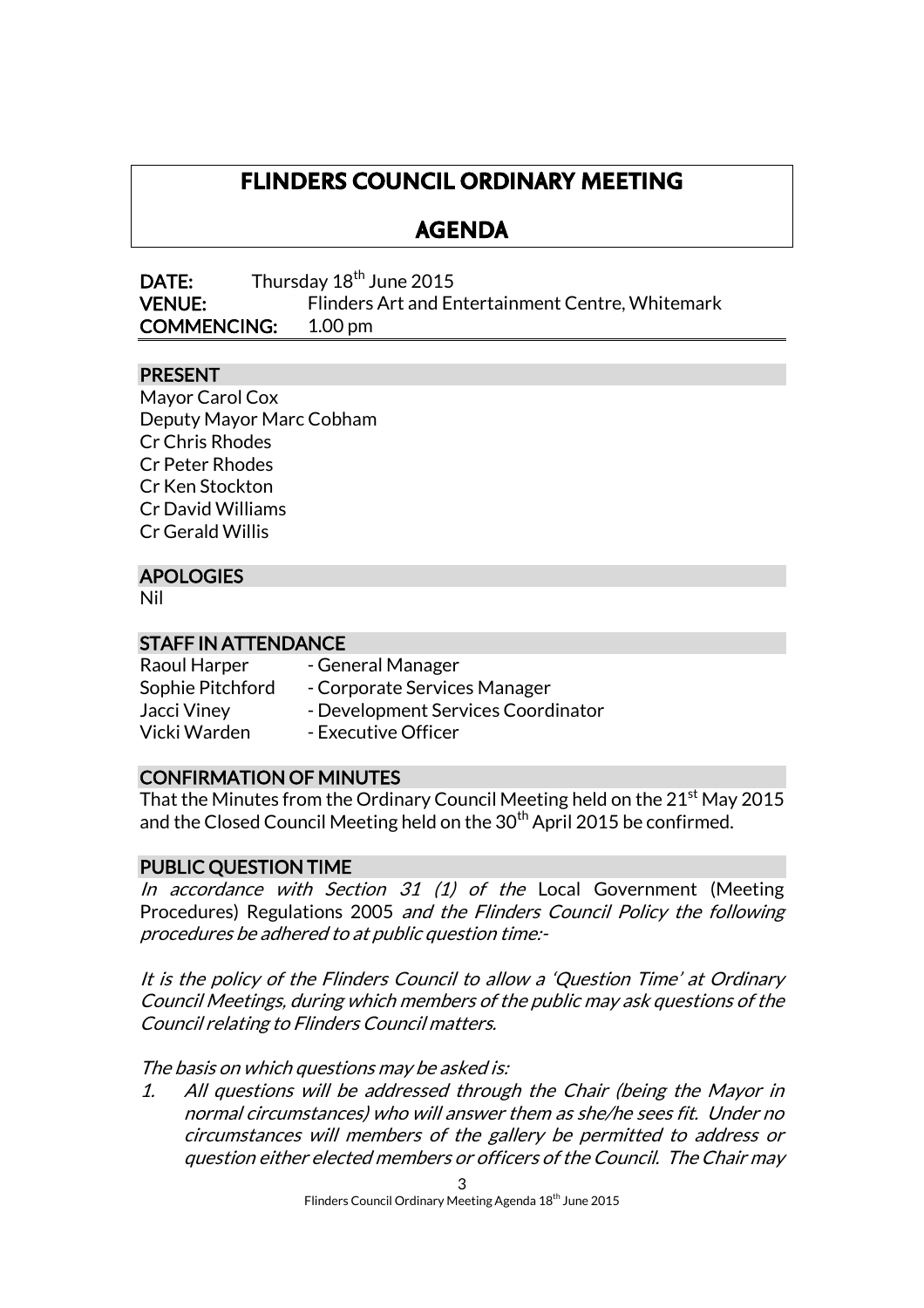# **FLINDERS COUNCIL ORDINARY MEETING**

# **AGENDA**

**DATE:** Thursday  $18<sup>th</sup>$  June 2015 VENUE: Flinders Art and Entertainment Centre, Whitemark COMMENCING: 1.00 pm

# PRESENT

Mayor Carol Cox Deputy Mayor Marc Cobham Cr Chris Rhodes Cr Peter Rhodes Cr Ken Stockton Cr David Williams Cr Gerald Willis

# APOLOGIES

Nil

#### STAFF IN ATTENDANCE

| Raoul Harper     | - General Manager                  |
|------------------|------------------------------------|
| Sophie Pitchford | - Corporate Services Manager       |
| Jacci Viney      | - Development Services Coordinator |
| Vicki Warden     | - Executive Officer                |

#### CONFIRMATION OF MINUTES

That the Minutes from the Ordinary Council Meeting held on the  $21<sup>st</sup>$  May 2015 and the Closed Council Meeting held on the  $30<sup>th</sup>$  April 2015 be confirmed.

#### PUBLIC QUESTION TIME

In accordance with Section 31  $(1)$  of the Local Government (Meeting Procedures) Regulations 2005 and the Flinders Council Policy the following procedures be adhered to at public question time:-

It is the policy of the Flinders Council to allow a 'Question Time' at Ordinary Council Meetings, during which members of the public may ask questions of the Council relating to Flinders Council matters.

The basis on which questions may be asked is:

1. All questions will be addressed through the Chair (being the Mayor in normal circumstances) who will answer them as she/he sees fit. Under no circumstances will members of the gallery be permitted to address or question either elected members or officers of the Council. The Chair may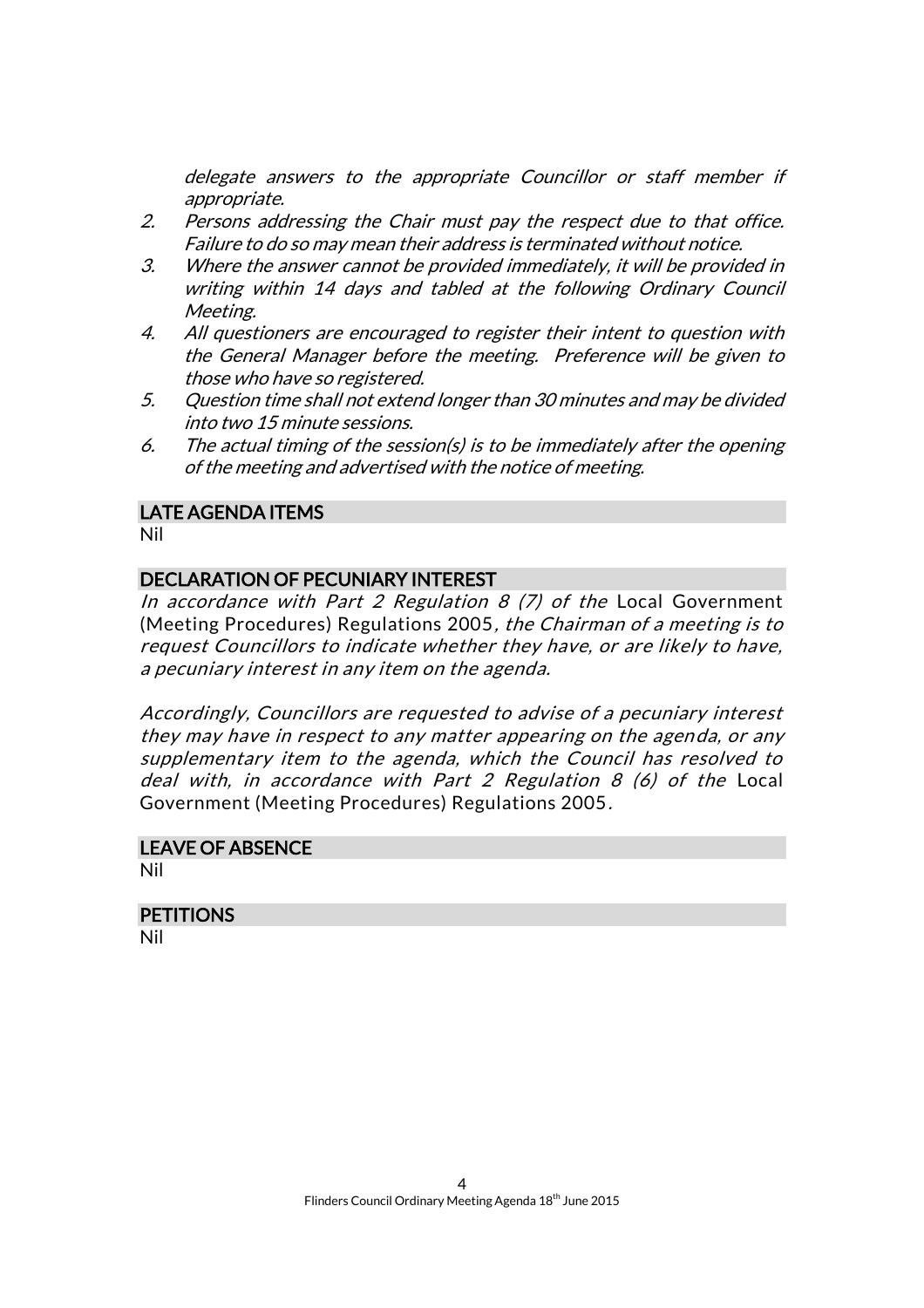delegate answers to the appropriate Councillor or staff member if appropriate.

- 2. Persons addressing the Chair must pay the respect due to that office. Failure to do so may mean their address is terminated without notice.
- 3. Where the answer cannot be provided immediately, it will be provided in writing within 14 days and tabled at the following Ordinary Council Meeting.
- 4. All questioners are encouraged to register their intent to question with the General Manager before the meeting. Preference will be given to those who have so registered.
- 5. Question time shall not extend longer than 30 minutes and may be divided into two 15 minute sessions.
- 6. The actual timing of the session(s) is to be immediately after the opening of the meeting and advertised with the notice of meeting.

#### LATE AGENDA ITEMS

Nil

#### DECLARATION OF PECUNIARY INTEREST

In accordance with Part 2 Regulation 8  $(7)$  of the Local Government (Meeting Procedures) Regulations 2005, the Chairman of a meeting is to request Councillors to indicate whether they have, or are likely to have, a pecuniary interest in any item on the agenda.

Accordingly, Councillors are requested to advise of a pecuniary interest they may have in respect to any matter appearing on the agenda, or any supplementary item to the agenda, which the Council has resolved to deal with, in accordance with Part 2 Regulation 8 (6) of the Local Government (Meeting Procedures) Regulations 2005.

# LEAVE OF ABSENCE

Nil

# **PETITIONS**

Nil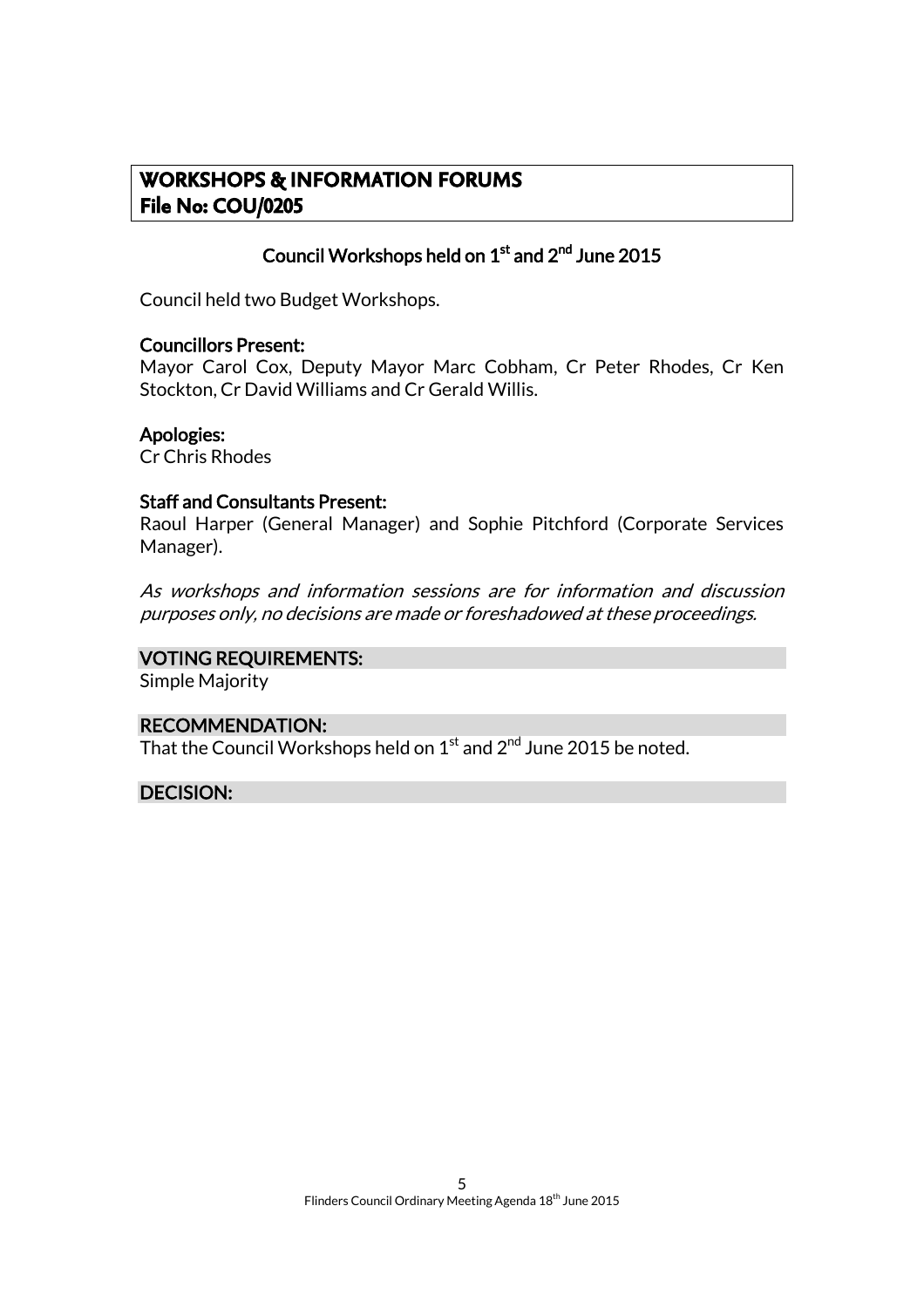# **WORKSHOPS & INFORMATION FORUMS File No: COU/0205**

# Council Workshops held on  $1^{\rm st}$  and  $2^{\rm nd}$  June 2015

Council held two Budget Workshops.

#### Councillors Present:

Mayor Carol Cox, Deputy Mayor Marc Cobham, Cr Peter Rhodes, Cr Ken Stockton, Cr David Williams and Cr Gerald Willis.

#### Apologies:

Cr Chris Rhodes

#### Staff and Consultants Present:

Raoul Harper (General Manager) and Sophie Pitchford (Corporate Services Manager).

As workshops and information sessions are for information and discussion purposes only, no decisions are made or foreshadowed at these proceedings.

#### VOTING REQUIREMENTS:

Simple Majority

#### RECOMMENDATION:

That the Council Workshops held on  $1^{\rm st}$  and  $2^{\sf nd}$  June 2015 be noted.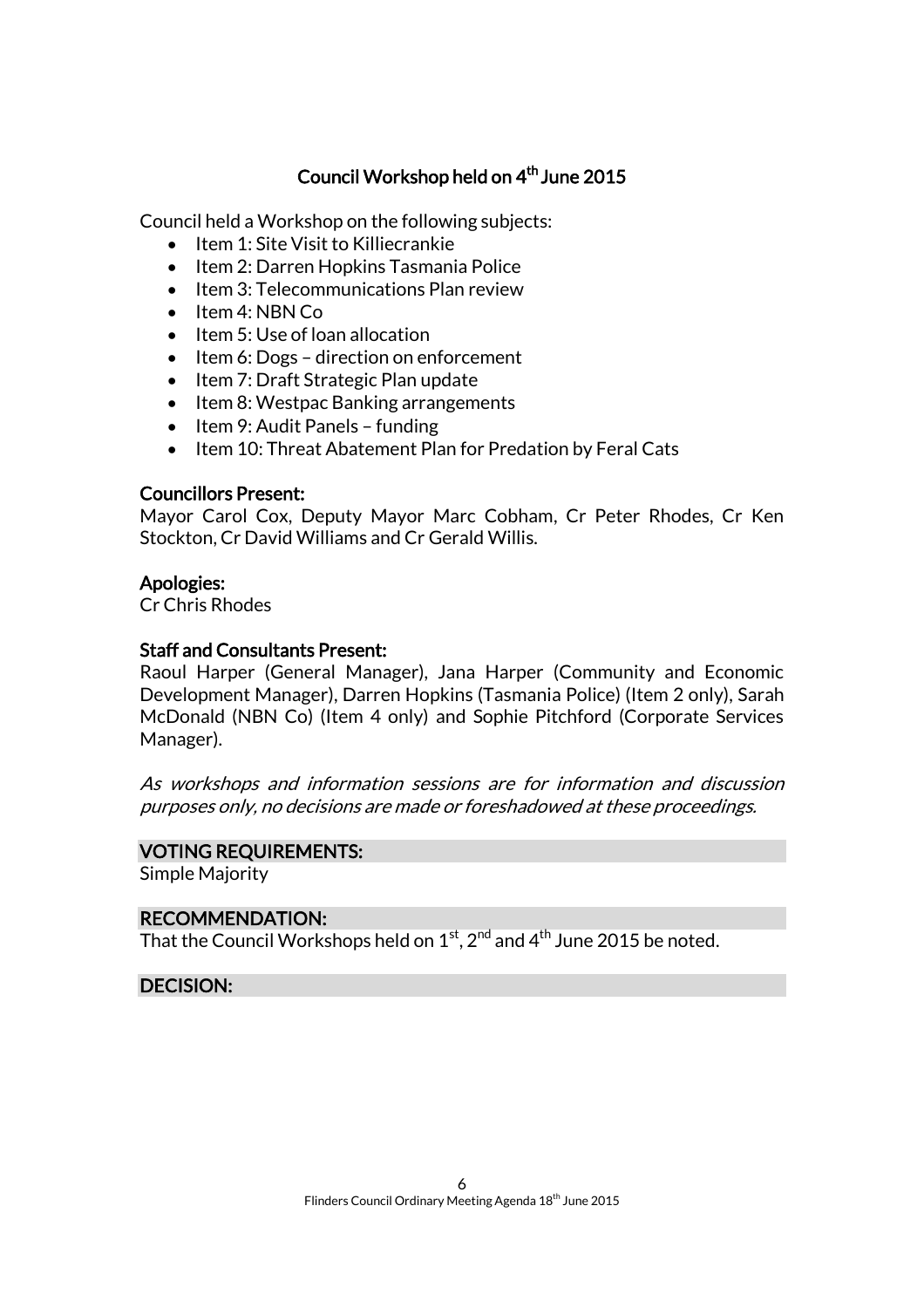# Council Workshop held on 4 th June 2015

Council held a Workshop on the following subjects:

- $\bullet$  Item 1: Site Visit to Killiecrankie
- Item 2: Darren Hopkins Tasmania Police
- Item 3: Telecommunications Plan review
- $\bullet$  Item 4: NBN Co
- $\bullet$  Item 5: Use of loan allocation
- $\bullet$  Item 6: Dogs direction on enforcement
- Item 7: Draft Strategic Plan update
- Item 8: Westpac Banking arrangements
- $\bullet$  Item 9: Audit Panels funding
- Item 10: Threat Abatement Plan for Predation by Feral Cats

#### Councillors Present:

Mayor Carol Cox, Deputy Mayor Marc Cobham, Cr Peter Rhodes, Cr Ken Stockton, Cr David Williams and Cr Gerald Willis.

#### Apologies:

Cr Chris Rhodes

#### Staff and Consultants Present:

Raoul Harper (General Manager), Jana Harper (Community and Economic Development Manager), Darren Hopkins (Tasmania Police) (Item 2 only), Sarah McDonald (NBN Co) (Item 4 only) and Sophie Pitchford (Corporate Services Manager).

As workshops and information sessions are for information and discussion purposes only, no decisions are made or foreshadowed at these proceedings.

#### VOTING REQUIREMENTS:

Simple Majority

#### RECOMMENDATION:

That the Council Workshops held on  $1^{\rm st}$ ,  $2^{\rm nd}$  and  $4^{\rm th}$  June 2015 be noted.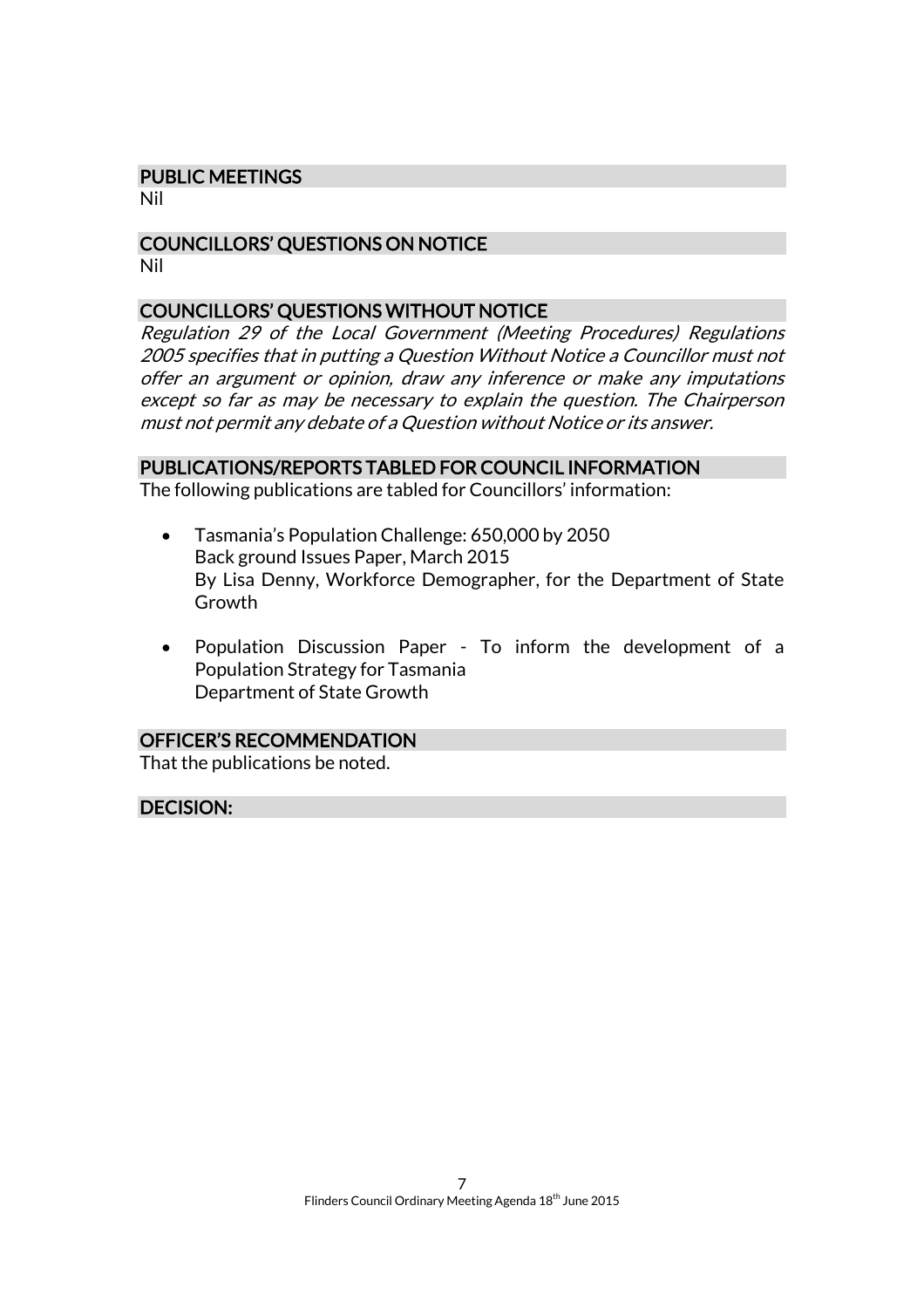#### PUBLIC MEETINGS

Nil

#### COUNCILLORS' QUESTIONS ON NOTICE Nil

#### COUNCILLORS' QUESTIONS WITHOUT NOTICE

Regulation 29 of the Local Government (Meeting Procedures) Regulations 2005 specifies that in putting a Question Without Notice a Councillor must not offer an argument or opinion, draw any inference or make any imputations except so far as may be necessary to explain the question. The Chairperson must not permit any debate of a Question without Notice or its answer.

#### PUBLICATIONS/REPORTS TABLED FOR COUNCIL INFORMATION

The following publications are tabled for Councillors' information:

- Tasmania's Population Challenge: 650,000 by 2050 Back ground Issues Paper, March 2015 By Lisa Denny, Workforce Demographer, for the Department of State Growth
- Population Discussion Paper To inform the development of a Population Strategy for Tasmania Department of State Growth

#### OFFICER'S RECOMMENDATION

That the publications be noted.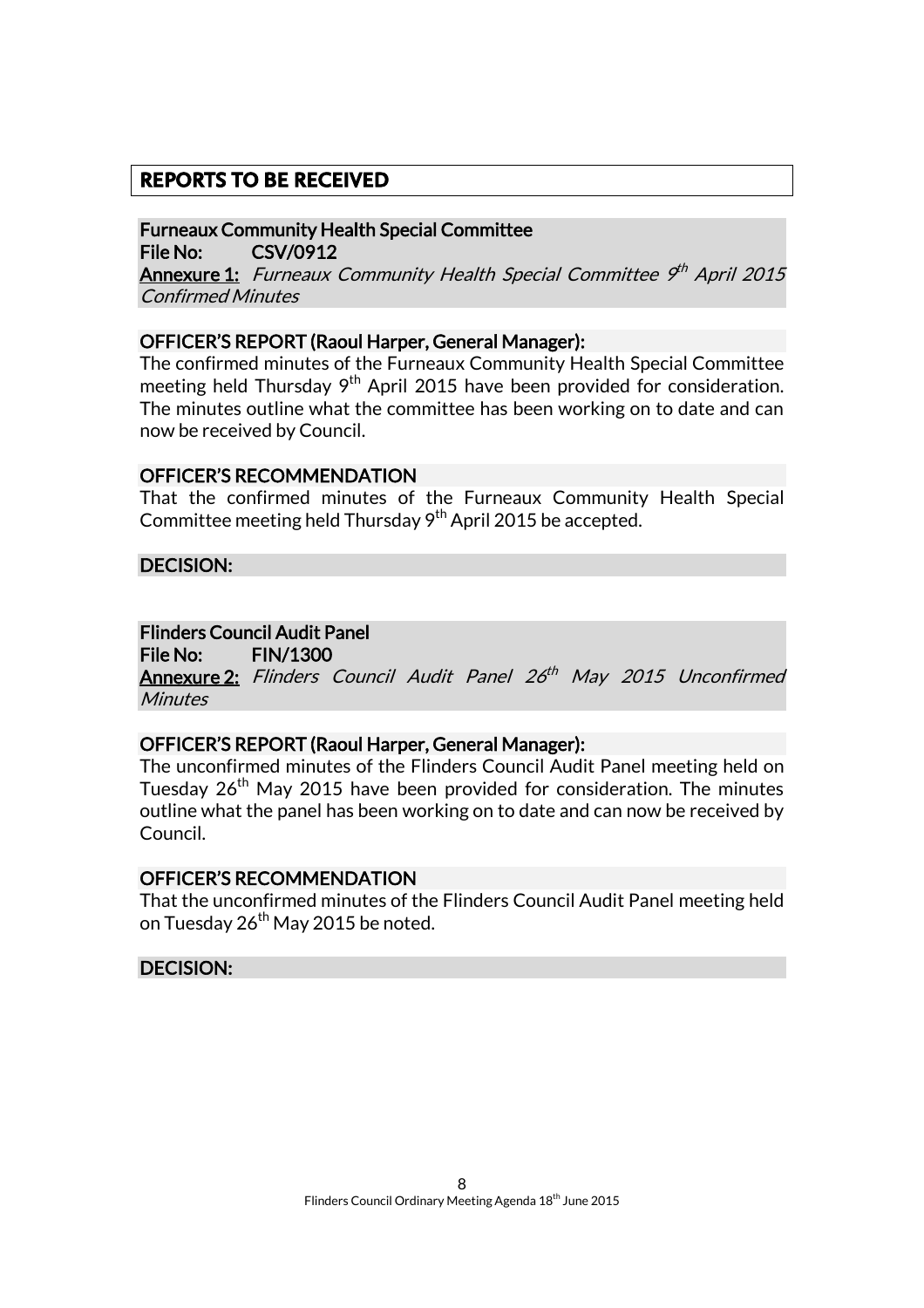# **REPORTS TO BE RECEIVED**

Furneaux Community Health Special Committee File No: CSV/0912

**Annexure 1:** Furneaux Community Health Special Committee 9th April 2015 Confirmed Minutes

#### OFFICER'S REPORT (Raoul Harper, General Manager):

The confirmed minutes of the Furneaux Community Health Special Committee meeting held Thursday 9<sup>th</sup> April 2015 have been provided for consideration. The minutes outline what the committee has been working on to date and can now be received by Council.

#### OFFICER'S RECOMMENDATION

That the confirmed minutes of the Furneaux Community Health Special Committee meeting held Thursday  $9<sup>th</sup>$  April 2015 be accepted.

DECISION:

### Flinders Council Audit Panel

File No: FIN/1300

**Annexure 2:** Flinders Council Audit Panel 26<sup>th</sup> May 2015 Unconfirmed **Minutes** 

#### OFFICER'S REPORT (Raoul Harper, General Manager):

The unconfirmed minutes of the Flinders Council Audit Panel meeting held on Tuesday 26<sup>th</sup> May 2015 have been provided for consideration. The minutes outline what the panel has been working on to date and can now be received by Council.

#### OFFICER'S RECOMMENDATION

That the unconfirmed minutes of the Flinders Council Audit Panel meeting held on Tuesday 26<sup>th</sup> May 2015 be noted.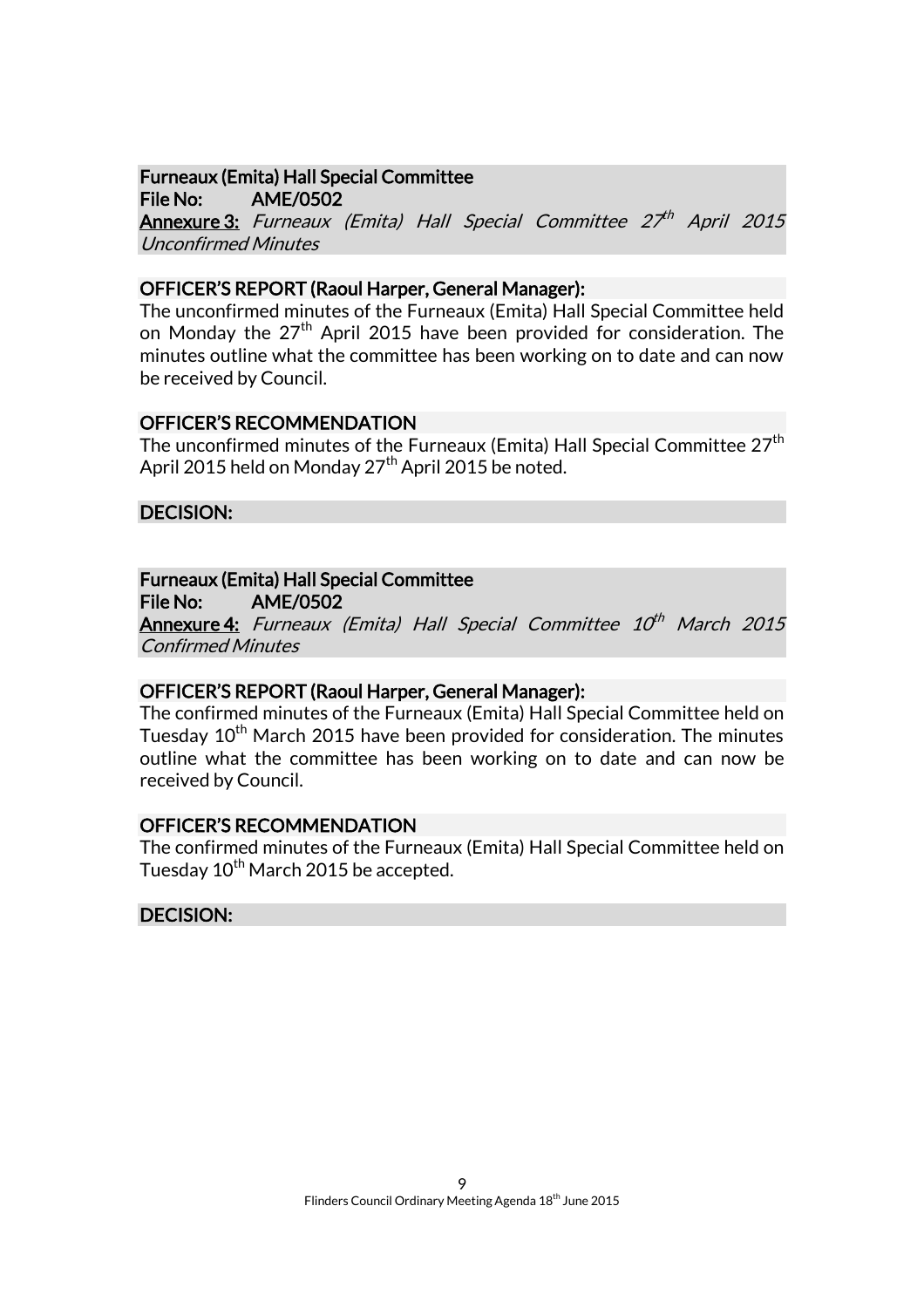# Furneaux (Emita) Hall Special Committee

File No: AME/0502 **Annexure 3:** Furneaux (Emita) Hall Special Committee 27<sup>th</sup> April 2015 Unconfirmed Minutes

#### OFFICER'S REPORT (Raoul Harper, General Manager):

The unconfirmed minutes of the Furneaux (Emita) Hall Special Committee held on Monday the 27<sup>th</sup> April 2015 have been provided for consideration. The minutes outline what the committee has been working on to date and can now be received by Council.

# OFFICER'S RECOMMENDATION

The unconfirmed minutes of the Furneaux (Emita) Hall Special Committee 27<sup>th</sup> April 2015 held on Monday 27<sup>th</sup> April 2015 be noted.

# DECISION:

# Furneaux (Emita) Hall Special Committee

File No: AME/0502

**Annexure 4:** Furneaux (Emita) Hall Special Committee 10<sup>th</sup> March 2015 Confirmed Minutes

#### OFFICER'S REPORT (Raoul Harper, General Manager):

The confirmed minutes of the Furneaux (Emita) Hall Special Committee held on Tuesday 10<sup>th</sup> March 2015 have been provided for consideration. The minutes outline what the committee has been working on to date and can now be received by Council.

#### OFFICER'S RECOMMENDATION

The confirmed minutes of the Furneaux (Emita) Hall Special Committee held on Tuesday 10<sup>th</sup> March 2015 be accepted.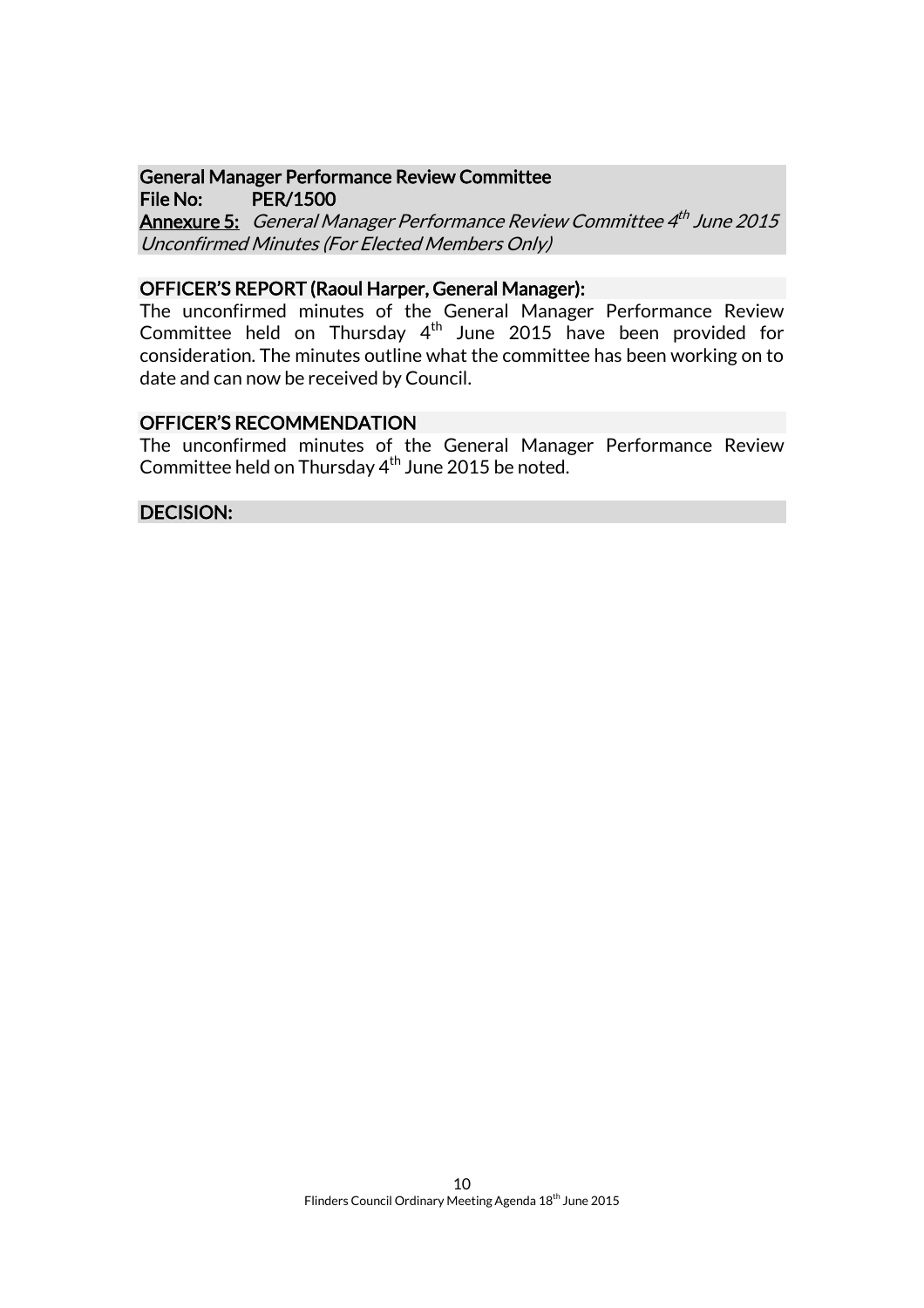#### General Manager Performance Review Committee File No: PER/1500

**Annexure 5:** General Manager Performance Review Committee 4<sup>th</sup> June 2015 Unconfirmed Minutes (For Elected Members Only)

#### OFFICER'S REPORT (Raoul Harper, General Manager):

The unconfirmed minutes of the General Manager Performance Review Committee held on Thursday 4<sup>th</sup> June 2015 have been provided for consideration. The minutes outline what the committee has been working on to date and can now be received by Council.

### OFFICER'S RECOMMENDATION

The unconfirmed minutes of the General Manager Performance Review Committee held on Thursday 4<sup>th</sup> June 2015 be noted.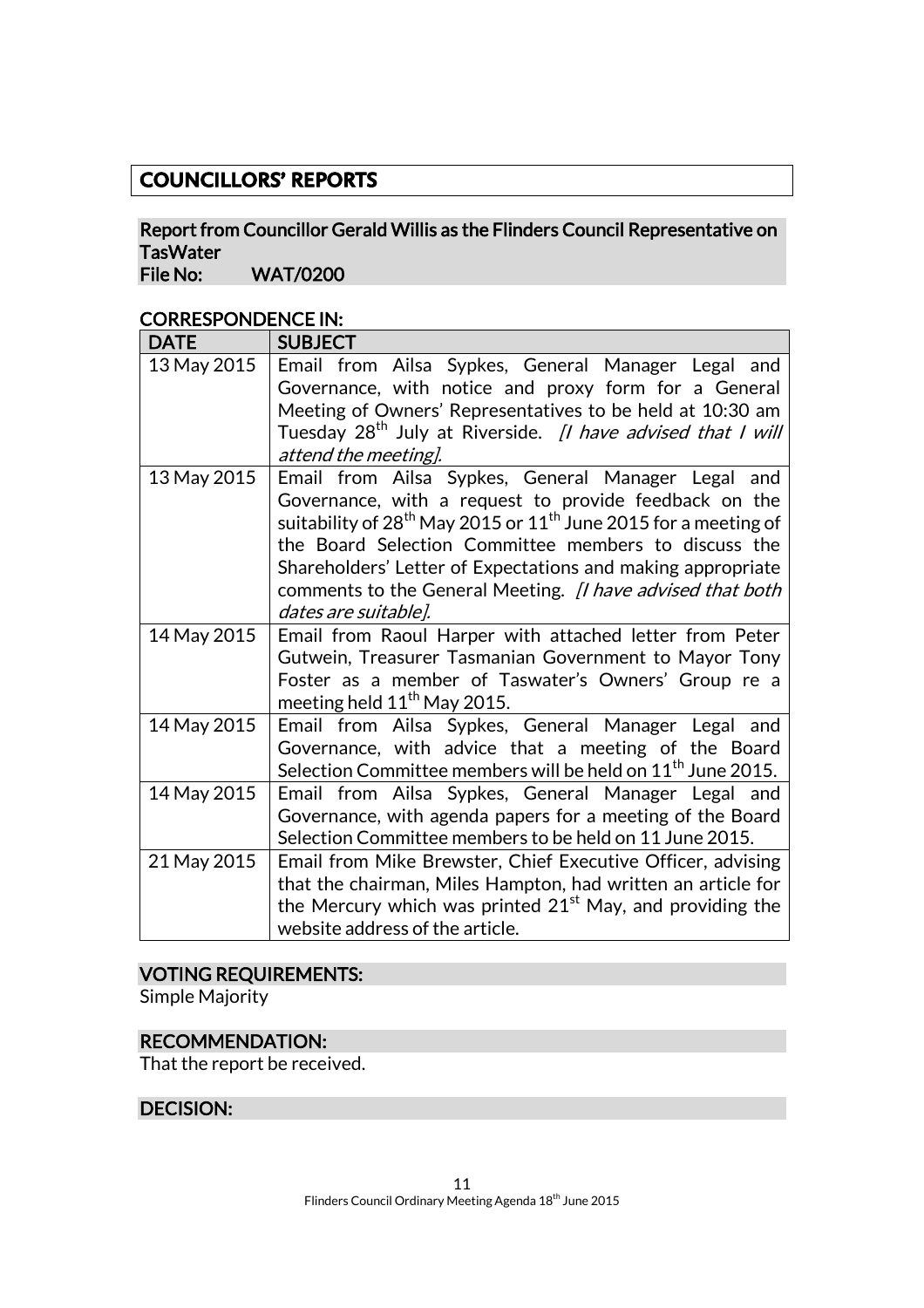# **COUNCILLORS' REPORTS**

# Report from Councillor Gerald Willis as the Flinders Council Representative on TasWater<br>File No:

WAT/0200

#### CORRESPONDENCE IN:

| <b>DATE</b> | <b>SUBJECT</b>                                                                                                                                                                                                                                                                                                                                                                                                             |
|-------------|----------------------------------------------------------------------------------------------------------------------------------------------------------------------------------------------------------------------------------------------------------------------------------------------------------------------------------------------------------------------------------------------------------------------------|
| 13 May 2015 | Email from Ailsa Sypkes, General Manager Legal and<br>Governance, with notice and proxy form for a General<br>Meeting of Owners' Representatives to be held at 10:30 am<br>Tuesday 28 <sup>th</sup> July at Riverside. <i>[I have advised that I will</i><br>attend the meeting].                                                                                                                                          |
| 13 May 2015 | Email from Ailsa Sypkes, General Manager Legal and<br>Governance, with a request to provide feedback on the<br>suitability of 28 <sup>th</sup> May 2015 or 11 <sup>th</sup> June 2015 for a meeting of<br>the Board Selection Committee members to discuss the<br>Shareholders' Letter of Expectations and making appropriate<br>comments to the General Meeting. <i>[I have advised that both</i><br>dates are suitable]. |
| 14 May 2015 | Email from Raoul Harper with attached letter from Peter<br>Gutwein, Treasurer Tasmanian Government to Mayor Tony<br>Foster as a member of Taswater's Owners' Group re a<br>meeting held 11 <sup>th</sup> May 2015.                                                                                                                                                                                                         |
| 14 May 2015 | Email from Ailsa Sypkes, General Manager Legal and<br>Governance, with advice that a meeting of the Board<br>Selection Committee members will be held on 11 <sup>th</sup> June 2015.                                                                                                                                                                                                                                       |
| 14 May 2015 | Email from Ailsa Sypkes, General Manager Legal and<br>Governance, with agenda papers for a meeting of the Board<br>Selection Committee members to be held on 11 June 2015.                                                                                                                                                                                                                                                 |
| 21 May 2015 | Email from Mike Brewster, Chief Executive Officer, advising<br>that the chairman, Miles Hampton, had written an article for<br>the Mercury which was printed $21st$ May, and providing the<br>website address of the article.                                                                                                                                                                                              |

# VOTING REQUIREMENTS:

Simple Majority

#### RECOMMENDATION:

That the report be received.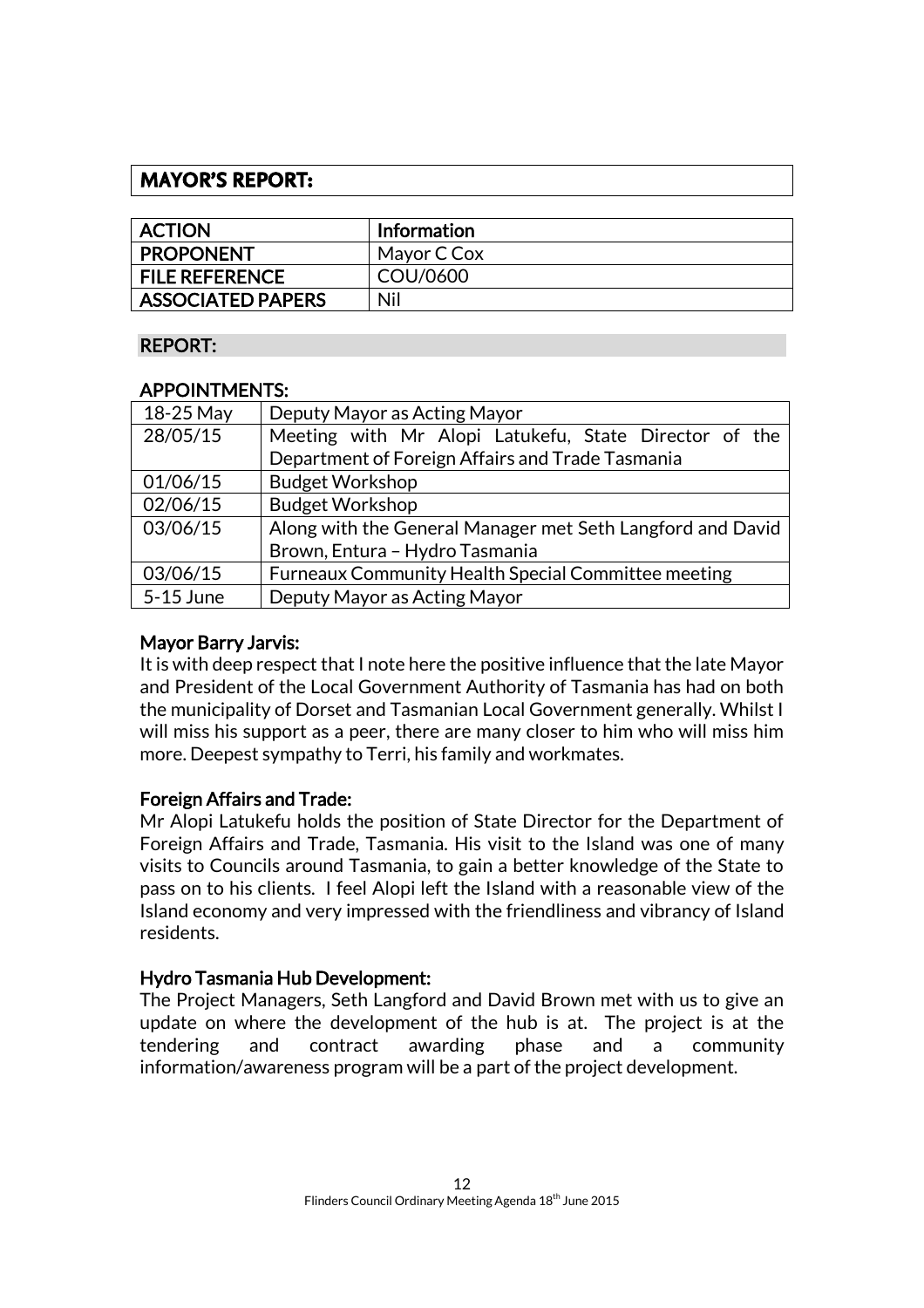# **MAYOR'S REPORT:**

| <b>ACTION</b>            | <b>Information</b> |
|--------------------------|--------------------|
| <b>PROPONENT</b>         | Mayor C Cox        |
| <b>FILE REFERENCE</b>    | COU/0600           |
| <b>ASSOCIATED PAPERS</b> | Nil                |

#### REPORT:

#### APPOINTMENTS:

| 18-25 May | Deputy Mayor as Acting Mayor                               |  |
|-----------|------------------------------------------------------------|--|
| 28/05/15  | Meeting with Mr Alopi Latukefu, State Director of the      |  |
|           | Department of Foreign Affairs and Trade Tasmania           |  |
| 01/06/15  | <b>Budget Workshop</b>                                     |  |
| 02/06/15  | <b>Budget Workshop</b>                                     |  |
| 03/06/15  | Along with the General Manager met Seth Langford and David |  |
|           | Brown, Entura - Hydro Tasmania                             |  |
| 03/06/15  | Furneaux Community Health Special Committee meeting        |  |
| 5-15 June | Deputy Mayor as Acting Mayor                               |  |

#### Mayor Barry Jarvis:

It is with deep respect that I note here the positive influence that the late Mayor and President of the Local Government Authority of Tasmania has had on both the municipality of Dorset and Tasmanian Local Government generally. Whilst I will miss his support as a peer, there are many closer to him who will miss him more. Deepest sympathy to Terri, his family and workmates.

#### Foreign Affairs and Trade:

Mr Alopi Latukefu holds the position of State Director for the Department of Foreign Affairs and Trade, Tasmania. His visit to the Island was one of many visits to Councils around Tasmania, to gain a better knowledge of the State to pass on to his clients. I feel Alopi left the Island with a reasonable view of the Island economy and very impressed with the friendliness and vibrancy of Island residents.

#### Hydro Tasmania Hub Development:

The Project Managers, Seth Langford and David Brown met with us to give an update on where the development of the hub is at. The project is at the tendering and contract awarding phase and a community information/awareness program will be a part of the project development.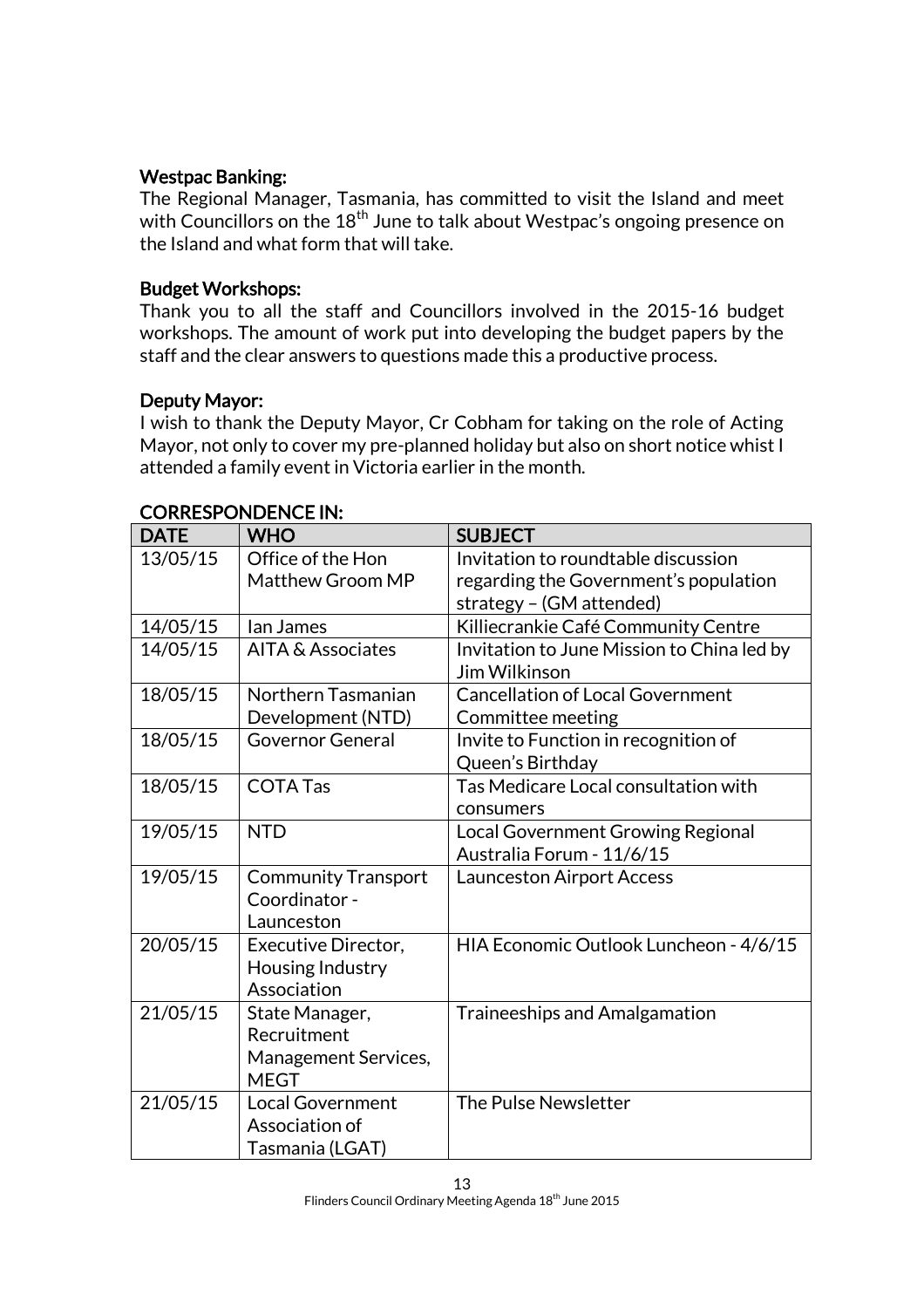#### Westpac Banking:

The Regional Manager, Tasmania, has committed to visit the Island and meet with Councillors on the 18<sup>th</sup> June to talk about Westpac's ongoing presence on the Island and what form that will take.

### Budget Workshops:

Thank you to all the staff and Councillors involved in the 2015-16 budget workshops. The amount of work put into developing the budget papers by the staff and the clear answers to questions made this a productive process.

# Deputy Mayor:

I wish to thank the Deputy Mayor, Cr Cobham for taking on the role of Acting Mayor, not only to cover my pre-planned holiday but also on short notice whist I attended a family event in Victoria earlier in the month.

| <b>DATE</b> | <b>WHO</b>                                                           | <b>SUBJECT</b>                                                               |
|-------------|----------------------------------------------------------------------|------------------------------------------------------------------------------|
| 13/05/15    | Office of the Hon<br>Matthew Groom MP                                | Invitation to roundtable discussion<br>regarding the Government's population |
|             |                                                                      | strategy - (GM attended)                                                     |
| 14/05/15    | lan James                                                            | Killiecrankie Café Community Centre                                          |
| 14/05/15    | AITA & Associates                                                    | Invitation to June Mission to China led by<br>Jim Wilkinson                  |
| 18/05/15    | Northern Tasmanian<br>Development (NTD)                              | <b>Cancellation of Local Government</b><br>Committee meeting                 |
| 18/05/15    | <b>Governor General</b>                                              | Invite to Function in recognition of<br>Queen's Birthday                     |
| 18/05/15    | <b>COTA Tas</b>                                                      | Tas Medicare Local consultation with<br>consumers                            |
| 19/05/15    | <b>NTD</b>                                                           | Local Government Growing Regional<br>Australia Forum - 11/6/15               |
| 19/05/15    | <b>Community Transport</b><br>Coordinator -<br>Launceston            | <b>Launceston Airport Access</b>                                             |
| 20/05/15    | Executive Director,<br>Housing Industry<br>Association               | HIA Economic Outlook Luncheon - 4/6/15                                       |
| 21/05/15    | State Manager,<br>Recruitment<br>Management Services,<br><b>MEGT</b> | <b>Traineeships and Amalgamation</b>                                         |
| 21/05/15    | <b>Local Government</b><br>Association of<br>Tasmania (LGAT)         | The Pulse Newsletter                                                         |

#### CORRESPONDENCE IN: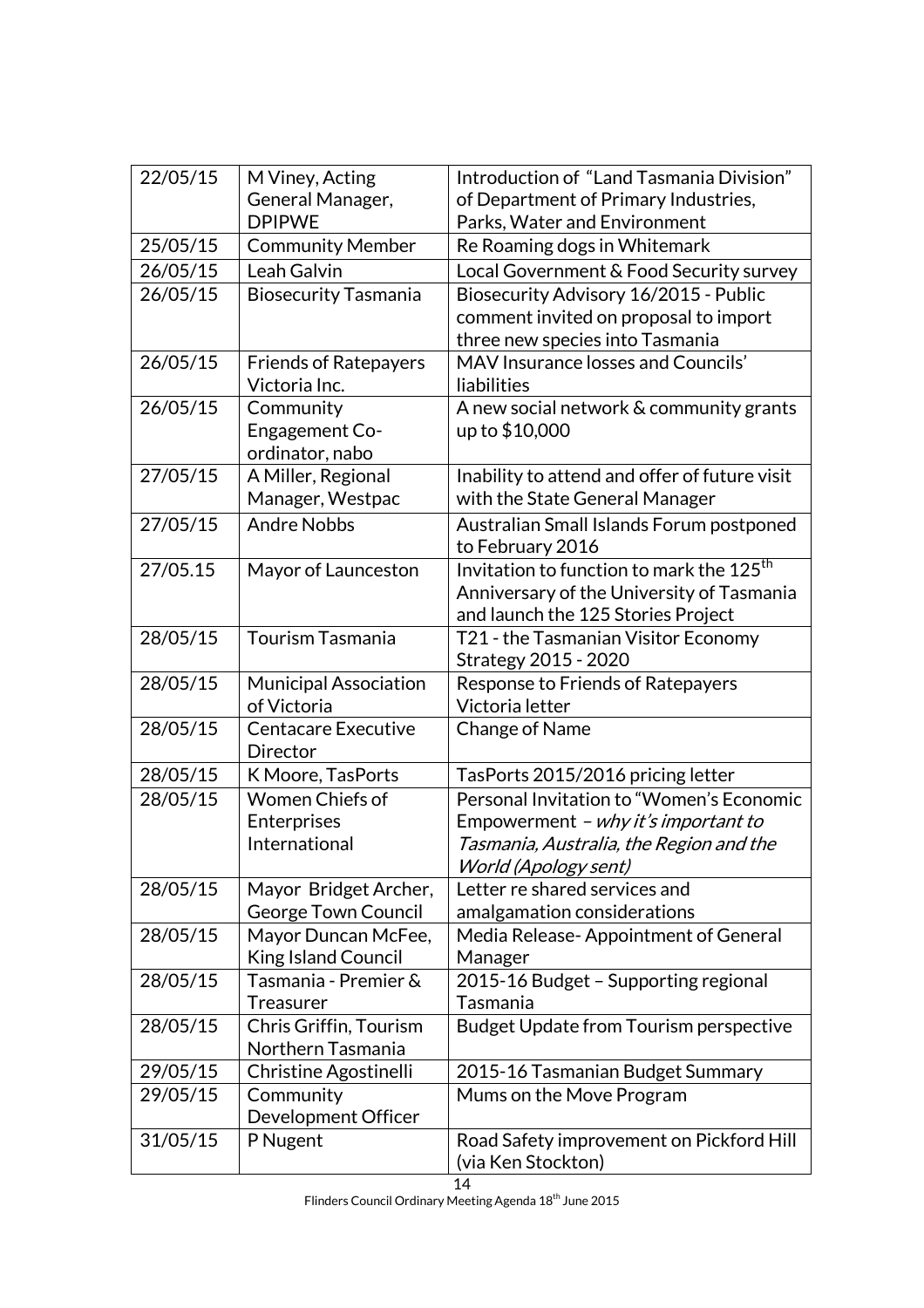| 22/05/15 | M Viney, Acting<br>General Manager,<br><b>DPIPWE</b> | Introduction of "Land Tasmania Division"<br>of Department of Primary Industries,<br>Parks, Water and Environment                                          |
|----------|------------------------------------------------------|-----------------------------------------------------------------------------------------------------------------------------------------------------------|
| 25/05/15 | <b>Community Member</b>                              | Re Roaming dogs in Whitemark                                                                                                                              |
| 26/05/15 | Leah Galvin                                          | Local Government & Food Security survey                                                                                                                   |
| 26/05/15 | <b>Biosecurity Tasmania</b>                          | Biosecurity Advisory 16/2015 - Public<br>comment invited on proposal to import<br>three new species into Tasmania                                         |
| 26/05/15 | <b>Friends of Ratepayers</b><br>Victoria Inc.        | MAV Insurance losses and Councils'<br>liabilities                                                                                                         |
| 26/05/15 | Community<br>Engagement Co-<br>ordinator, nabo       | A new social network & community grants<br>up to \$10,000                                                                                                 |
| 27/05/15 | A Miller, Regional<br>Manager, Westpac               | Inability to attend and offer of future visit<br>with the State General Manager                                                                           |
| 27/05/15 | <b>Andre Nobbs</b>                                   | Australian Small Islands Forum postponed<br>to February 2016                                                                                              |
| 27/05.15 | Mayor of Launceston                                  | Invitation to function to mark the $125th$<br>Anniversary of the University of Tasmania<br>and launch the 125 Stories Project                             |
| 28/05/15 | Tourism Tasmania                                     | T21 - the Tasmanian Visitor Economy<br>Strategy 2015 - 2020                                                                                               |
| 28/05/15 | <b>Municipal Association</b><br>of Victoria          | Response to Friends of Ratepayers<br>Victoria letter                                                                                                      |
| 28/05/15 | <b>Centacare Executive</b><br>Director               | Change of Name                                                                                                                                            |
| 28/05/15 | K Moore, TasPorts                                    | TasPorts 2015/2016 pricing letter                                                                                                                         |
| 28/05/15 | Women Chiefs of<br>Enterprises<br>International      | Personal Invitation to "Women's Economic<br>Empowerment - why it's important to<br>Tasmania, Australia, the Region and the<br><b>World (Apology sent)</b> |
| 28/05/15 | Mayor Bridget Archer,<br><b>George Town Council</b>  | Letter re shared services and<br>amalgamation considerations                                                                                              |
| 28/05/15 | Mayor Duncan McFee,<br><b>King Island Council</b>    | Media Release-Appointment of General<br>Manager                                                                                                           |
| 28/05/15 | Tasmania - Premier &<br><b>Treasurer</b>             | 2015-16 Budget - Supporting regional<br>Tasmania                                                                                                          |
| 28/05/15 | Chris Griffin, Tourism<br>Northern Tasmania          | Budget Update from Tourism perspective                                                                                                                    |
| 29/05/15 | Christine Agostinelli                                | 2015-16 Tasmanian Budget Summary                                                                                                                          |
| 29/05/15 | Community<br>Development Officer                     | Mums on the Move Program                                                                                                                                  |
| 31/05/15 | P Nugent                                             | Road Safety improvement on Pickford Hill<br>(via Ken Stockton)                                                                                            |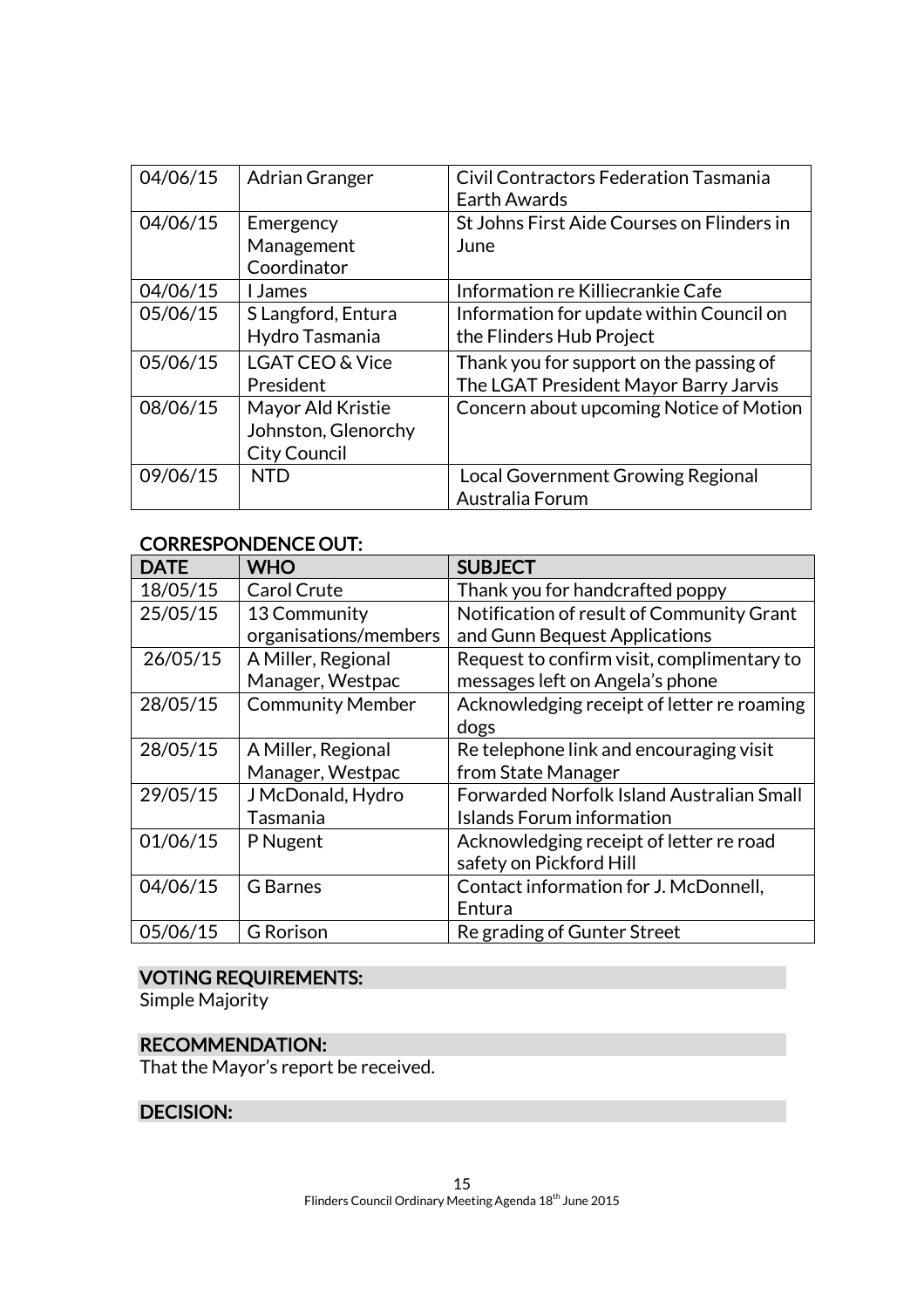| 04/06/15 | <b>Adrian Granger</b>      | <b>Civil Contractors Federation Tasmania</b><br><b>Earth Awards</b> |
|----------|----------------------------|---------------------------------------------------------------------|
| 04/06/15 | Emergency                  | St Johns First Aide Courses on Flinders in                          |
|          | Management                 | June                                                                |
|          | Coordinator                |                                                                     |
| 04/06/15 | I James                    | Information re Killiecrankie Cafe                                   |
| 05/06/15 | S Langford, Entura         | Information for update within Council on                            |
|          | Hydro Tasmania             | the Flinders Hub Project                                            |
| 05/06/15 | <b>LGAT CEO &amp; Vice</b> | Thank you for support on the passing of                             |
|          | President                  | The LGAT President Mayor Barry Jarvis                               |
| 08/06/15 | Mayor Ald Kristie          | Concern about upcoming Notice of Motion                             |
|          | Johnston, Glenorchy        |                                                                     |
|          | <b>City Council</b>        |                                                                     |
| 09/06/15 | NTD                        | <b>Local Government Growing Regional</b>                            |
|          |                            | Australia Forum                                                     |

#### CORRESPONDENCE OUT:

| <b>DATE</b> | <b>WHO</b>              | <b>SUBJECT</b>                             |
|-------------|-------------------------|--------------------------------------------|
| 18/05/15    | <b>Carol Crute</b>      | Thank you for handcrafted poppy            |
| 25/05/15    | 13 Community            | Notification of result of Community Grant  |
|             | organisations/members   | and Gunn Bequest Applications              |
| 26/05/15    | A Miller, Regional      | Request to confirm visit, complimentary to |
|             | Manager, Westpac        | messages left on Angela's phone            |
| 28/05/15    | <b>Community Member</b> | Acknowledging receipt of letter re roaming |
|             |                         | dogs                                       |
| 28/05/15    | A Miller, Regional      | Re telephone link and encouraging visit    |
|             | Manager, Westpac        | from State Manager                         |
| 29/05/15    | J McDonald, Hydro       | Forwarded Norfolk Island Australian Small  |
|             | Tasmania                | Islands Forum information                  |
| 01/06/15    | P Nugent                | Acknowledging receipt of letter re road    |
|             |                         | safety on Pickford Hill                    |
| 04/06/15    | <b>G</b> Barnes         | Contact information for J. McDonnell,      |
|             |                         | Entura                                     |
| 05/06/15    | <b>G</b> Rorison        | Re grading of Gunter Street                |

# VOTING REQUIREMENTS:

Simple Majority

# RECOMMENDATION:

That the Mayor's report be received.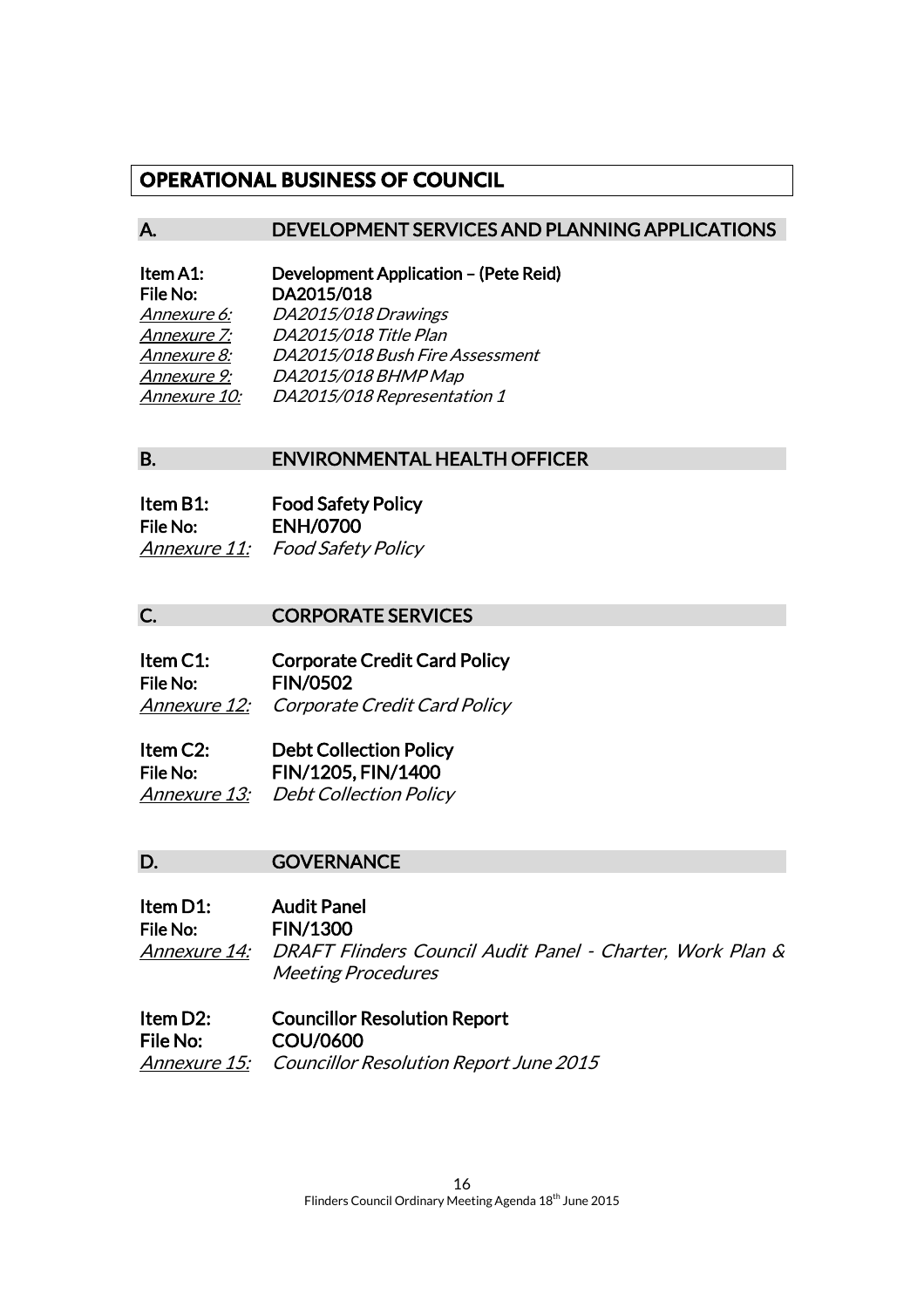# **OPERATIONAL BUSINESS OF COUNCIL**

#### A. DEVELOPMENT SERVICES AND PLANNING APPLICATIONS

| Item A1:     | Development Application - (Pete Reid) |
|--------------|---------------------------------------|
| File No:     | DA2015/018                            |
| Annexure 6:  | DA2015/018 Drawings                   |
| Annexure 7:  | DA2015/018 Title Plan                 |
| Annexure 8:  | DA2015/018 Bush Fire Assessment       |
| Annexure 9:  | DA2015/018 BHMP Map                   |
| Annexure 10: | DA2015/018 Representation 1           |

#### B. ENVIRONMENTAL HEALTH OFFICER

| Item B1:     | <b>Food Safety Policy</b> |
|--------------|---------------------------|
| File No:     | <b>ENH/0700</b>           |
| Annexure 11: | <b>Food Safety Policy</b> |

#### C. **CORPORATE SERVICES**

| Item C1: | <b>Corporate Credit Card Policy</b>              |
|----------|--------------------------------------------------|
| File No: | <b>FIN/0502</b>                                  |
|          | <b>Annexure 12:</b> Corporate Credit Card Policy |

| Item C2: | <b>Debt Collection Policy</b>       |
|----------|-------------------------------------|
| File No: | FIN/1205, FIN/1400                  |
|          | Annexure 13: Debt Collection Policy |

#### D. **GOVERNANCE**

Item D1: Audit Panel File No: FIN/1300 Annexure 14: DRAFT Flinders Council Audit Panel - Charter, Work Plan & Meeting Procedures

Item D2: Councillor Resolution Report File No: COU/0600 Annexure 15: Councillor Resolution Report June 2015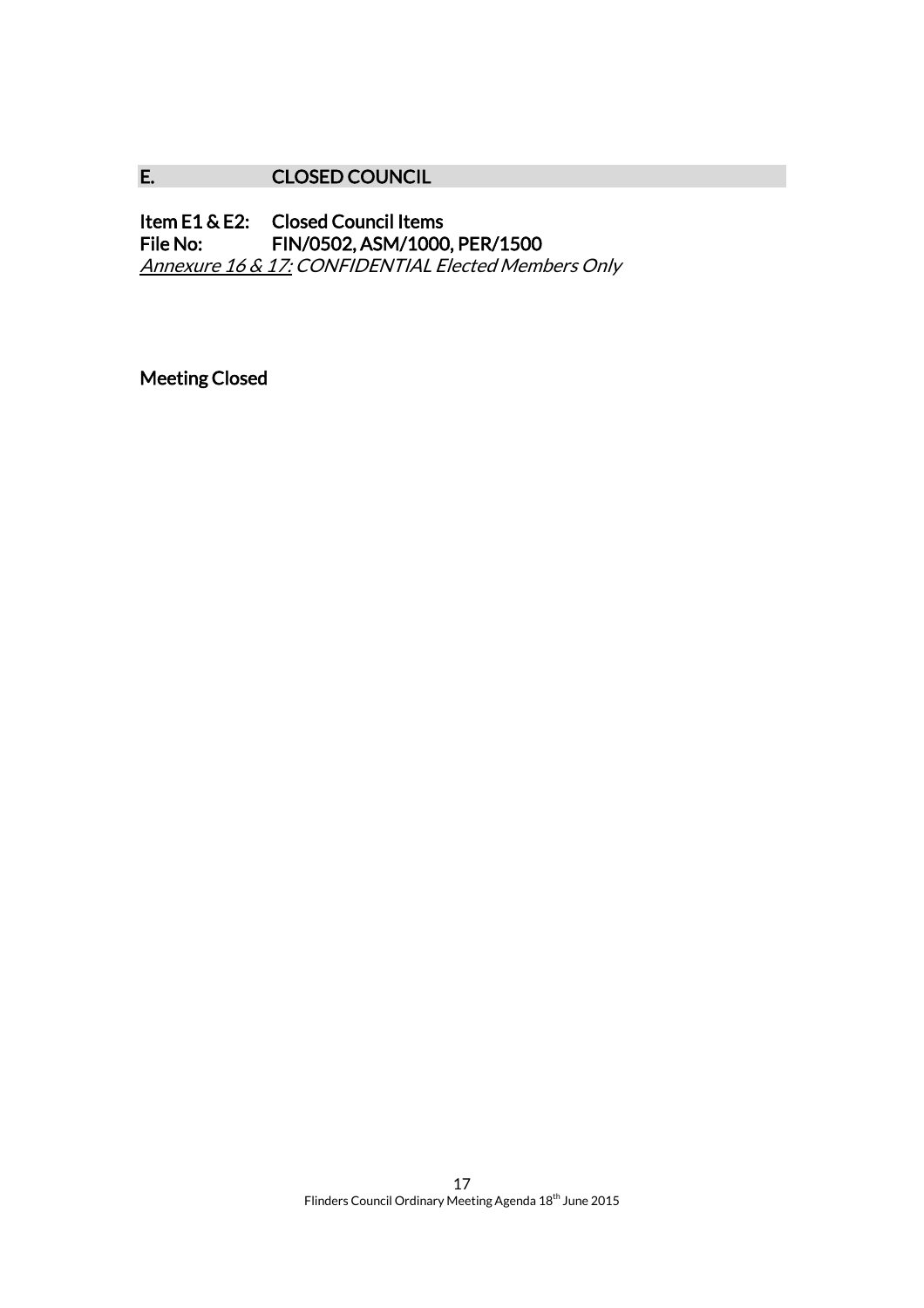# E. CLOSED COUNCIL

Item E1 & E2: Closed Council Items<br>File No: FIN/0502, ASM/1000 FIN/0502, ASM/1000, PER/1500 Annexure 16 & 17: CONFIDENTIAL Elected Members Only

Meeting Closed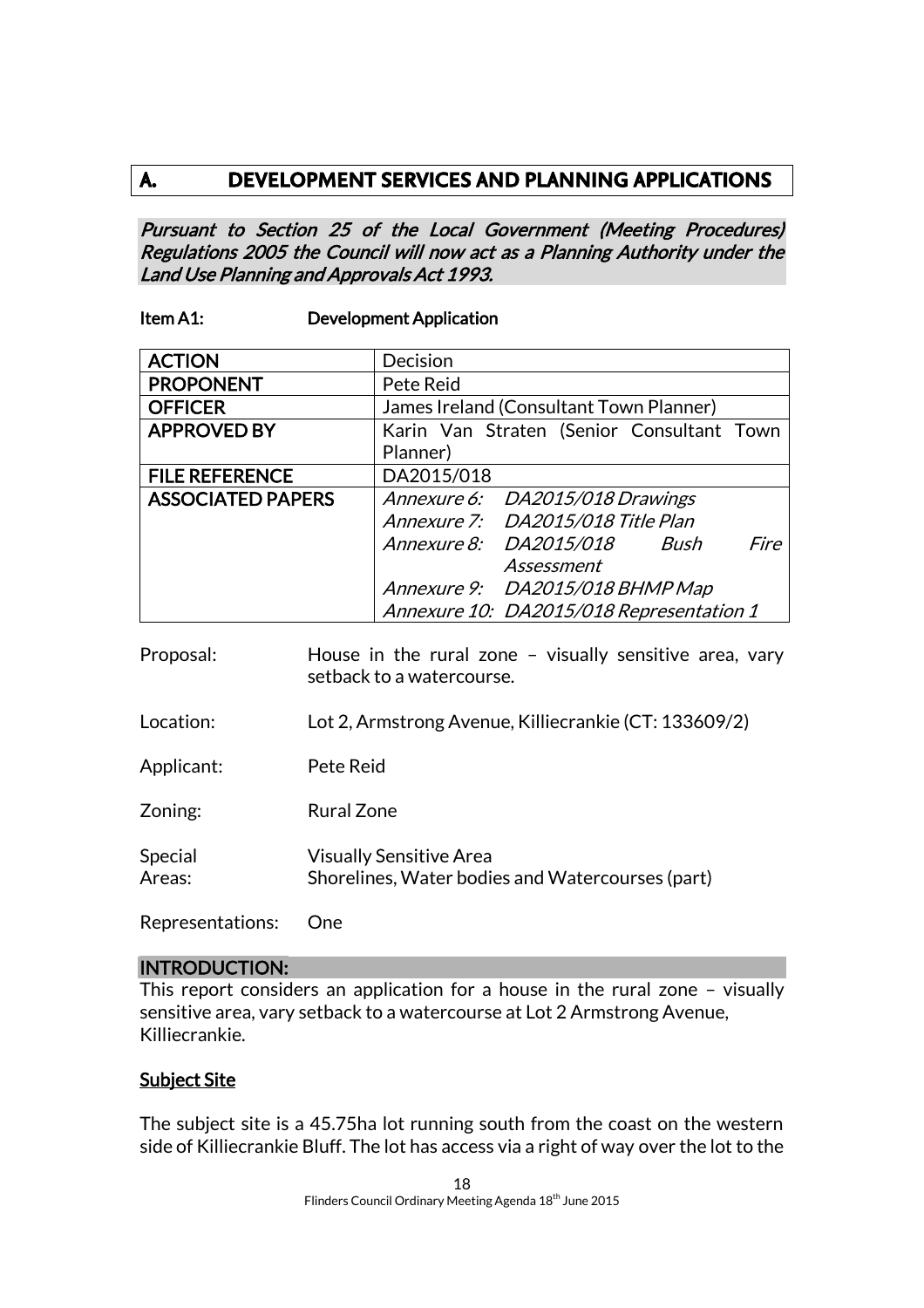# **A. DEVELOPMENT SERVICES AND PLANNING APPLICATIONS**

Pursuant to Section 25 of the Local Government (Meeting Procedures) Regulations 2005 the Council will now act as a Planning Authority under the Land Use Planning and Approvals Act 1993.

#### Item A1: Development Application

| <b>ACTION</b>            | Decision                                  |
|--------------------------|-------------------------------------------|
| <b>PROPONENT</b>         | Pete Reid                                 |
| <b>OFFICER</b>           | James Ireland (Consultant Town Planner)   |
| <b>APPROVED BY</b>       | Karin Van Straten (Senior Consultant Town |
|                          | Planner)                                  |
| <b>FILE REFERENCE</b>    | DA2015/018                                |
| <b>ASSOCIATED PAPERS</b> | Annexure 6: DA2015/018 Drawings           |
|                          | Annexure 7: DA2015/018 Title Plan         |
|                          | Annexure 8: DA2015/018 Bush<br>Fire       |
|                          | Assessment                                |
|                          | Annexure 9: DA2015/018 BHMP Map           |
|                          | Annexure 10: DA2015/018 Representation 1  |

| Proposal:         | House in the rural zone $-$ visually sensitive area, vary<br>setback to a watercourse. |
|-------------------|----------------------------------------------------------------------------------------|
| Location:         | Lot 2, Armstrong Avenue, Killiecrankie (CT: 133609/2)                                  |
| Applicant:        | Pete Reid                                                                              |
| Zoning:           | Rural Zone                                                                             |
| Special<br>Areas: | <b>Visually Sensitive Area</b><br>Shorelines, Water bodies and Watercourses (part)     |
| Representations:  | One                                                                                    |

#### INTRODUCTION:

This report considers an application for a house in the rural zone – visually sensitive area, vary setback to a watercourse at Lot 2 Armstrong Avenue, Killiecrankie.

#### Subject Site

The subject site is a 45.75ha lot running south from the coast on the western side of Killiecrankie Bluff. The lot has access via a right of way over the lot to the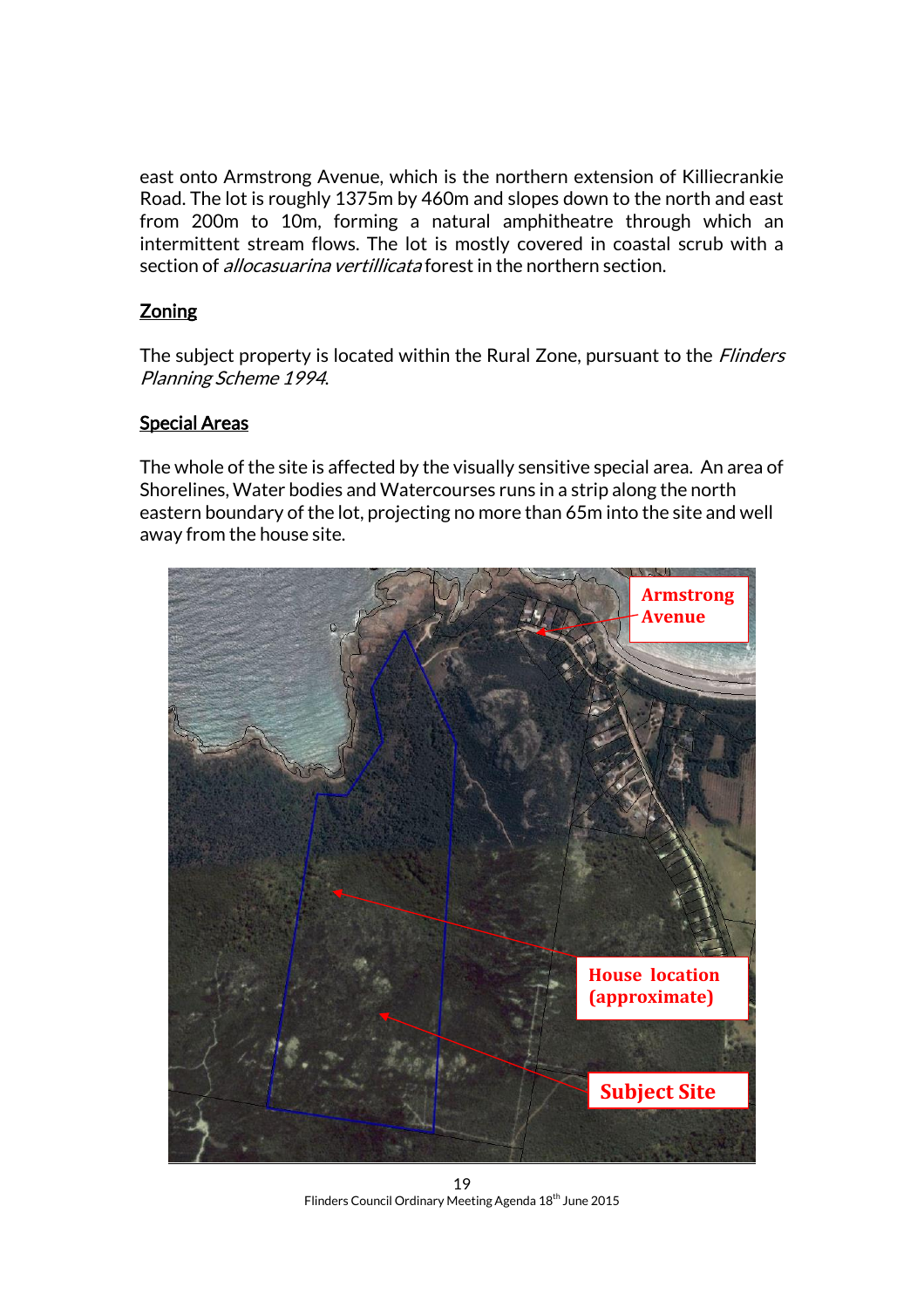east onto Armstrong Avenue, which is the northern extension of Killiecrankie Road. The lot is roughly 1375m by 460m and slopes down to the north and east from 200m to 10m, forming a natural amphitheatre through which an intermittent stream flows. The lot is mostly covered in coastal scrub with a section of *allocasuarina vertillicata* forest in the northern section.

# **Zoning**

The subject property is located within the Rural Zone, pursuant to the *Flinders* Planning Scheme 1994.

#### Special Areas

The whole of the site is affected by the visually sensitive special area. An area of Shorelines, Water bodies and Watercourses runs in a strip along the north eastern boundary of the lot, projecting no more than 65m into the site and well away from the house site.



19 Flinders Council Ordinary Meeting Agenda 18<sup>th</sup> June 2015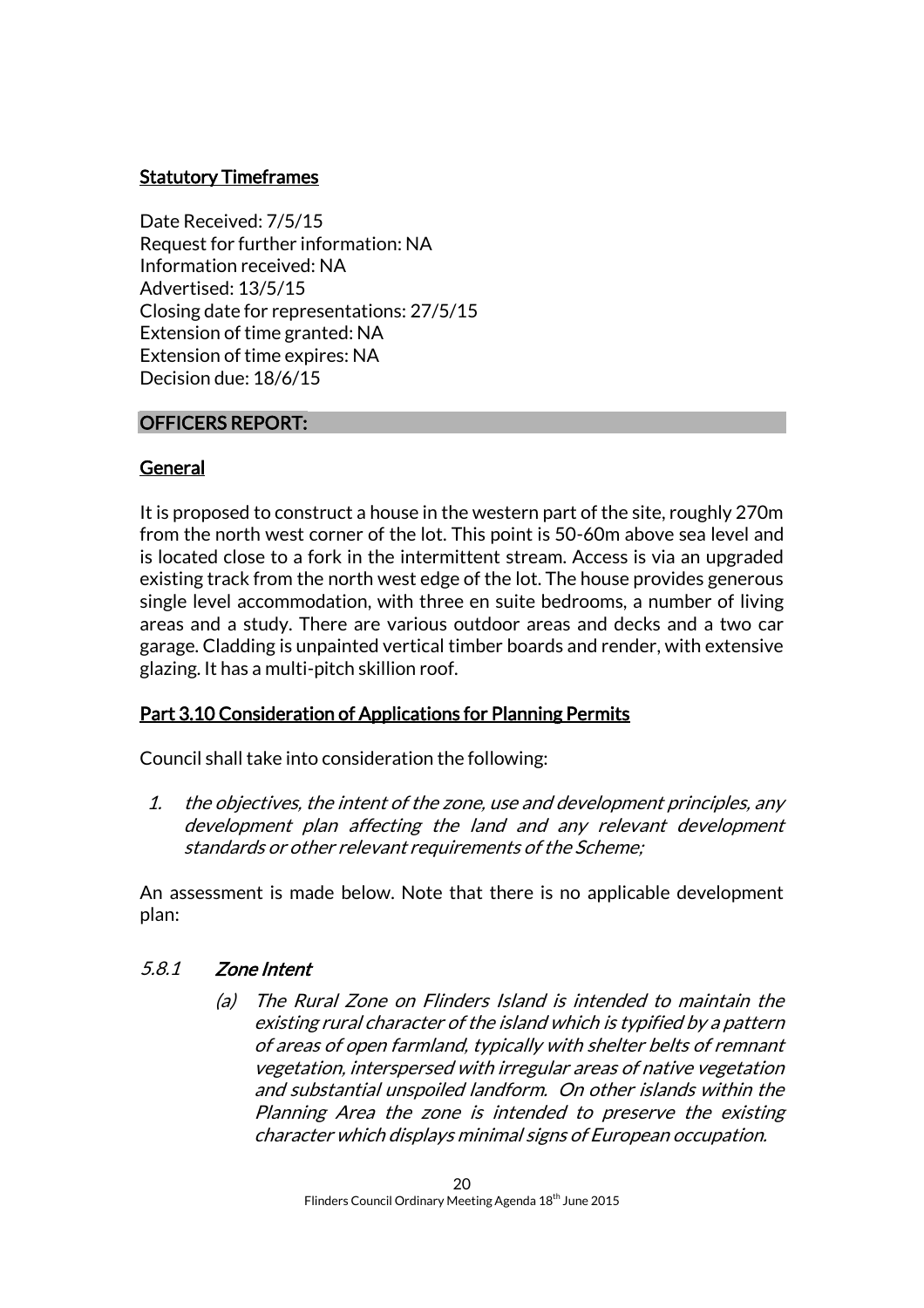# **Statutory Timeframes**

Date Received: 7/5/15 Request for further information: NA Information received: NA Advertised: 13/5/15 Closing date for representations: 27/5/15 Extension of time granted: NA Extension of time expires: NA Decision due: 18/6/15

#### OFFICERS REPORT:

#### General

It is proposed to construct a house in the western part of the site, roughly 270m from the north west corner of the lot. This point is 50-60m above sea level and is located close to a fork in the intermittent stream. Access is via an upgraded existing track from the north west edge of the lot. The house provides generous single level accommodation, with three en suite bedrooms, a number of living areas and a study. There are various outdoor areas and decks and a two car garage. Cladding is unpainted vertical timber boards and render, with extensive glazing. It has a multi-pitch skillion roof.

#### Part 3.10 Consideration of Applications for Planning Permits

Council shall take into consideration the following:

1. the objectives, the intent of the zone, use and development principles, any development plan affecting the land and any relevant development standards or other relevant requirements of the Scheme;

An assessment is made below. Note that there is no applicable development plan:

#### 5.8.1 Zone Intent

(a) The Rural Zone on Flinders Island is intended to maintain the existing rural character of the island which is typified by a pattern of areas of open farmland, typically with shelter belts of remnant vegetation, interspersed with irregular areas of native vegetation and substantial unspoiled landform. On other islands within the Planning Area the zone is intended to preserve the existing character which displays minimal signs of European occupation.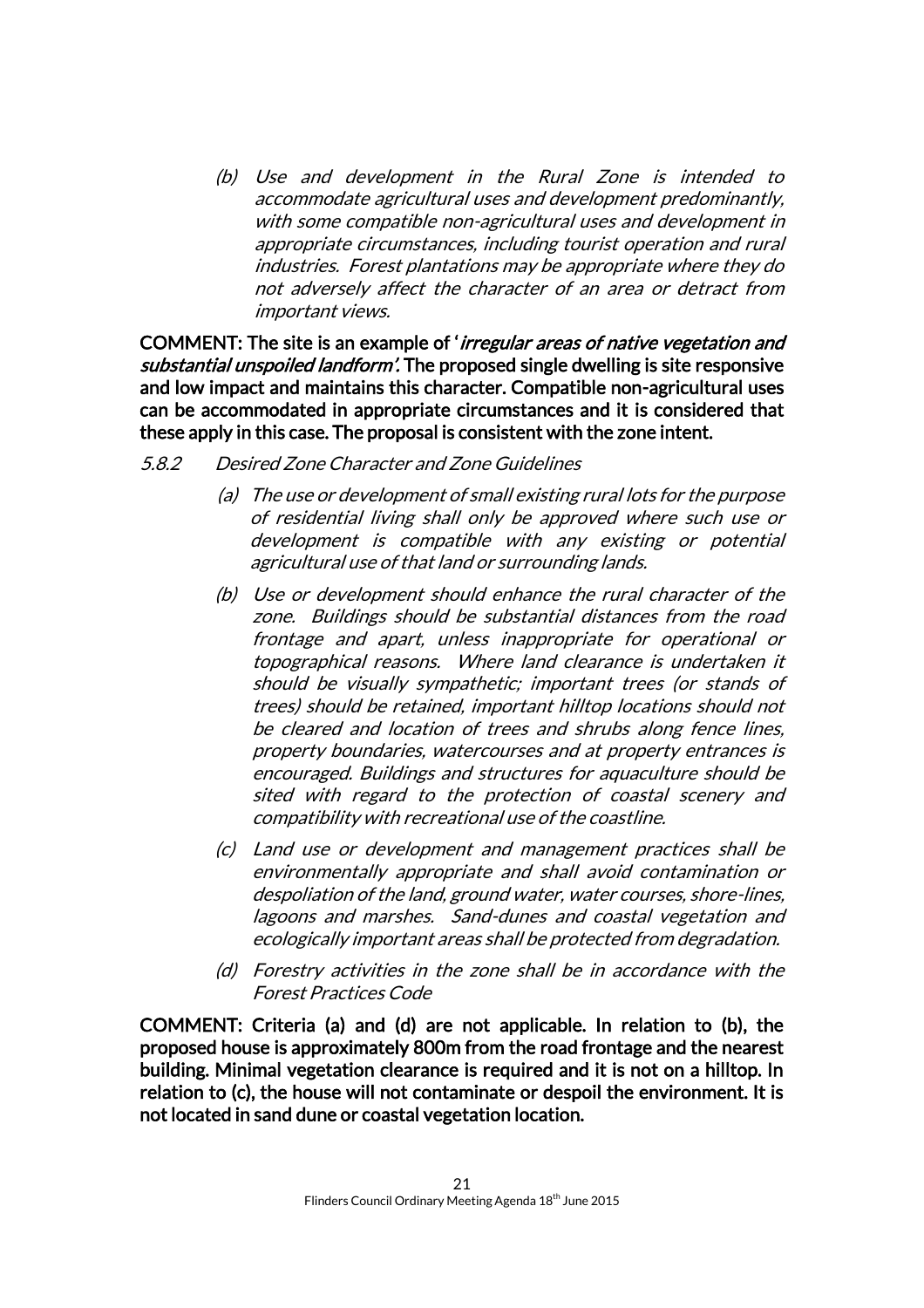(b) Use and development in the Rural Zone is intended to accommodate agricultural uses and development predominantly, with some compatible non-agricultural uses and development in appropriate circumstances, including tourist operation and rural industries. Forest plantations may be appropriate where they do not adversely affect the character of an area or detract from important views.

COMMENT: The site is an example of 'irregular areas of native vegetation and substantial unspoiled landform'. The proposed single dwelling is site responsive and low impact and maintains this character. Compatible non-agricultural uses can be accommodated in appropriate circumstances and it is considered that these apply in this case. The proposal is consistent with the zone intent.

#### 5.8.2 Desired Zone Character and Zone Guidelines

- (a) The use or development of small existing rural lots for the purpose of residential living shall only be approved where such use or development is compatible with any existing or potential agricultural use of that land or surrounding lands.
- (b) Use or development should enhance the rural character of the zone. Buildings should be substantial distances from the road frontage and apart, unless inappropriate for operational or topographical reasons. Where land clearance is undertaken it should be visually sympathetic; important trees (or stands of trees) should be retained, important hilltop locations should not be cleared and location of trees and shrubs along fence lines, property boundaries, watercourses and at property entrances is encouraged. Buildings and structures for aquaculture should be sited with regard to the protection of coastal scenery and compatibility with recreational use of the coastline.
- (c) Land use or development and management practices shall be environmentally appropriate and shall avoid contamination or despoliation of the land, ground water, water courses, shore-lines, lagoons and marshes. Sand-dunes and coastal vegetation and ecologically important areas shall be protected from degradation.
- (d) Forestry activities in the zone shall be in accordance with the Forest Practices Code

COMMENT: Criteria (a) and (d) are not applicable. In relation to (b), the proposed house is approximately 800m from the road frontage and the nearest building. Minimal vegetation clearance is required and it is not on a hilltop. In relation to (c), the house will not contaminate or despoil the environment. It is not located in sand dune or coastal vegetation location.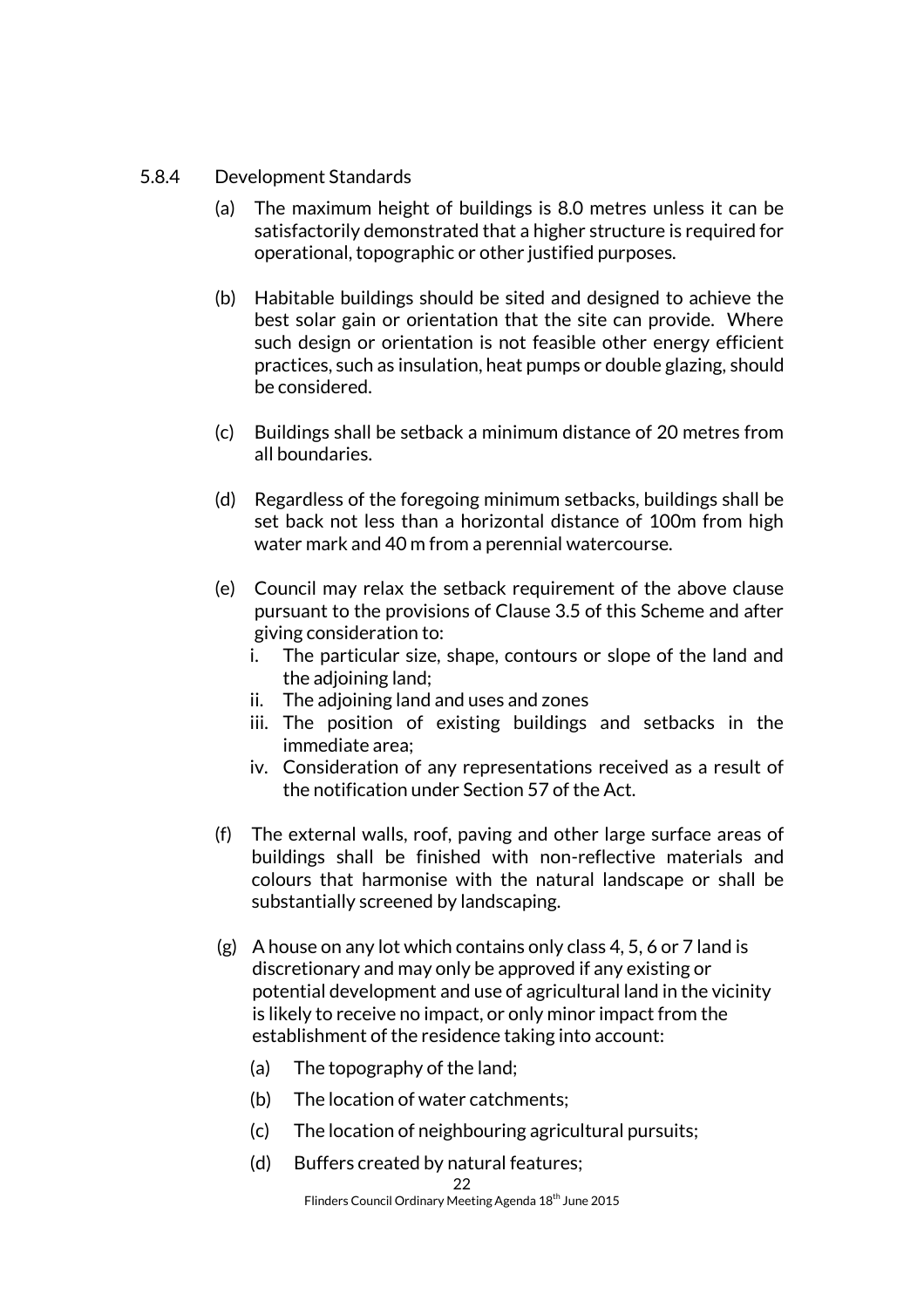#### 5.8.4 Development Standards

- (a) The maximum height of buildings is 8.0 metres unless it can be satisfactorily demonstrated that a higher structure is required for operational, topographic or other justified purposes.
- (b) Habitable buildings should be sited and designed to achieve the best solar gain or orientation that the site can provide. Where such design or orientation is not feasible other energy efficient practices, such as insulation, heat pumps or double glazing, should be considered.
- (c) Buildings shall be setback a minimum distance of 20 metres from all boundaries.
- (d) Regardless of the foregoing minimum setbacks, buildings shall be set back not less than a horizontal distance of 100m from high water mark and 40 m from a perennial watercourse.
- (e) Council may relax the setback requirement of the above clause pursuant to the provisions of Clause 3.5 of this Scheme and after giving consideration to:
	- i. The particular size, shape, contours or slope of the land and the adjoining land;
	- ii. The adjoining land and uses and zones
	- iii. The position of existing buildings and setbacks in the immediate area;
	- iv. Consideration of any representations received as a result of the notification under Section 57 of the Act.
- (f) The external walls, roof, paving and other large surface areas of buildings shall be finished with non-reflective materials and colours that harmonise with the natural landscape or shall be substantially screened by landscaping.
- (g) A house on any lot which contains only class 4, 5, 6 or 7 land is discretionary and may only be approved if any existing or potential development and use of agricultural land in the vicinity is likely to receive no impact, or only minor impact from the establishment of the residence taking into account:
	- (a) The topography of the land;
	- (b) The location of water catchments;
	- (c) The location of neighbouring agricultural pursuits;
	- (d) Buffers created by natural features;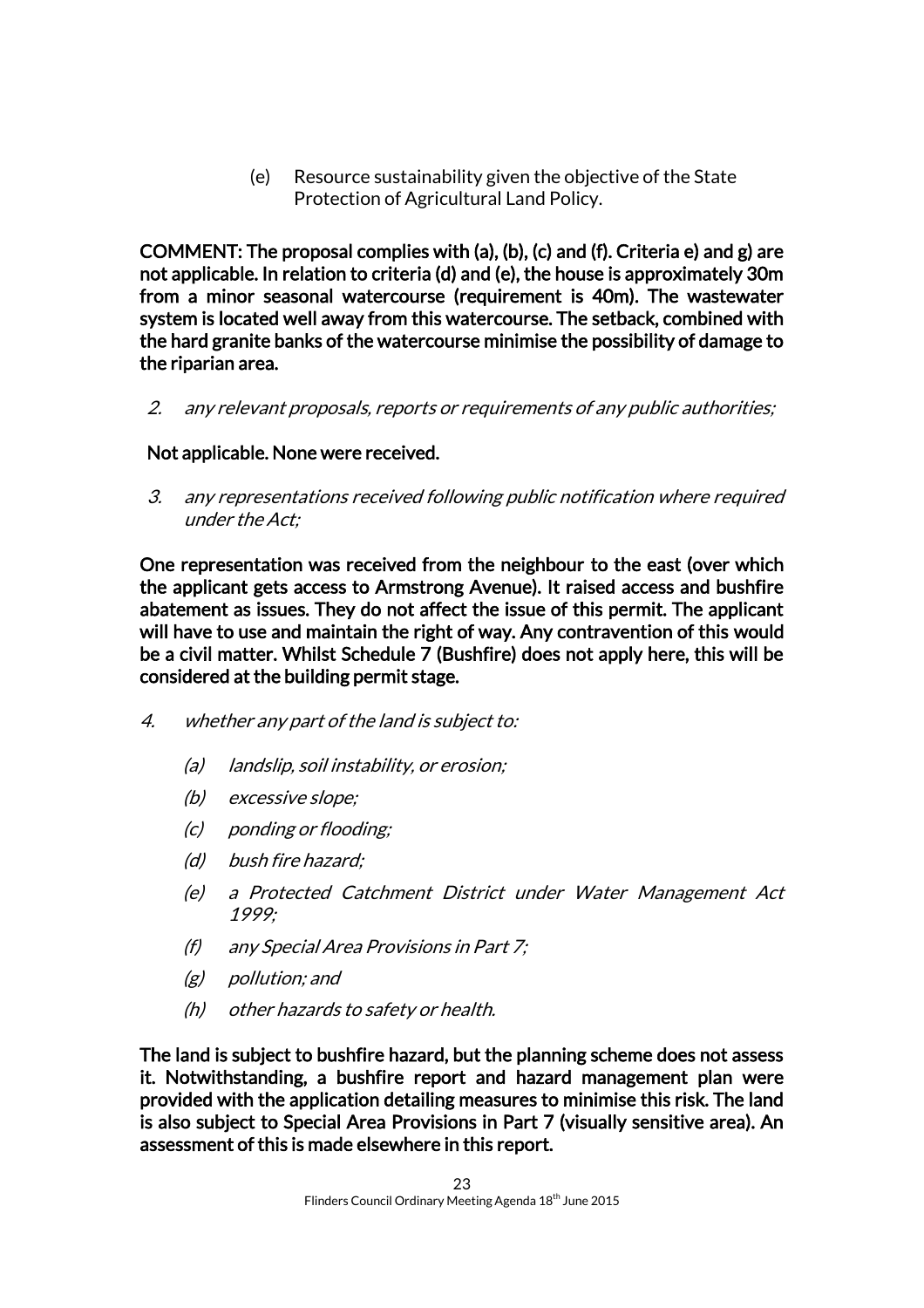(e) Resource sustainability given the objective of the State Protection of Agricultural Land Policy.

COMMENT: The proposal complies with (a), (b), (c) and (f). Criteria e) and g) are not applicable. In relation to criteria (d) and (e), the house is approximately 30m from a minor seasonal watercourse (requirement is 40m). The wastewater system is located well away from this watercourse. The setback, combined with the hard granite banks of the watercourse minimise the possibility of damage to the riparian area.

2. any relevant proposals, reports or requirements of any public authorities;

Not applicable. None were received.

3. any representations received following public notification where required under the Act;

One representation was received from the neighbour to the east (over which the applicant gets access to Armstrong Avenue). It raised access and bushfire abatement as issues. They do not affect the issue of this permit. The applicant will have to use and maintain the right of way. Any contravention of this would be a civil matter. Whilst Schedule 7 (Bushfire) does not apply here, this will be considered at the building permit stage.

- 4. whether any part of the land is subject to:
	- (a) landslip, soil instability, or erosion;
	- (b) excessive slope;
	- (c) ponding or flooding;
	- (d) bush fire hazard;
	- (e) a Protected Catchment District under Water Management Act 1999;
	- (f) any Special Area Provisions in Part 7;
	- (g) pollution; and
	- (h) other hazards to safety or health.

The land is subject to bushfire hazard, but the planning scheme does not assess it. Notwithstanding, a bushfire report and hazard management plan were provided with the application detailing measures to minimise this risk. The land is also subject to Special Area Provisions in Part 7 (visually sensitive area). An assessment of this is made elsewhere in this report.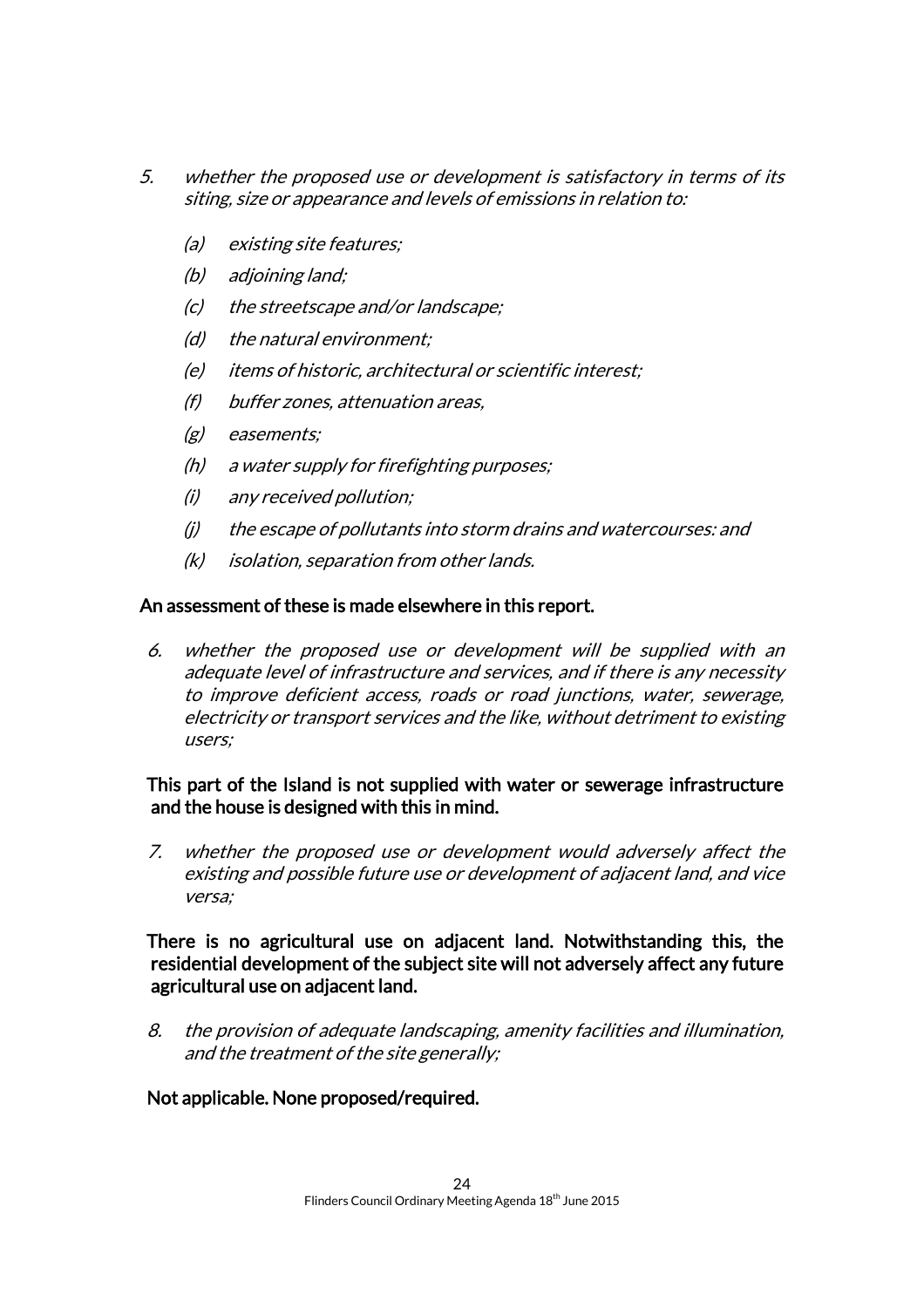- 5. whether the proposed use or development is satisfactory in terms of its siting, size or appearance and levels of emissions in relation to:
	- (a) existing site features;
	- (b) adjoining land;
	- (c) the streetscape and/or landscape;
	- (d) the natural environment;
	- (e) items of historic, architectural or scientific interest;
	- (f) buffer zones, attenuation areas,
	- (g) easements;
	- (h) a water supply for firefighting purposes;
	- (i) any received pollution;
	- (j) the escape of pollutants into storm drains and watercourses: and
	- (k) isolation, separation from other lands.

#### An assessment of these is made elsewhere in this report.

6. whether the proposed use or development will be supplied with an adequate level of infrastructure and services, and if there is any necessity to improve deficient access, roads or road junctions, water, sewerage, electricity or transport services and the like, without detriment to existing users;

#### This part of the Island is not supplied with water or sewerage infrastructure and the house is designed with this in mind.

7. whether the proposed use or development would adversely affect the existing and possible future use or development of adjacent land, and vice versa;

#### There is no agricultural use on adjacent land. Notwithstanding this, the residential development of the subject site will not adversely affect any future agricultural use on adjacent land.

8. the provision of adequate landscaping, amenity facilities and illumination, and the treatment of the site generally;

Not applicable. None proposed/required.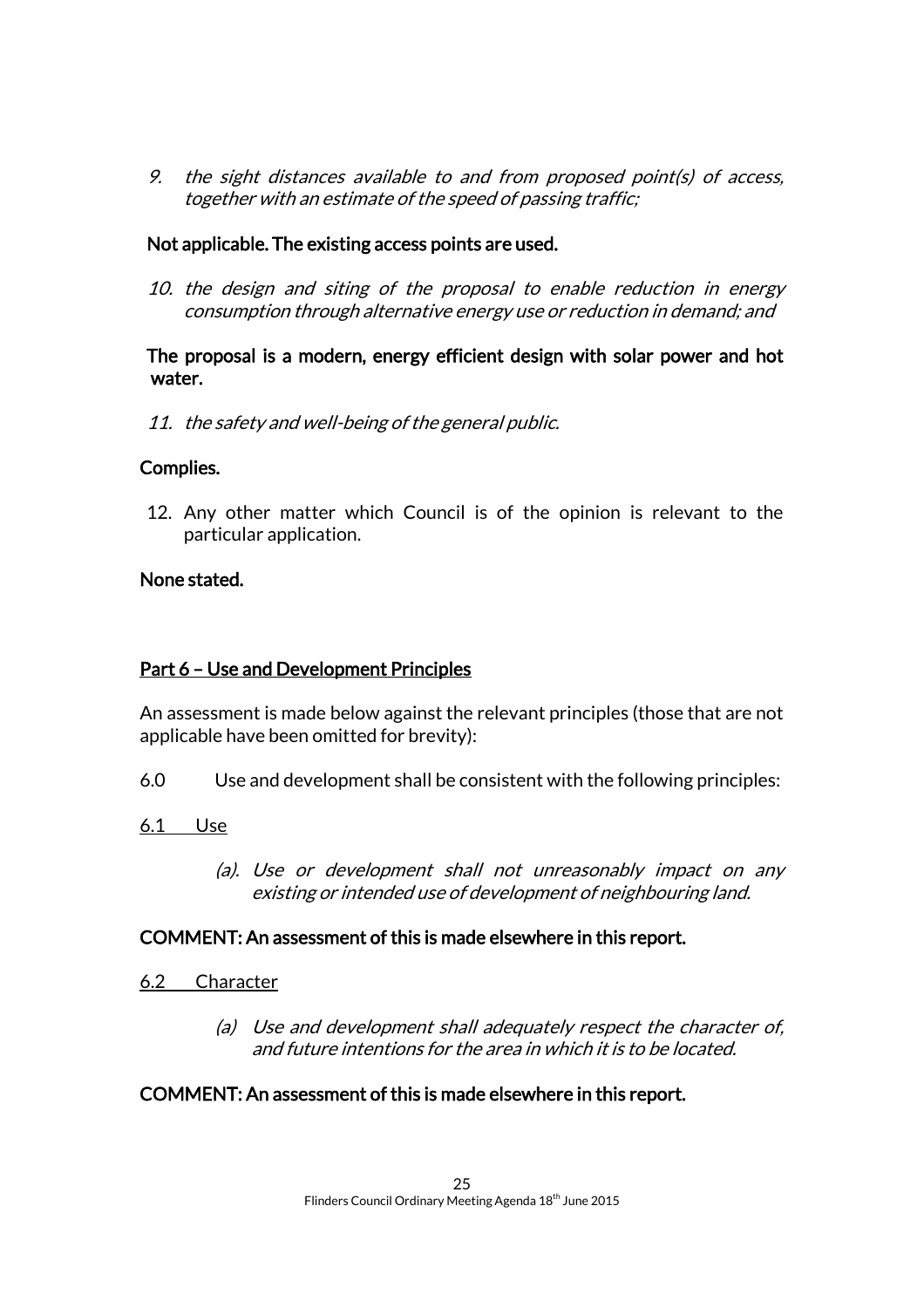9. the sight distances available to and from proposed point(s) of access, together with an estimate of the speed of passing traffic;

#### Not applicable. The existing access points are used.

10. the design and siting of the proposal to enable reduction in energy consumption through alternative energy use or reduction in demand; and

#### The proposal is a modern, energy efficient design with solar power and hot water.

11. the safety and well-being of the general public.

#### Complies.

12. Any other matter which Council is of the opinion is relevant to the particular application.

#### None stated.

#### Part 6 – Use and Development Principles

An assessment is made below against the relevant principles (those that are not applicable have been omitted for brevity):

- 6.0 Use and development shall be consistent with the following principles:
- 6.1 Use
	- (a). Use or development shall not unreasonably impact on any existing or intended use of development of neighbouring land.

#### COMMENT: An assessment of this is made elsewhere in this report.

- 6.2 Character
	- (a) Use and development shall adequately respect the character of, and future intentions for the area in which it is to be located.

#### COMMENT: An assessment of this is made elsewhere in this report.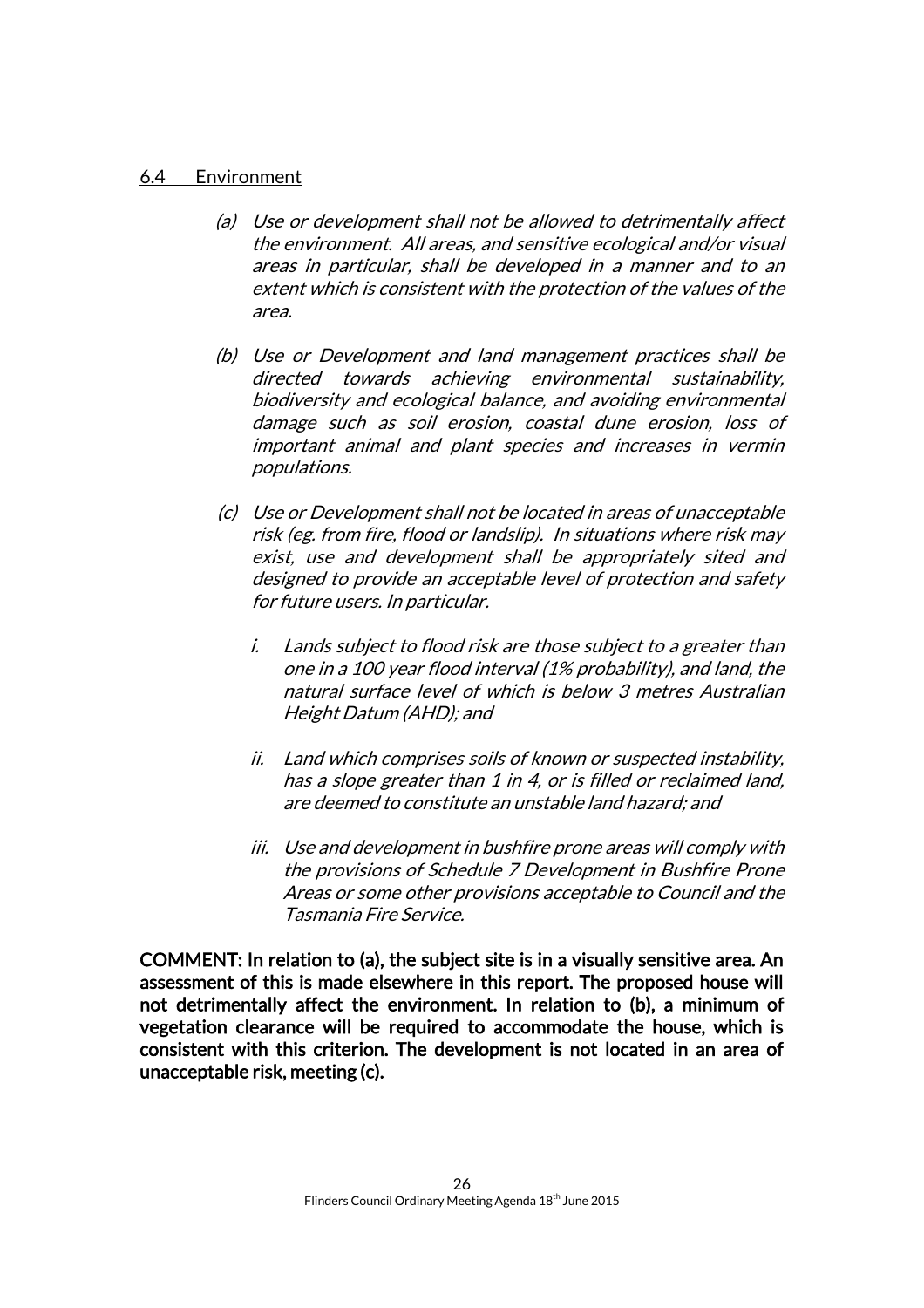#### 6.4 Environment

- (a) Use or development shall not be allowed to detrimentally affect the environment. All areas, and sensitive ecological and/or visual areas in particular, shall be developed in a manner and to an extent which is consistent with the protection of the values of the area.
- (b) Use or Development and land management practices shall be directed towards achieving environmental sustainability, biodiversity and ecological balance, and avoiding environmental damage such as soil erosion, coastal dune erosion, loss of important animal and plant species and increases in vermin populations.
- (c) Use or Development shall not be located in areas of unacceptable risk (eg. from fire, flood or landslip). In situations where risk may exist, use and development shall be appropriately sited and designed to provide an acceptable level of protection and safety for future users. In particular.
	- i. Lands subject to flood risk are those subject to a greater than one in a 100 year flood interval (1% probability), and land, the natural surface level of which is below 3 metres Australian Height Datum (AHD); and
	- ii. Land which comprises soils of known or suspected instability, has a slope greater than 1 in 4, or is filled or reclaimed land, are deemed to constitute an unstable land hazard; and
	- iii. Use and development in bushfire prone areas will comply with the provisions of Schedule 7 Development in Bushfire Prone Areas or some other provisions acceptable to Council and the Tasmania Fire Service.

COMMENT: In relation to (a), the subject site is in a visually sensitive area. An assessment of this is made elsewhere in this report. The proposed house will not detrimentally affect the environment. In relation to (b), a minimum of vegetation clearance will be required to accommodate the house, which is consistent with this criterion. The development is not located in an area of unacceptable risk, meeting (c).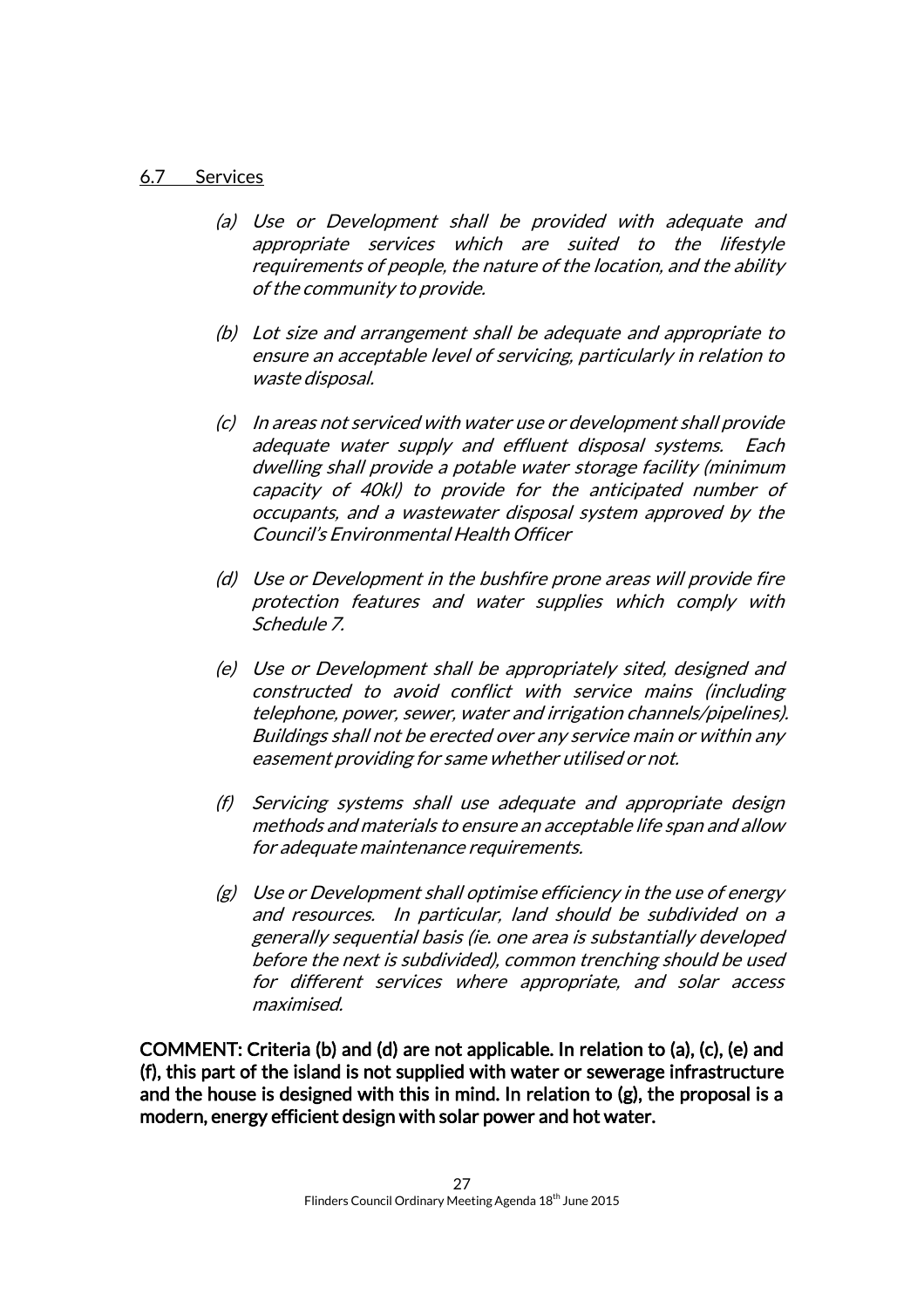#### 6.7 Services

- (a) Use or Development shall be provided with adequate and appropriate services which are suited to the lifestyle requirements of people, the nature of the location, and the ability of the community to provide.
- (b) Lot size and arrangement shall be adequate and appropriate to ensure an acceptable level of servicing, particularly in relation to waste disposal.
- (c) In areas not serviced with water use or development shall provide adequate water supply and effluent disposal systems. Each dwelling shall provide a potable water storage facility (minimum capacity of 40kl) to provide for the anticipated number of occupants, and a wastewater disposal system approved by the Council's Environmental Health Officer
- (d) Use or Development in the bushfire prone areas will provide fire protection features and water supplies which comply with Schedule 7.
- (e) Use or Development shall be appropriately sited, designed and constructed to avoid conflict with service mains (including telephone, power, sewer, water and irrigation channels/pipelines). Buildings shall not be erected over any service main or within any easement providing for same whether utilised or not.
- (f) Servicing systems shall use adequate and appropriate design methods and materials to ensure an acceptable life span and allow for adequate maintenance requirements.
- (g) Use or Development shall optimise efficiency in the use of energy and resources. In particular, land should be subdivided on a generally sequential basis (ie. one area is substantially developed before the next is subdivided), common trenching should be used for different services where appropriate, and solar access maximised.

COMMENT: Criteria (b) and (d) are not applicable. In relation to (a), (c), (e) and (f), this part of the island is not supplied with water or sewerage infrastructure and the house is designed with this in mind. In relation to (g), the proposal is a modern, energy efficient design with solar power and hot water.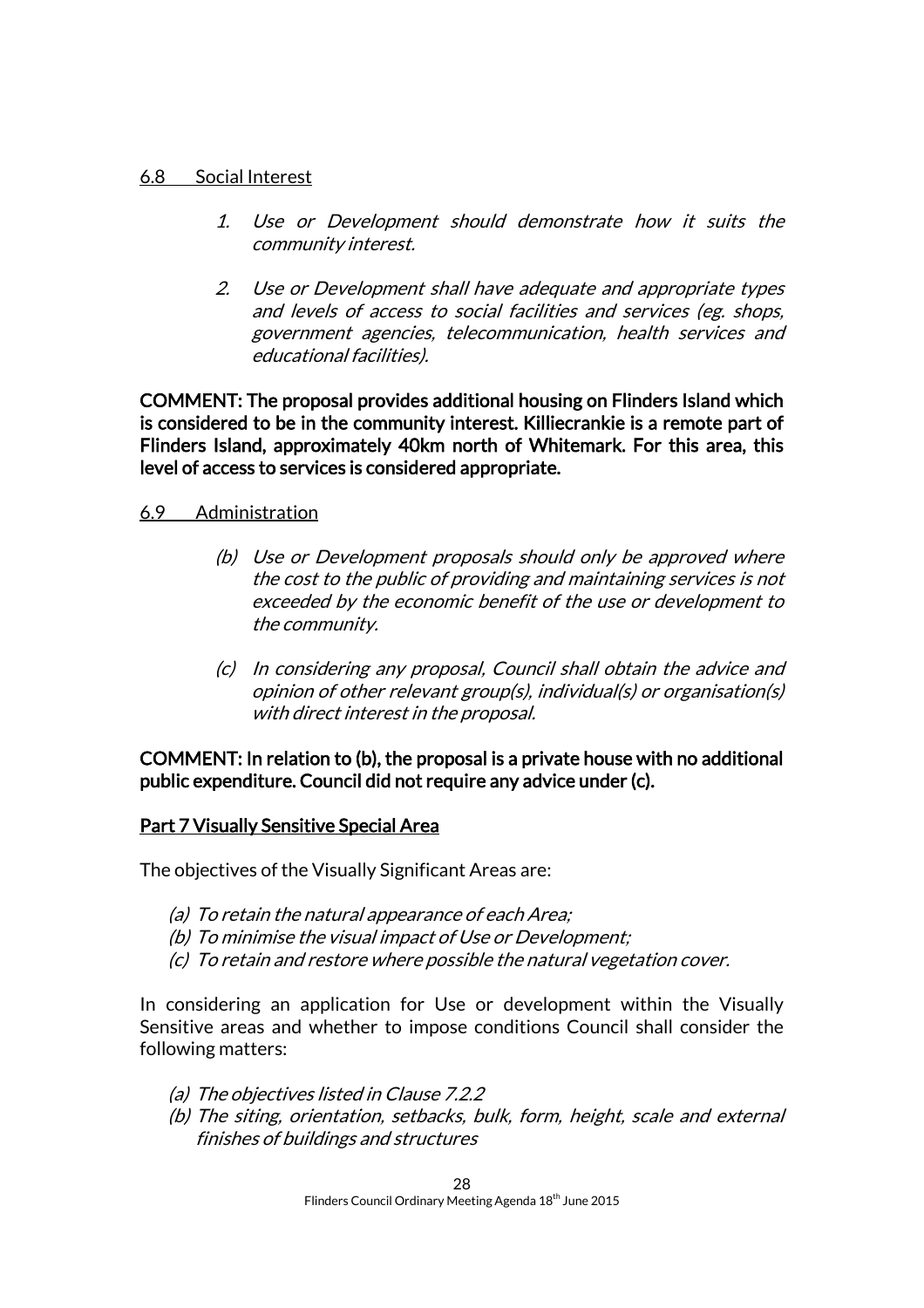#### 6.8 Social Interest

- 1. Use or Development should demonstrate how it suits the community interest.
- 2. Use or Development shall have adequate and appropriate types and levels of access to social facilities and services (eg. shops, government agencies, telecommunication, health services and educational facilities).

COMMENT: The proposal provides additional housing on Flinders Island which is considered to be in the community interest. Killiecrankie is a remote part of Flinders Island, approximately 40km north of Whitemark. For this area, this level of access to services is considered appropriate.

#### 6.9 Administration

- (b) Use or Development proposals should only be approved where the cost to the public of providing and maintaining services is not exceeded by the economic benefit of the use or development to the community.
- (c) In considering any proposal, Council shall obtain the advice and opinion of other relevant group(s), individual(s) or organisation(s) with direct interest in the proposal.

#### COMMENT: In relation to (b), the proposal is a private house with no additional public expenditure. Council did not require any advice under (c).

#### Part 7 Visually Sensitive Special Area

The objectives of the Visually Significant Areas are:

- (a) To retain the natural appearance of each Area;
- (b) To minimise the visual impact of Use or Development;
- (c) To retain and restore where possible the natural vegetation cover.

In considering an application for Use or development within the Visually Sensitive areas and whether to impose conditions Council shall consider the following matters:

- (a) The objectives listed in Clause 7.2.2
- (b) The siting, orientation, setbacks, bulk, form, height, scale and external finishes of buildings and structures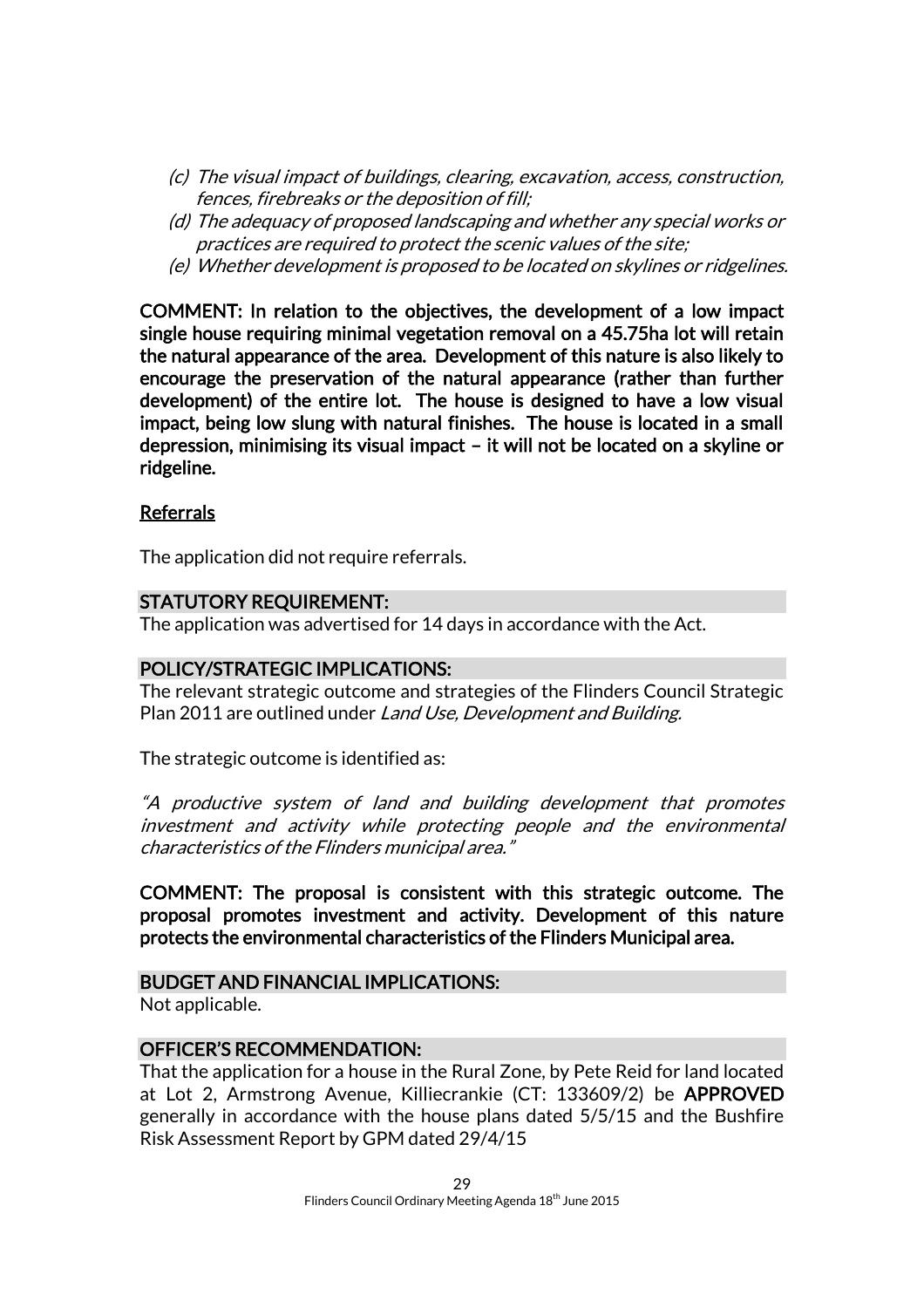- (c) The visual impact of buildings, clearing, excavation, access, construction, fences, firebreaks or the deposition of fill;
- (d) The adequacy of proposed landscaping and whether any special works or practices are required to protect the scenic values of the site;
- (e) Whether development is proposed to be located on skylines or ridgelines.

COMMENT: In relation to the objectives, the development of a low impact single house requiring minimal vegetation removal on a 45.75ha lot will retain the natural appearance of the area. Development of this nature is also likely to encourage the preservation of the natural appearance (rather than further development) of the entire lot. The house is designed to have a low visual impact, being low slung with natural finishes. The house is located in a small depression, minimising its visual impact – it will not be located on a skyline or ridgeline.

#### Referrals

The application did not require referrals.

#### STATUTORY REQUIREMENT:

The application was advertised for 14 days in accordance with the Act.

#### POLICY/STRATEGIC IMPLICATIONS:

The relevant strategic outcome and strategies of the Flinders Council Strategic Plan 2011 are outlined under Land Use, Development and Building.

The strategic outcome is identified as:

"A productive system of land and building development that promotes investment and activity while protecting people and the environmental characteristics of the Flinders municipal area."

COMMENT: The proposal is consistent with this strategic outcome. The proposal promotes investment and activity. Development of this nature protects the environmental characteristics of the Flinders Municipal area.

#### BUDGET AND FINANCIAL IMPLICATIONS:

Not applicable.

#### OFFICER'S RECOMMENDATION:

That the application for a house in the Rural Zone, by Pete Reid for land located at Lot 2, Armstrong Avenue, Killiecrankie (CT: 133609/2) be APPROVED generally in accordance with the house plans dated 5/5/15 and the Bushfire Risk Assessment Report by GPM dated 29/4/15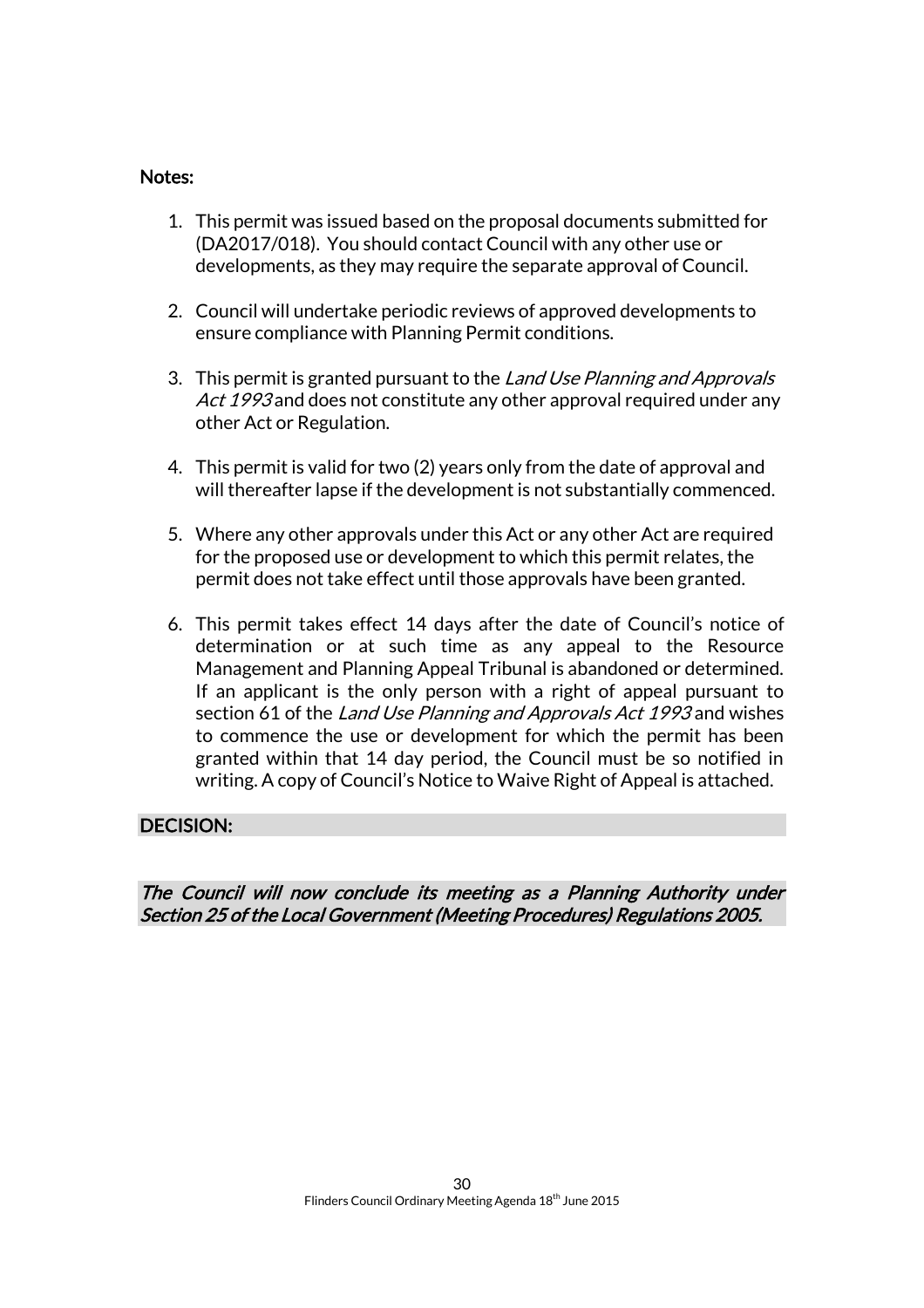#### Notes:

- 1. This permit was issued based on the proposal documents submitted for (DA2017/018). You should contact Council with any other use or developments, as they may require the separate approval of Council.
- 2. Council will undertake periodic reviews of approved developments to ensure compliance with Planning Permit conditions.
- 3. This permit is granted pursuant to the Land Use Planning and Approvals Act 1993 and does not constitute any other approval required under any other Act or Regulation.
- 4. This permit is valid for two (2) years only from the date of approval and will thereafter lapse if the development is not substantially commenced.
- 5. Where any other approvals under this Act or any other Act are required for the proposed use or development to which this permit relates, the permit does not take effect until those approvals have been granted.
- 6. This permit takes effect 14 days after the date of Council's notice of determination or at such time as any appeal to the Resource Management and Planning Appeal Tribunal is abandoned or determined. If an applicant is the only person with a right of appeal pursuant to section 61 of the Land Use Planning and Approvals Act 1993 and wishes to commence the use or development for which the permit has been granted within that 14 day period, the Council must be so notified in writing. A copy of Council's Notice to Waive Right of Appeal is attached.

#### DECISION:

The Council will now conclude its meeting as a Planning Authority under Section 25 of the Local Government (Meeting Procedures) Regulations 2005.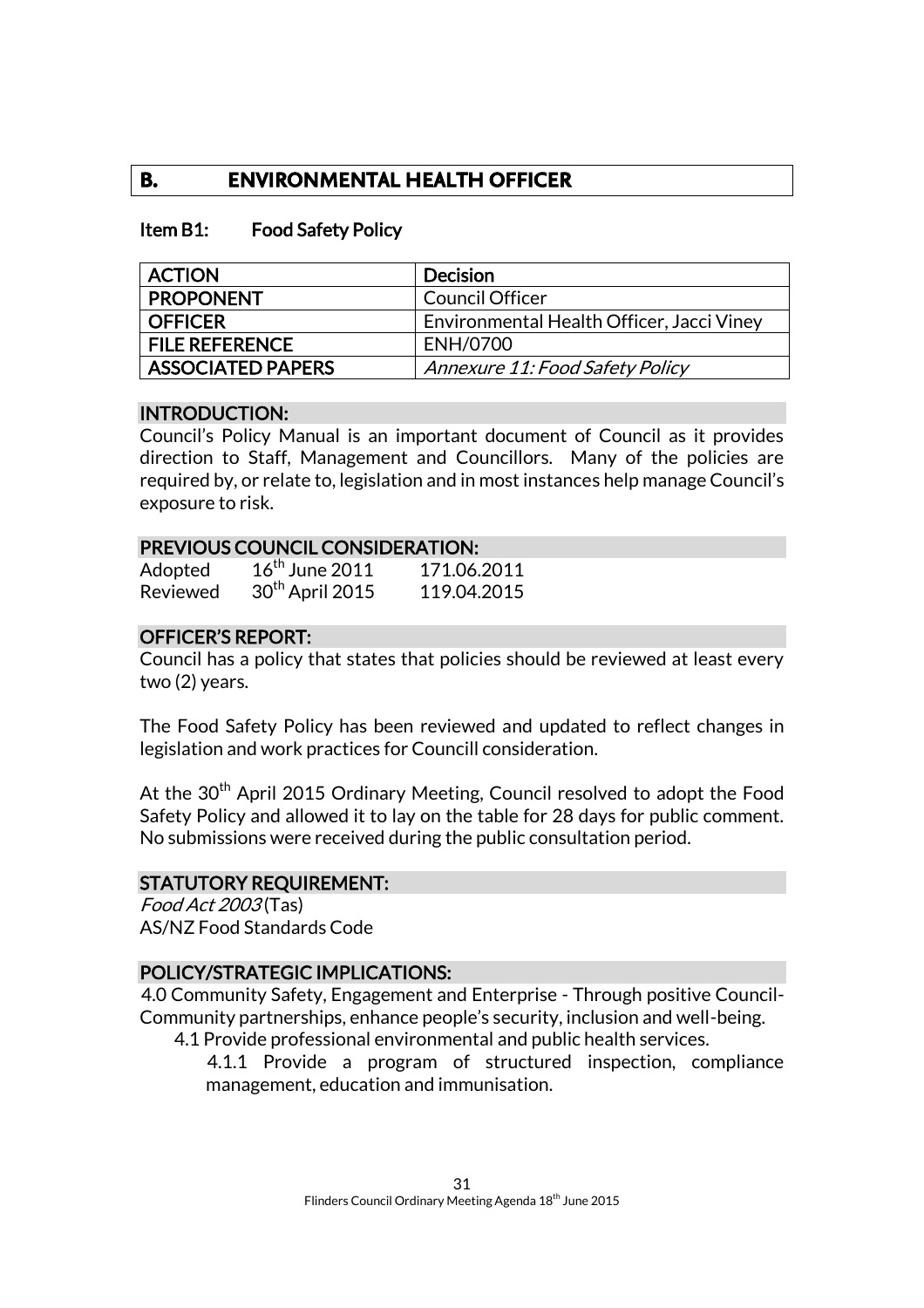# **B. ENVIRONMENTAL HEALTH OFFICER**

#### Item B1: Food Safety Policy

| <b>ACTION</b>            | <b>Decision</b>                           |
|--------------------------|-------------------------------------------|
| <b>PROPONENT</b>         | <b>Council Officer</b>                    |
| <b>OFFICER</b>           | Environmental Health Officer, Jacci Viney |
| <b>FILE REFERENCE</b>    | ENH/0700                                  |
| <b>ASSOCIATED PAPERS</b> | <b>Annexure 11: Food Safety Policy</b>    |

#### INTRODUCTION:

Council's Policy Manual is an important document of Council as it provides direction to Staff, Management and Councillors. Many of the policies are required by, or relate to, legislation and in most instances help manage Council's exposure to risk.

#### PREVIOUS COUNCIL CONSIDERATION:

| Adopted  | $16th$ June 2011            | 171.06.2011 |
|----------|-----------------------------|-------------|
| Reviewed | 30 <sup>th</sup> April 2015 | 119.04.2015 |

#### OFFICER'S REPORT:

Council has a policy that states that policies should be reviewed at least every two (2) years.

The Food Safety Policy has been reviewed and updated to reflect changes in legislation and work practices for Councill consideration.

At the 30<sup>th</sup> April 2015 Ordinary Meeting, Council resolved to adopt the Food Safety Policy and allowed it to lay on the table for 28 days for public comment. No submissions were received during the public consultation period.

#### STATUTORY REQUIREMENT:

Food Act 2003 (Tas) AS/NZ Food Standards Code

#### POLICY/STRATEGIC IMPLICATIONS:

4.0 Community Safety, Engagement and Enterprise - Through positive Council-Community partnerships, enhance people's security, inclusion and well-being.

4.1 Provide professional environmental and public health services.

4.1.1 Provide a program of structured inspection, compliance management, education and immunisation.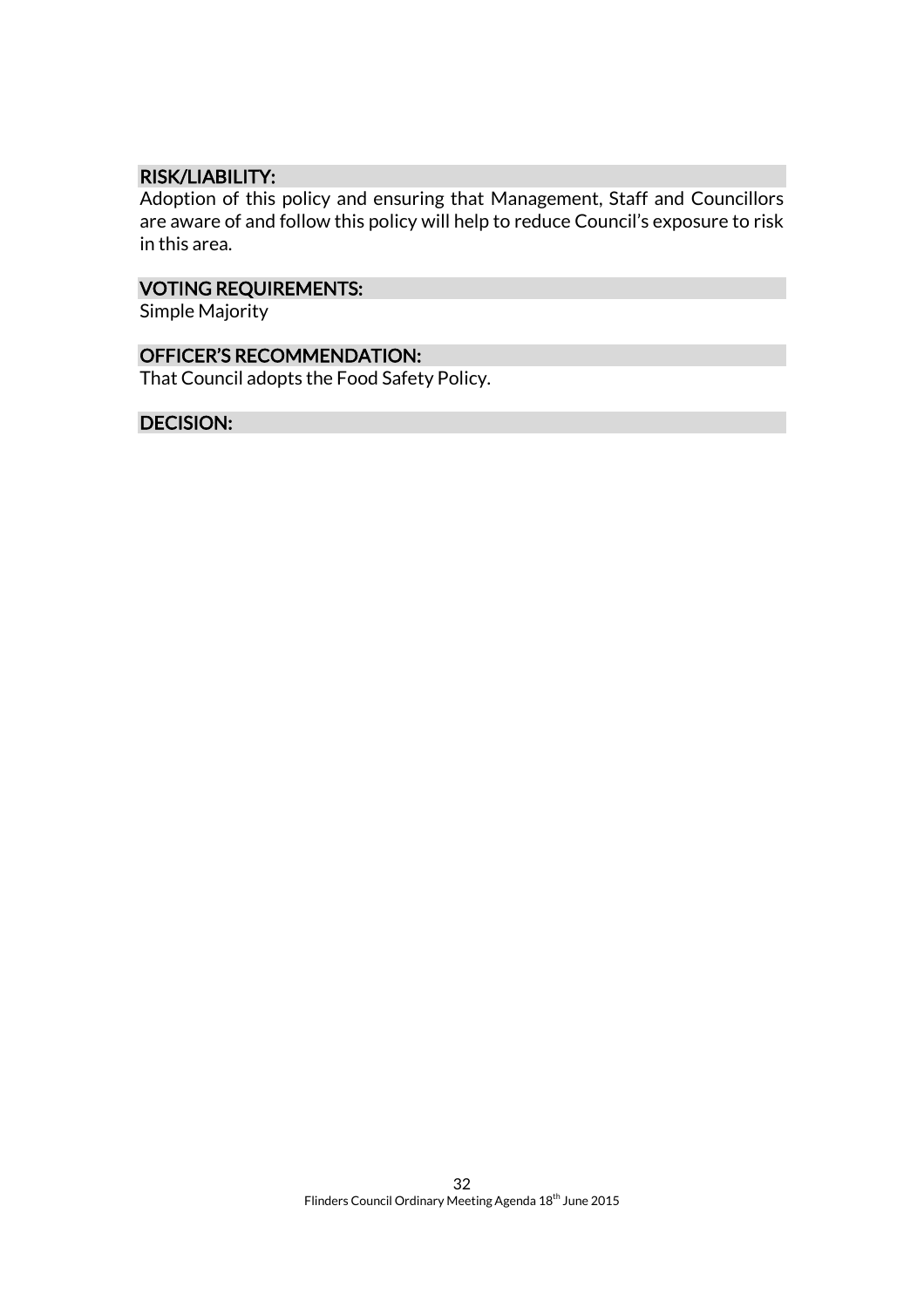#### RISK/LIABILITY:

Adoption of this policy and ensuring that Management, Staff and Councillors are aware of and follow this policy will help to reduce Council's exposure to risk in this area.

### VOTING REQUIREMENTS:

Simple Majority

# OFFICER'S RECOMMENDATION:

That Council adopts the Food Safety Policy.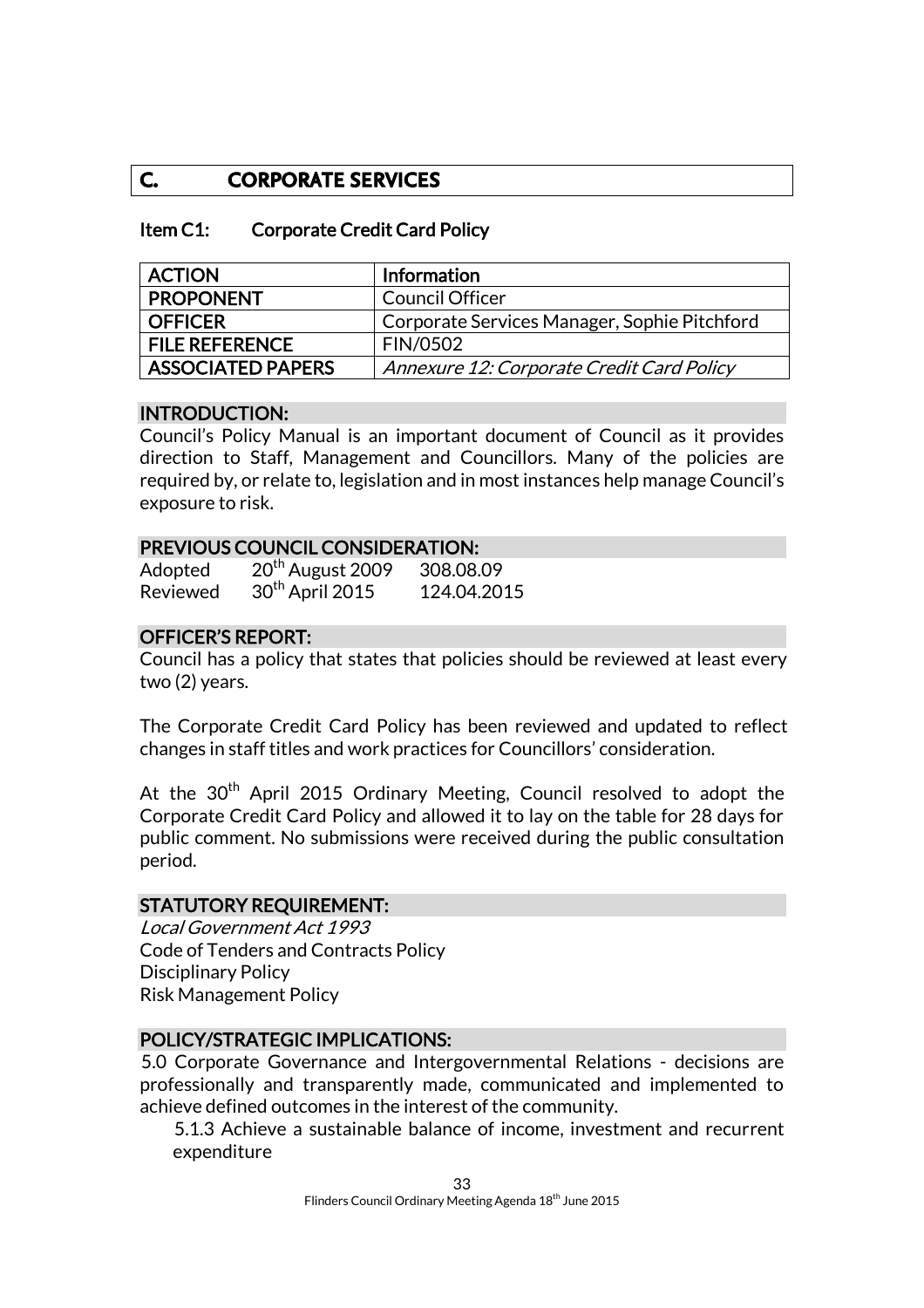# **C. CORPORATE SERVICES**

#### Item C1: Corporate Credit Card Policy

| <b>ACTION</b>            | <b>Information</b>                           |
|--------------------------|----------------------------------------------|
| <b>PROPONENT</b>         | <b>Council Officer</b>                       |
| <b>OFFICER</b>           | Corporate Services Manager, Sophie Pitchford |
| <b>FILE REFERENCE</b>    | <b>FIN/0502</b>                              |
| <b>ASSOCIATED PAPERS</b> | Annexure 12: Corporate Credit Card Policy    |

#### INTRODUCTION:

Council's Policy Manual is an important document of Council as it provides direction to Staff, Management and Councillors. Many of the policies are required by, or relate to, legislation and in most instances help manage Council's exposure to risk.

#### PREVIOUS COUNCIL CONSIDERATION:

| Adopted         | 20 <sup>th</sup> August 2009 | 308.08.09   |
|-----------------|------------------------------|-------------|
| <b>Reviewed</b> | 30 <sup>th</sup> April 2015  | 124.04.2015 |

#### OFFICER'S REPORT:

Council has a policy that states that policies should be reviewed at least every two (2) years.

The Corporate Credit Card Policy has been reviewed and updated to reflect changes in staff titles and work practices for Councillors' consideration.

At the  $30<sup>th</sup>$  April 2015 Ordinary Meeting, Council resolved to adopt the Corporate Credit Card Policy and allowed it to lay on the table for 28 days for public comment. No submissions were received during the public consultation period.

#### STATUTORY REQUIREMENT:

Local Government Act 1993 Code of Tenders and Contracts Policy Disciplinary Policy Risk Management Policy

#### POLICY/STRATEGIC IMPLICATIONS:

5.0 Corporate Governance and Intergovernmental Relations - decisions are professionally and transparently made, communicated and implemented to achieve defined outcomes in the interest of the community.

5.1.3 Achieve a sustainable balance of income, investment and recurrent expenditure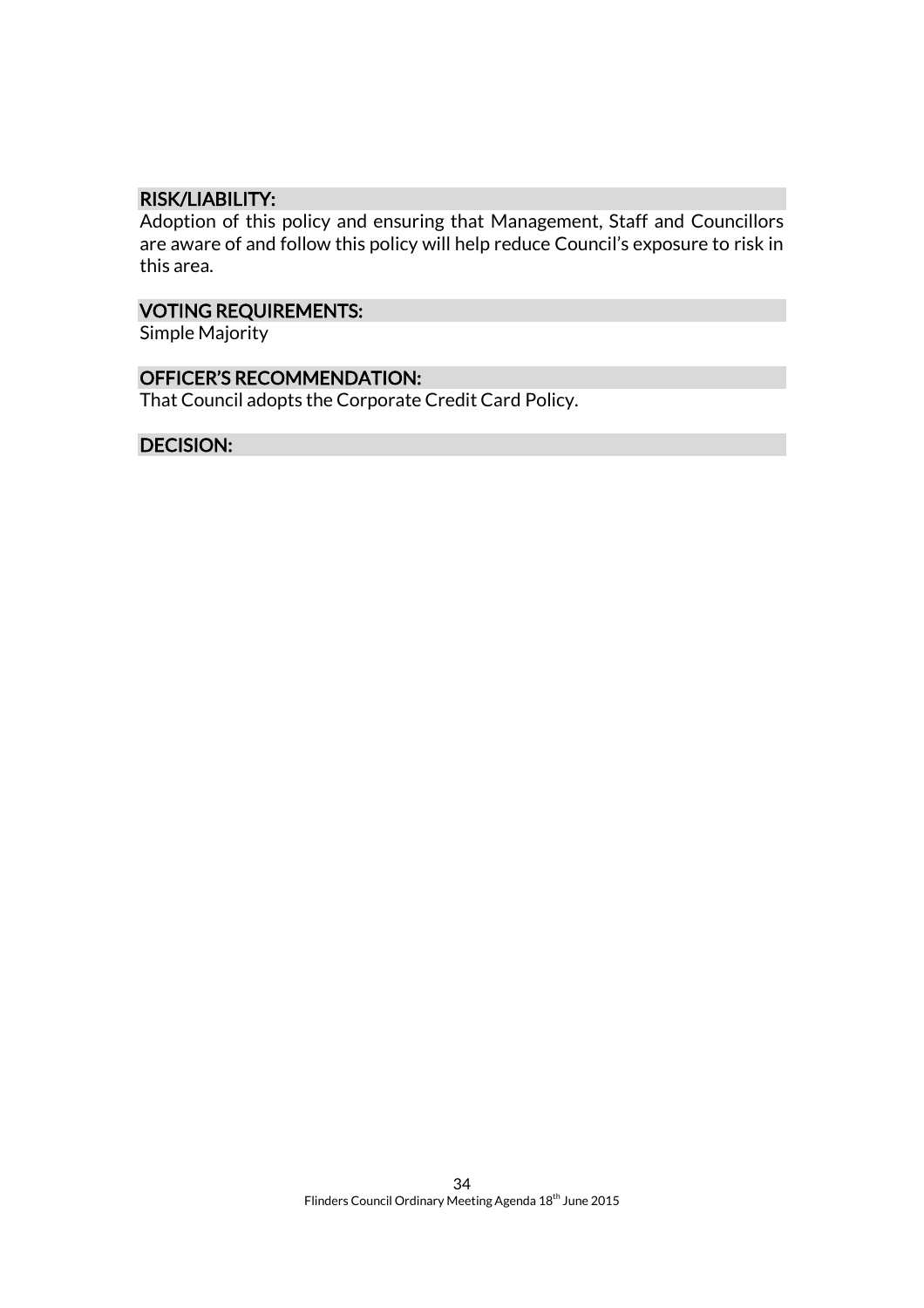#### RISK/LIABILITY:

Adoption of this policy and ensuring that Management, Staff and Councillors are aware of and follow this policy will help reduce Council's exposure to risk in this area.

# VOTING REQUIREMENTS:

Simple Majority

#### OFFICER'S RECOMMENDATION:

That Council adopts the Corporate Credit Card Policy.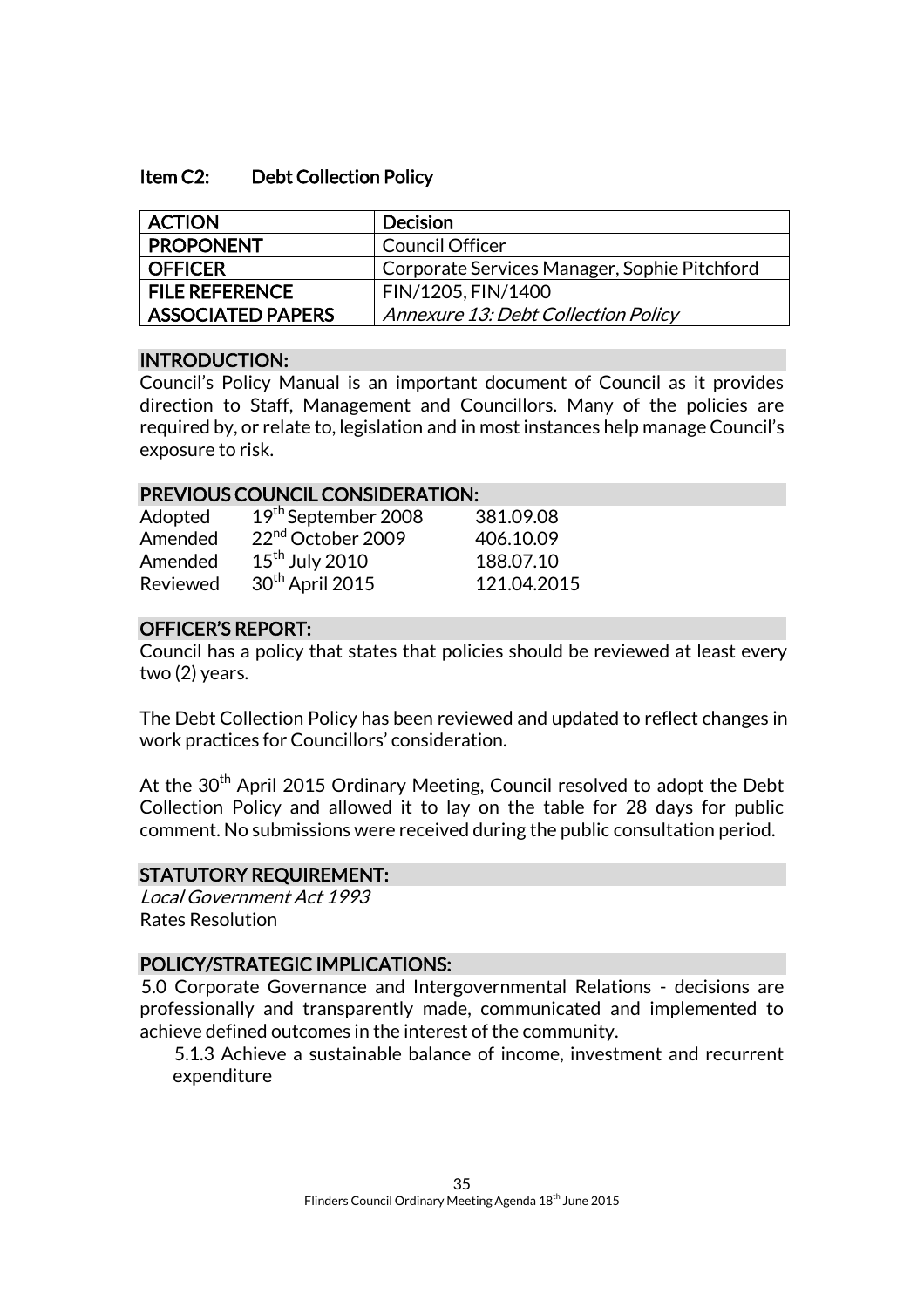#### Item C2: Debt Collection Policy

| <b>ACTION</b>            | <b>Decision</b>                              |
|--------------------------|----------------------------------------------|
| <b>PROPONENT</b>         | <b>Council Officer</b>                       |
| <b>OFFICER</b>           | Corporate Services Manager, Sophie Pitchford |
| <b>FILE REFERENCE</b>    | FIN/1205, FIN/1400                           |
| <b>ASSOCIATED PAPERS</b> | Annexure 13: Debt Collection Policy          |

#### INTRODUCTION:

Council's Policy Manual is an important document of Council as it provides direction to Staff, Management and Councillors. Many of the policies are required by, or relate to, legislation and in most instances help manage Council's exposure to risk.

#### PREVIOUS COUNCIL CONSIDERATION:

| Adopted  | 19 <sup>th</sup> September 2008 | 381.09.08   |
|----------|---------------------------------|-------------|
| Amended  | 22 <sup>nd</sup> October 2009   | 406.10.09   |
| Amended  | $15th$ July 2010                | 188.07.10   |
| Reviewed | 30 <sup>th</sup> April 2015     | 121.04.2015 |

#### OFFICER'S REPORT:

Council has a policy that states that policies should be reviewed at least every two (2) years.

The Debt Collection Policy has been reviewed and updated to reflect changes in work practices for Councillors' consideration.

At the  $30<sup>th</sup>$  April 2015 Ordinary Meeting, Council resolved to adopt the Debt Collection Policy and allowed it to lay on the table for 28 days for public comment. No submissions were received during the public consultation period.

#### STATUTORY REQUIREMENT:

Local Government Act 1993 Rates Resolution

#### POLICY/STRATEGIC IMPLICATIONS:

5.0 Corporate Governance and Intergovernmental Relations - decisions are professionally and transparently made, communicated and implemented to achieve defined outcomes in the interest of the community.

5.1.3 Achieve a sustainable balance of income, investment and recurrent expenditure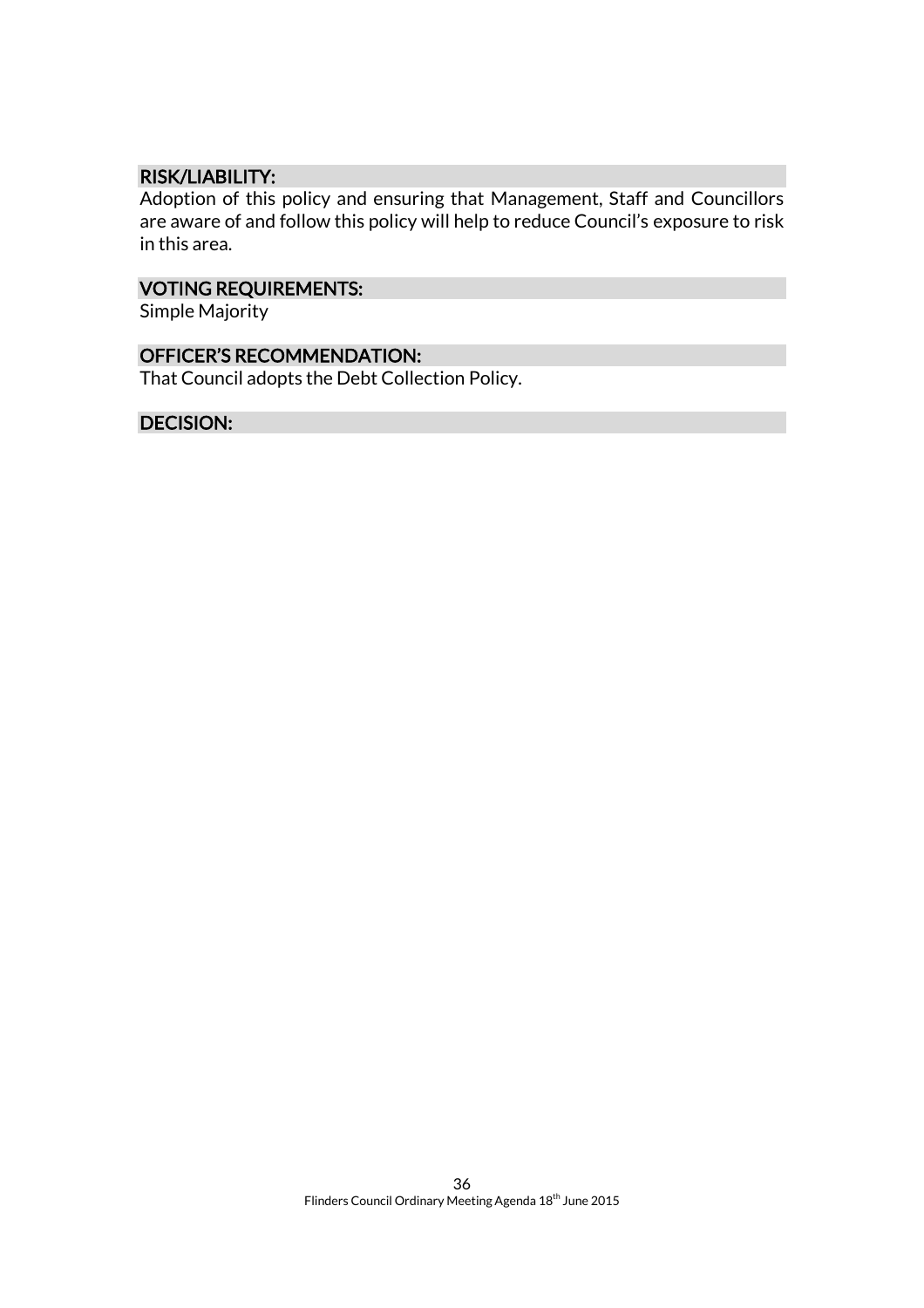#### RISK/LIABILITY:

Adoption of this policy and ensuring that Management, Staff and Councillors are aware of and follow this policy will help to reduce Council's exposure to risk in this area.

### VOTING REQUIREMENTS:

Simple Majority

#### OFFICER'S RECOMMENDATION:

That Council adopts the Debt Collection Policy.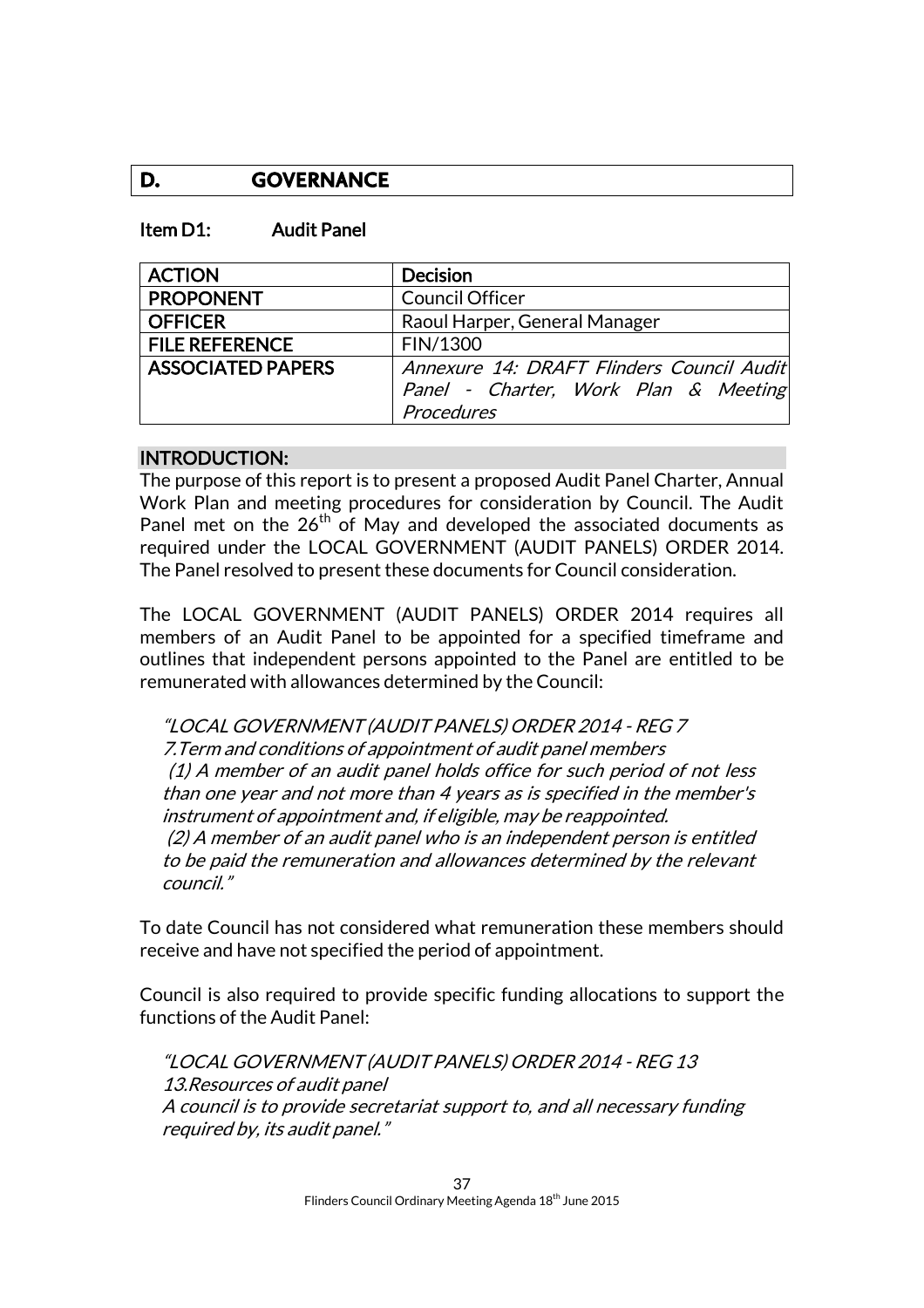### **D. GOVERNANCE**

#### Item D1: Audit Panel

| <b>ACTION</b>            | <b>Decision</b>                           |
|--------------------------|-------------------------------------------|
| <b>PROPONENT</b>         | <b>Council Officer</b>                    |
| <b>OFFICER</b>           | Raoul Harper, General Manager             |
| <b>FILE REFERENCE</b>    | FIN/1300                                  |
| <b>ASSOCIATED PAPERS</b> | Annexure 14: DRAFT Flinders Council Audit |
|                          | Panel - Charter, Work Plan & Meeting      |
|                          | Procedures                                |

#### INTRODUCTION:

The purpose of this report is to present a proposed Audit Panel Charter, Annual Work Plan and meeting procedures for consideration by Council. The Audit Panel met on the  $26<sup>th</sup>$  of May and developed the associated documents as required under the LOCAL GOVERNMENT (AUDIT PANELS) ORDER 2014. The Panel resolved to present these documents for Council consideration.

The LOCAL GOVERNMENT (AUDIT PANELS) ORDER 2014 requires all members of an Audit Panel to be appointed for a specified timeframe and outlines that independent persons appointed to the Panel are entitled to be remunerated with allowances determined by the Council:

"LOCAL GOVERNMENT (AUDIT PANELS) ORDER 2014 - REG 7 7.Term and conditions of appointment of audit panel members (1) A member of an audit panel holds office for such period of not less than one year and not more than 4 years as is specified in the member's instrument of appointment and, if eligible, may be reappointed. (2) A member of an audit panel who is an independent person is entitled to be paid the remuneration and allowances determined by the relevant council."

To date Council has not considered what remuneration these members should receive and have not specified the period of appointment.

Council is also required to provide specific funding allocations to support the functions of the Audit Panel:

"LOCAL GOVERNMENT (AUDIT PANELS) ORDER 2014 - REG 13 13.Resources of audit panel A council is to provide secretariat support to, and all necessary funding required by, its audit panel."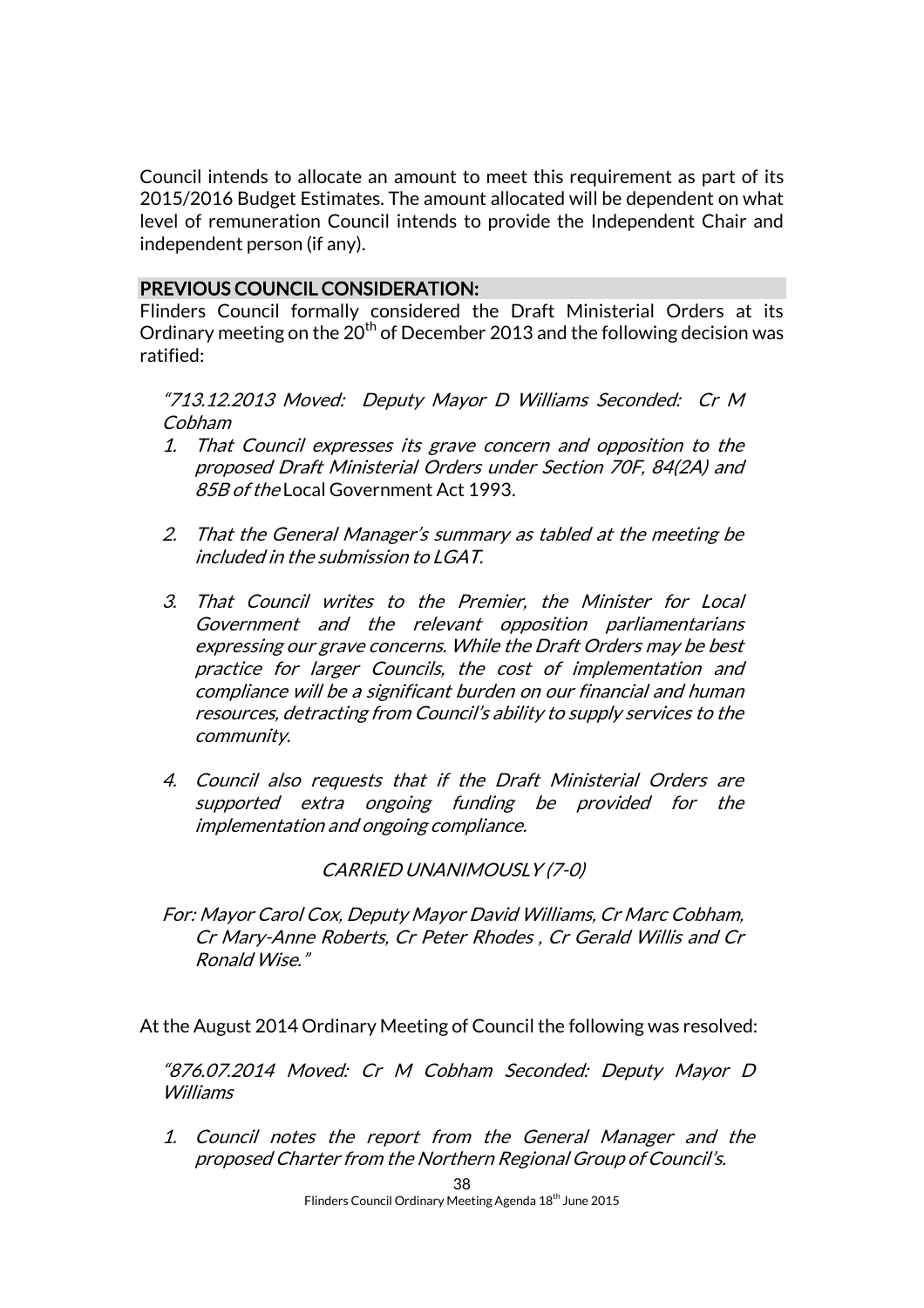Council intends to allocate an amount to meet this requirement as part of its 2015/2016 Budget Estimates. The amount allocated will be dependent on what level of remuneration Council intends to provide the Independent Chair and independent person (if any).

#### PREVIOUS COUNCIL CONSIDERATION:

Flinders Council formally considered the Draft Ministerial Orders at its Ordinary meeting on the  $20<sup>th</sup>$  of December 2013 and the following decision was ratified:

"713.12.2013 Moved: Deputy Mayor D Williams Seconded: Cr M Cobham

- 1. That Council expresses its grave concern and opposition to the proposed Draft Ministerial Orders under Section 70F, 84(2A) and 85B of the Local Government Act 1993.
- 2. That the General Manager's summary as tabled at the meeting be included in the submission to LGAT.
- 3. That Council writes to the Premier, the Minister for Local Government and the relevant opposition parliamentarians expressing our grave concerns. While the Draft Orders may be best practice for larger Councils, the cost of implementation and compliance will be a significant burden on our financial and human resources, detracting from Council's ability to supply services to the community.
- 4. Council also requests that if the Draft Ministerial Orders are supported extra ongoing funding be provided for the implementation and ongoing compliance.

#### CARRIED UNANIMOUSLY (7-0)

For: Mayor Carol Cox, Deputy Mayor David Williams, Cr Marc Cobham, Cr Mary-Anne Roberts, Cr Peter Rhodes , Cr Gerald Willis and Cr Ronald Wise."

At the August 2014 Ordinary Meeting of Council the following was resolved:

"876.07.2014 Moved: Cr M Cobham Seconded: Deputy Mayor D Williams

1. Council notes the report from the General Manager and the proposed Charter from the Northern Regional Group of Council's.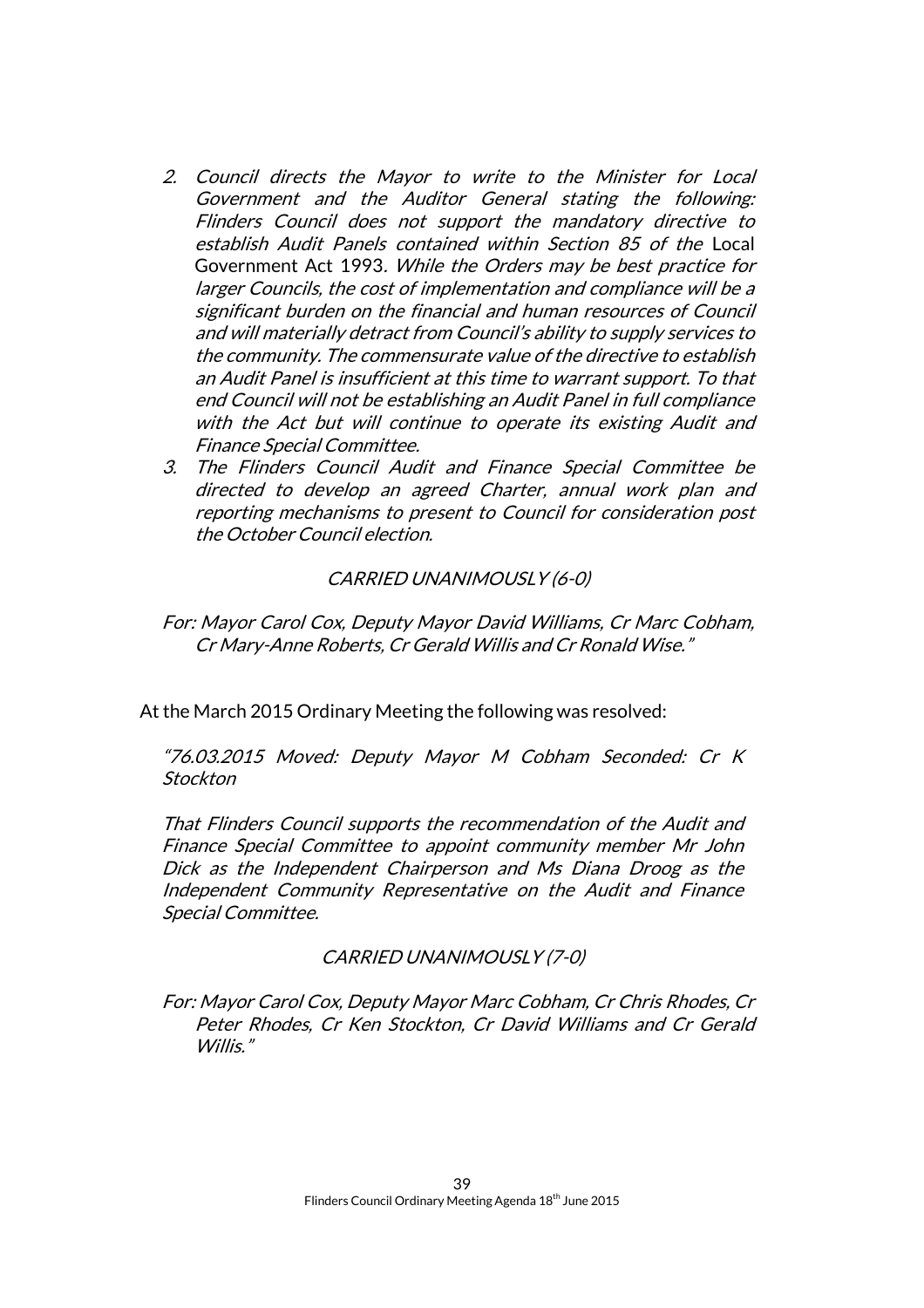- 2. Council directs the Mayor to write to the Minister for Local Government and the Auditor General stating the following: Flinders Council does not support the mandatory directive to establish Audit Panels contained within Section 85 of the Local Government Act 1993. While the Orders may be best practice for larger Councils, the cost of implementation and compliance will be a significant burden on the financial and human resources of Council and will materially detract from Council's ability to supply services to the community. The commensurate value of the directive to establish an Audit Panel is insufficient at this time to warrant support. To that end Council will not be establishing an Audit Panel in full compliance with the Act but will continue to operate its existing Audit and Finance Special Committee.
- 3. The Flinders Council Audit and Finance Special Committee be directed to develop an agreed Charter, annual work plan and reporting mechanisms to present to Council for consideration post the October Council election.

#### CARRIED UNANIMOUSLY (6-0)

For: Mayor Carol Cox, Deputy Mayor David Williams, Cr Marc Cobham, Cr Mary-Anne Roberts, Cr Gerald Willis and Cr Ronald Wise."

At the March 2015 Ordinary Meeting the following was resolved:

"76.03.2015 Moved: Deputy Mayor M Cobham Seconded: Cr K **Stockton** 

That Flinders Council supports the recommendation of the Audit and Finance Special Committee to appoint community member Mr John Dick as the Independent Chairperson and Ms Diana Droog as the Independent Community Representative on the Audit and Finance Special Committee.

#### CARRIED UNANIMOUSLY (7-0)

For: Mayor Carol Cox, Deputy Mayor Marc Cobham, Cr Chris Rhodes, Cr Peter Rhodes, Cr Ken Stockton, Cr David Williams and Cr Gerald Willis."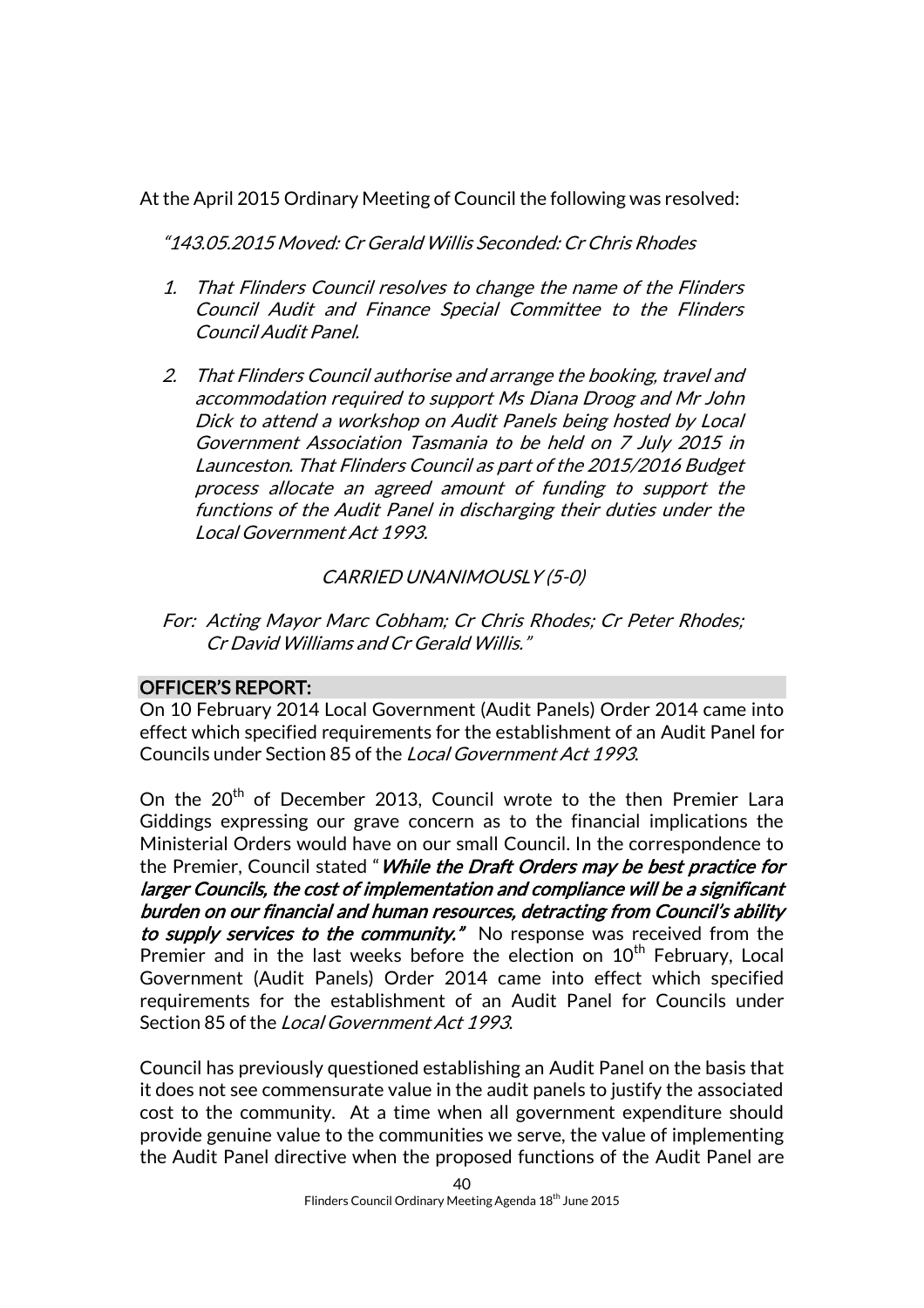At the April 2015 Ordinary Meeting of Council the following was resolved:

"143.05.2015 Moved: Cr Gerald Willis Seconded: Cr Chris Rhodes

- 1. That Flinders Council resolves to change the name of the Flinders Council Audit and Finance Special Committee to the Flinders Council Audit Panel.
- 2. That Flinders Council authorise and arrange the booking, travel and accommodation required to support Ms Diana Droog and Mr John Dick to attend a workshop on Audit Panels being hosted by Local Government Association Tasmania to be held on 7 July 2015 in Launceston. That Flinders Council as part of the 2015/2016 Budget process allocate an agreed amount of funding to support the functions of the Audit Panel in discharging their duties under the Local Government Act 1993.

#### CARRIED UNANIMOUSLY (5-0)

For: Acting Mayor Marc Cobham; Cr Chris Rhodes; Cr Peter Rhodes; Cr David Williams and Cr Gerald Willis."

#### OFFICER'S REPORT:

On 10 February 2014 Local Government (Audit Panels) Order 2014 came into effect which specified requirements for the establishment of an Audit Panel for Councils under Section 85 of the Local Government Act 1993.

On the 20<sup>th</sup> of December 2013, Council wrote to the then Premier Lara Giddings expressing our grave concern as to the financial implications the Ministerial Orders would have on our small Council. In the correspondence to the Premier, Council stated "*While the Draft Orders may be best practice for* larger Councils, the cost of implementation and compliance will be a significant burden on our financial and human resources, detracting from Council's ability to supply services to the community." No response was received from the Premier and in the last weeks before the election on  $10<sup>th</sup>$  February, Local Government (Audit Panels) Order 2014 came into effect which specified requirements for the establishment of an Audit Panel for Councils under Section 85 of the Local Government Act 1993.

Council has previously questioned establishing an Audit Panel on the basis that it does not see commensurate value in the audit panels to justify the associated cost to the community. At a time when all government expenditure should provide genuine value to the communities we serve, the value of implementing the Audit Panel directive when the proposed functions of the Audit Panel are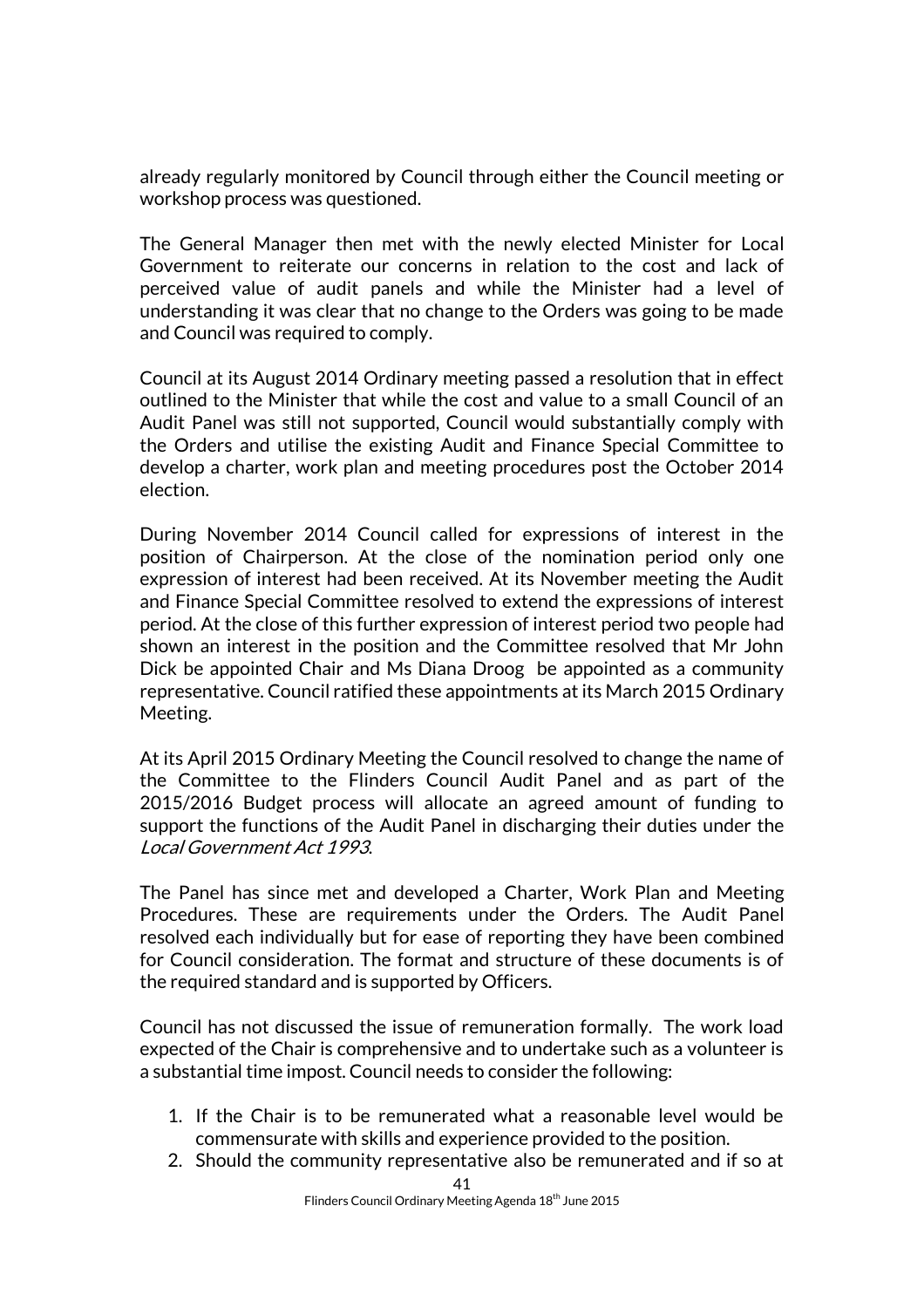already regularly monitored by Council through either the Council meeting or workshop process was questioned.

The General Manager then met with the newly elected Minister for Local Government to reiterate our concerns in relation to the cost and lack of perceived value of audit panels and while the Minister had a level of understanding it was clear that no change to the Orders was going to be made and Council was required to comply.

Council at its August 2014 Ordinary meeting passed a resolution that in effect outlined to the Minister that while the cost and value to a small Council of an Audit Panel was still not supported, Council would substantially comply with the Orders and utilise the existing Audit and Finance Special Committee to develop a charter, work plan and meeting procedures post the October 2014 election.

During November 2014 Council called for expressions of interest in the position of Chairperson. At the close of the nomination period only one expression of interest had been received. At its November meeting the Audit and Finance Special Committee resolved to extend the expressions of interest period. At the close of this further expression of interest period two people had shown an interest in the position and the Committee resolved that Mr John Dick be appointed Chair and Ms Diana Droog be appointed as a community representative. Council ratified these appointments at its March 2015 Ordinary Meeting.

At its April 2015 Ordinary Meeting the Council resolved to change the name of the Committee to the Flinders Council Audit Panel and as part of the 2015/2016 Budget process will allocate an agreed amount of funding to support the functions of the Audit Panel in discharging their duties under the Local Government Act 1993.

The Panel has since met and developed a Charter, Work Plan and Meeting Procedures. These are requirements under the Orders. The Audit Panel resolved each individually but for ease of reporting they have been combined for Council consideration. The format and structure of these documents is of the required standard and is supported by Officers.

Council has not discussed the issue of remuneration formally. The work load expected of the Chair is comprehensive and to undertake such as a volunteer is a substantial time impost. Council needs to consider the following:

- 1. If the Chair is to be remunerated what a reasonable level would be commensurate with skills and experience provided to the position.
- 2. Should the community representative also be remunerated and if so at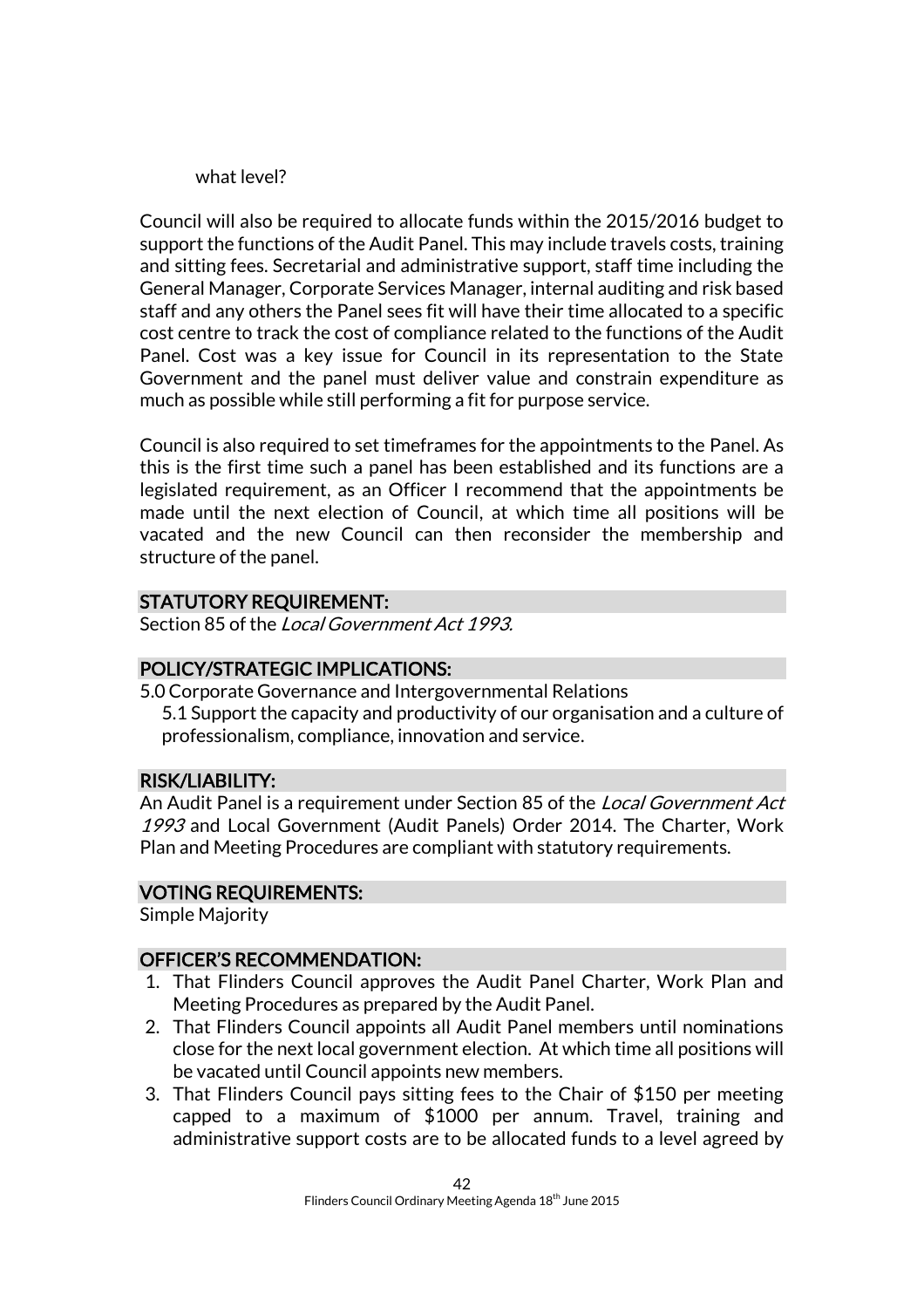what level?

Council will also be required to allocate funds within the 2015/2016 budget to support the functions of the Audit Panel. This may include travels costs, training and sitting fees. Secretarial and administrative support, staff time including the General Manager, Corporate Services Manager, internal auditing and risk based staff and any others the Panel sees fit will have their time allocated to a specific cost centre to track the cost of compliance related to the functions of the Audit Panel. Cost was a key issue for Council in its representation to the State Government and the panel must deliver value and constrain expenditure as much as possible while still performing a fit for purpose service.

Council is also required to set timeframes for the appointments to the Panel. As this is the first time such a panel has been established and its functions are a legislated requirement, as an Officer I recommend that the appointments be made until the next election of Council, at which time all positions will be vacated and the new Council can then reconsider the membership and structure of the panel.

#### STATUTORY REQUIREMENT:

Section 85 of the *Local Government Act 1993*.

#### POLICY/STRATEGIC IMPLICATIONS:

5.0 Corporate Governance and Intergovernmental Relations

5.1 Support the capacity and productivity of our organisation and a culture of professionalism, compliance, innovation and service.

#### RISK/LIABILITY:

An Audit Panel is a requirement under Section 85 of the Local Government Act 1993 and Local Government (Audit Panels) Order 2014. The Charter, Work Plan and Meeting Procedures are compliant with statutory requirements.

#### VOTING REQUIREMENTS:

Simple Majority

#### OFFICER'S RECOMMENDATION:

- 1. That Flinders Council approves the Audit Panel Charter, Work Plan and Meeting Procedures as prepared by the Audit Panel.
- 2. That Flinders Council appoints all Audit Panel members until nominations close for the next local government election. At which time all positions will be vacated until Council appoints new members.
- 3. That Flinders Council pays sitting fees to the Chair of \$150 per meeting capped to a maximum of \$1000 per annum. Travel, training and administrative support costs are to be allocated funds to a level agreed by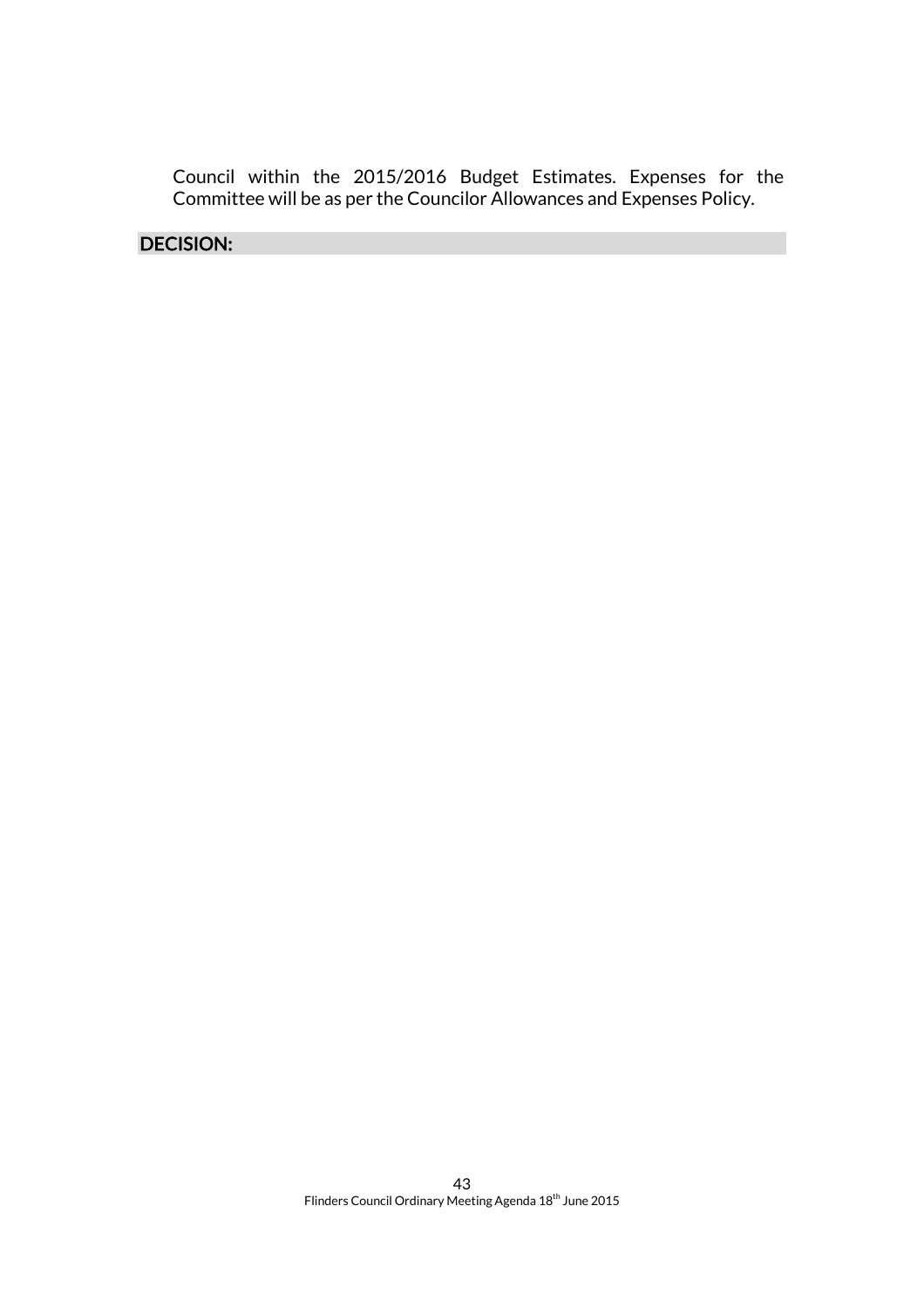Council within the 2015/2016 Budget Estimates. Expenses for the Committee will be as per the Councilor Allowances and Expenses Policy.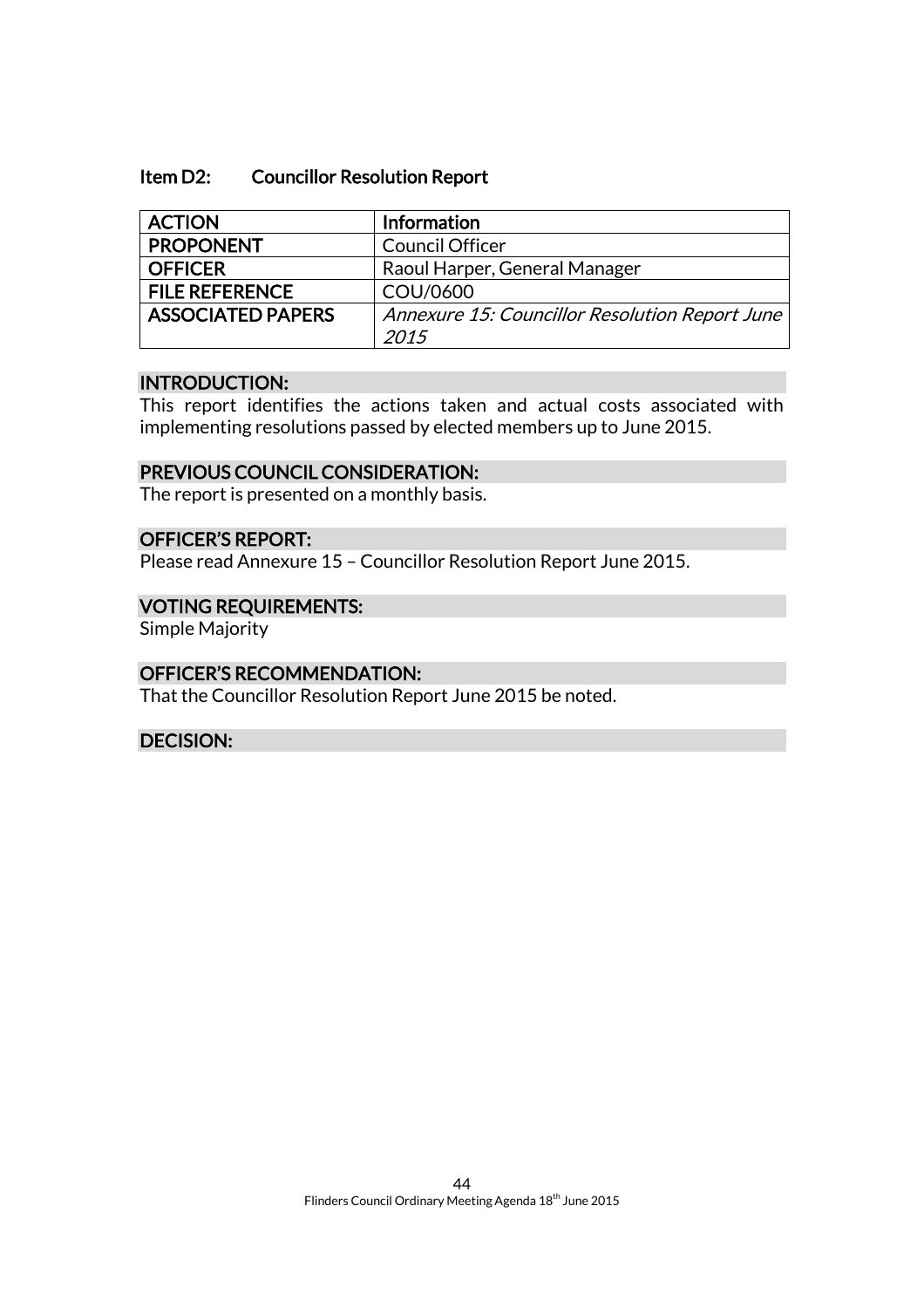#### Item D2: Councillor Resolution Report

| <b>ACTION</b>            | Information                                    |
|--------------------------|------------------------------------------------|
| <b>PROPONENT</b>         | <b>Council Officer</b>                         |
| <b>OFFICER</b>           | Raoul Harper, General Manager                  |
| <b>FILE REFERENCE</b>    | COU/0600                                       |
| <b>ASSOCIATED PAPERS</b> | Annexure 15: Councillor Resolution Report June |
|                          | 2015                                           |

#### INTRODUCTION:

This report identifies the actions taken and actual costs associated with implementing resolutions passed by elected members up to June 2015.

#### PREVIOUS COUNCIL CONSIDERATION:

The report is presented on a monthly basis.

#### OFFICER'S REPORT:

Please read Annexure 15 – Councillor Resolution Report June 2015.

#### VOTING REQUIREMENTS:

Simple Majority

#### OFFICER'S RECOMMENDATION:

That the Councillor Resolution Report June 2015 be noted.